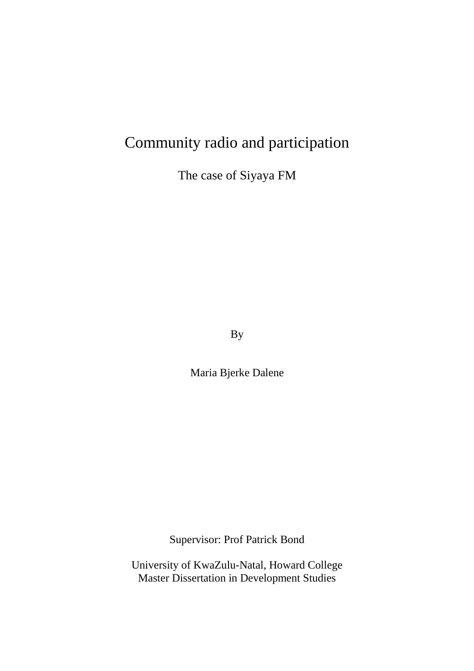# Community radio and participation

The case of Siyaya FM

By

Maria Bjerke Dalene

Supervisor: Prof Patrick Bond

University of KwaZulu-Natal, Howard College Master Dissertation in Development Studies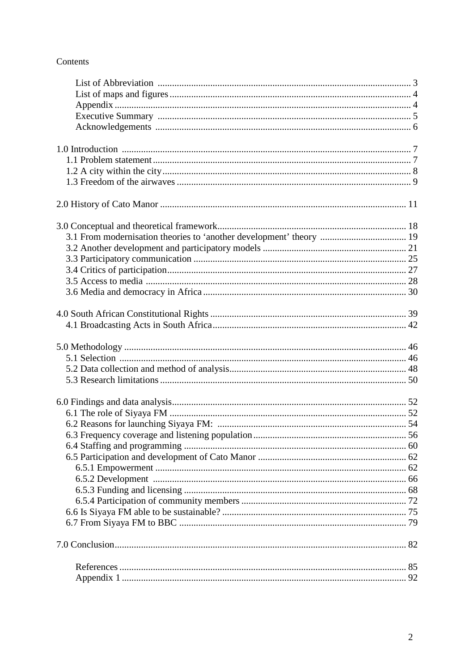### Contents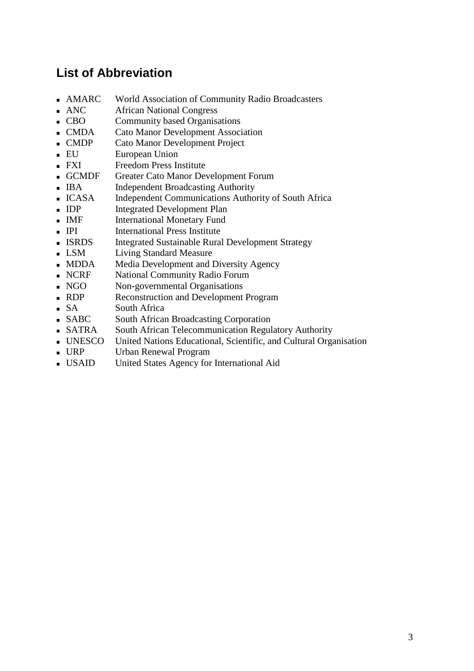## **List of Abbreviation**

- AMARC World Association of Community Radio Broadcasters
- ANC African National Congress
- **CBO** Community based Organisations
- CMDA Cato Manor Development Association
- CMDP Cato Manor Development Project
- EU European Union
- **FXI** Freedom Press Institute
- GCMDF Greater Cato Manor Development Forum
- **IBA** Independent Broadcasting Authority
- ICASA Independent Communications Authority of South Africa
- **IDP** Integrated Development Plan
- **IMF** International Monetary Fund
- **IPI** International Press Institute
- **ISRDS** Integrated Sustainable Rural Development Strategy
- **LSM** Living Standard Measure
- MDDA Media Development and Diversity Agency
- **NCRF** National Community Radio Forum
- NGO Non-governmental Organisations
- RDP Reconstruction and Development Program
- SA South Africa
- **SABC** South African Broadcasting Corporation
- SATRA South African Telecommunication Regulatory Authority
- UNESCO United Nations Educational, Scientific, and Cultural Organisation
- URP Urban Renewal Program
- USAID United States Agency for International Aid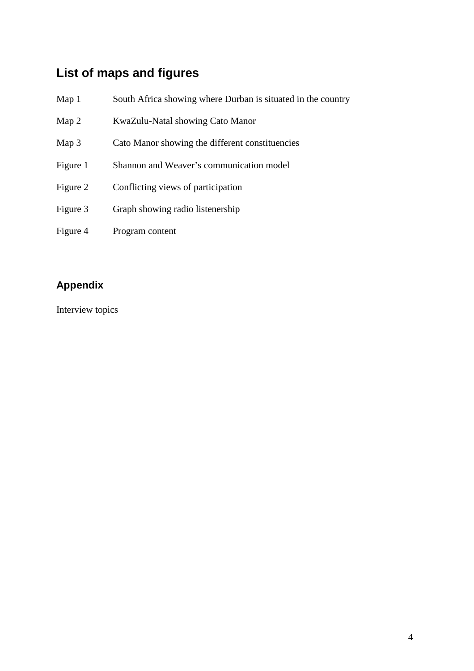# **List of maps and figures**

| Map <sub>1</sub> | South Africa showing where Durban is situated in the country |
|------------------|--------------------------------------------------------------|
| Map 2            | KwaZulu-Natal showing Cato Manor                             |
| Map 3            | Cato Manor showing the different constituencies              |
| Figure 1         | Shannon and Weaver's communication model                     |
| Figure 2         | Conflicting views of participation                           |
| Figure 3         | Graph showing radio listenership                             |
| Figure 4         | Program content                                              |

# **Appendix**

Interview topics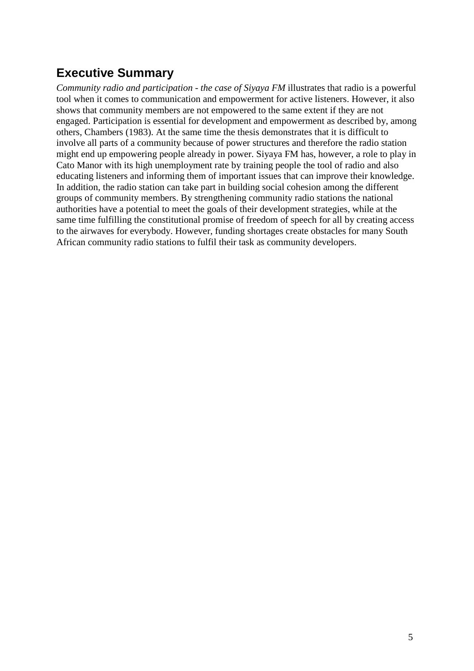# **Executive Summary**

*Community radio and participation - the case of Siyaya FM* illustrates that radio is a powerful tool when it comes to communication and empowerment for active listeners. However, it also shows that community members are not empowered to the same extent if they are not engaged. Participation is essential for development and empowerment as described by, among others, Chambers (1983). At the same time the thesis demonstrates that it is difficult to involve all parts of a community because of power structures and therefore the radio station might end up empowering people already in power. Siyaya FM has, however, a role to play in Cato Manor with its high unemployment rate by training people the tool of radio and also educating listeners and informing them of important issues that can improve their knowledge. In addition, the radio station can take part in building social cohesion among the different groups of community members. By strengthening community radio stations the national authorities have a potential to meet the goals of their development strategies, while at the same time fulfilling the constitutional promise of freedom of speech for all by creating access to the airwaves for everybody. However, funding shortages create obstacles for many South African community radio stations to fulfil their task as community developers.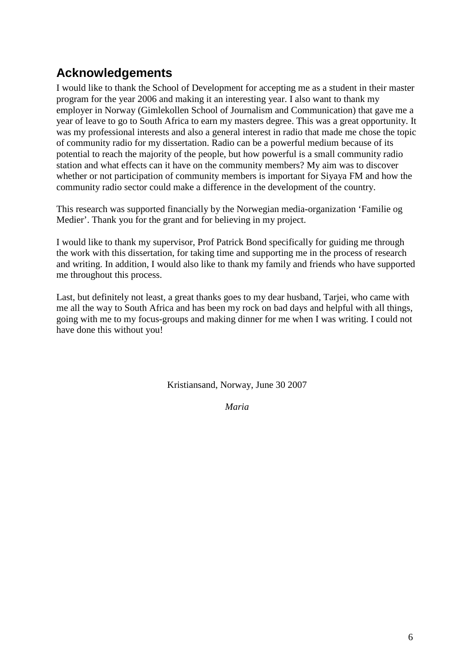# **Acknowledgements**

I would like to thank the School of Development for accepting me as a student in their master program for the year 2006 and making it an interesting year. I also want to thank my employer in Norway (Gimlekollen School of Journalism and Communication) that gave me a year of leave to go to South Africa to earn my masters degree. This was a great opportunity. It was my professional interests and also a general interest in radio that made me chose the topic of community radio for my dissertation. Radio can be a powerful medium because of its potential to reach the majority of the people, but how powerful is a small community radio station and what effects can it have on the community members? My aim was to discover whether or not participation of community members is important for Siyaya FM and how the community radio sector could make a difference in the development of the country.

This research was supported financially by the Norwegian media-organization 'Familie og Medier'. Thank you for the grant and for believing in my project.

I would like to thank my supervisor, Prof Patrick Bond specifically for guiding me through the work with this dissertation, for taking time and supporting me in the process of research and writing. In addition, I would also like to thank my family and friends who have supported me throughout this process.

Last, but definitely not least, a great thanks goes to my dear husband, Tarjei, who came with me all the way to South Africa and has been my rock on bad days and helpful with all things, going with me to my focus-groups and making dinner for me when I was writing. I could not have done this without you!

Kristiansand, Norway, June 30 2007

*Maria*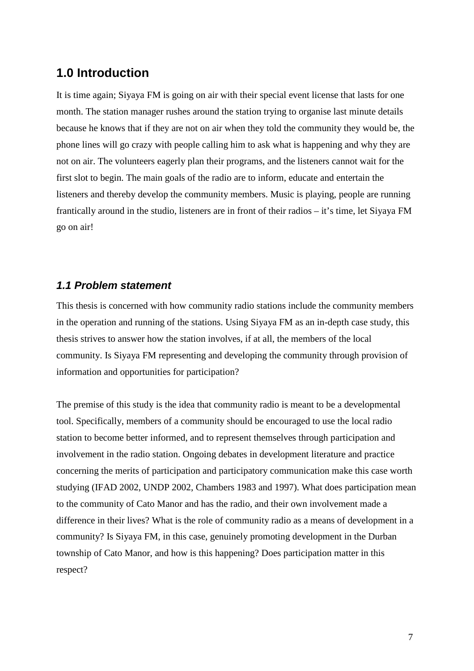### **1.0 Introduction**

It is time again; Siyaya FM is going on air with their special event license that lasts for one month. The station manager rushes around the station trying to organise last minute details because he knows that if they are not on air when they told the community they would be, the phone lines will go crazy with people calling him to ask what is happening and why they are not on air. The volunteers eagerly plan their programs, and the listeners cannot wait for the first slot to begin. The main goals of the radio are to inform, educate and entertain the listeners and thereby develop the community members. Music is playing, people are running frantically around in the studio, listeners are in front of their radios – it's time, let Siyaya FM go on air!

### **1.1 Problem statement**

This thesis is concerned with how community radio stations include the community members in the operation and running of the stations. Using Siyaya FM as an in-depth case study, this thesis strives to answer how the station involves, if at all, the members of the local community. Is Siyaya FM representing and developing the community through provision of information and opportunities for participation?

The premise of this study is the idea that community radio is meant to be a developmental tool. Specifically, members of a community should be encouraged to use the local radio station to become better informed, and to represent themselves through participation and involvement in the radio station. Ongoing debates in development literature and practice concerning the merits of participation and participatory communication make this case worth studying (IFAD 2002, UNDP 2002, Chambers 1983 and 1997). What does participation mean to the community of Cato Manor and has the radio, and their own involvement made a difference in their lives? What is the role of community radio as a means of development in a community? Is Siyaya FM, in this case, genuinely promoting development in the Durban township of Cato Manor, and how is this happening? Does participation matter in this respect?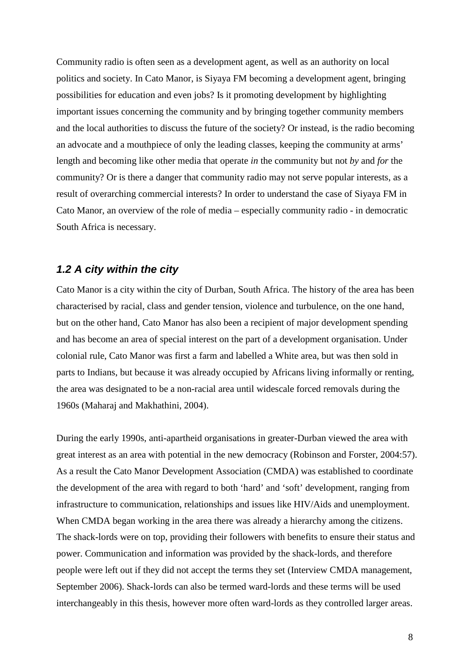Community radio is often seen as a development agent, as well as an authority on local politics and society. In Cato Manor, is Siyaya FM becoming a development agent, bringing possibilities for education and even jobs? Is it promoting development by highlighting important issues concerning the community and by bringing together community members and the local authorities to discuss the future of the society? Or instead, is the radio becoming an advocate and a mouthpiece of only the leading classes, keeping the community at arms' length and becoming like other media that operate *in* the community but not *by* and *for* the community? Or is there a danger that community radio may not serve popular interests, as a result of overarching commercial interests? In order to understand the case of Siyaya FM in Cato Manor, an overview of the role of media – especially community radio - in democratic South Africa is necessary.

#### **1.2 A city within the city**

Cato Manor is a city within the city of Durban, South Africa. The history of the area has been characterised by racial, class and gender tension, violence and turbulence, on the one hand, but on the other hand, Cato Manor has also been a recipient of major development spending and has become an area of special interest on the part of a development organisation. Under colonial rule, Cato Manor was first a farm and labelled a White area, but was then sold in parts to Indians, but because it was already occupied by Africans living informally or renting, the area was designated to be a non-racial area until widescale forced removals during the 1960s (Maharaj and Makhathini, 2004).

During the early 1990s, anti-apartheid organisations in greater-Durban viewed the area with great interest as an area with potential in the new democracy (Robinson and Forster, 2004:57). As a result the Cato Manor Development Association (CMDA) was established to coordinate the development of the area with regard to both 'hard' and 'soft' development, ranging from infrastructure to communication, relationships and issues like HIV/Aids and unemployment. When CMDA began working in the area there was already a hierarchy among the citizens. The shack-lords were on top, providing their followers with benefits to ensure their status and power. Communication and information was provided by the shack-lords, and therefore people were left out if they did not accept the terms they set (Interview CMDA management, September 2006). Shack-lords can also be termed ward-lords and these terms will be used interchangeably in this thesis, however more often ward-lords as they controlled larger areas.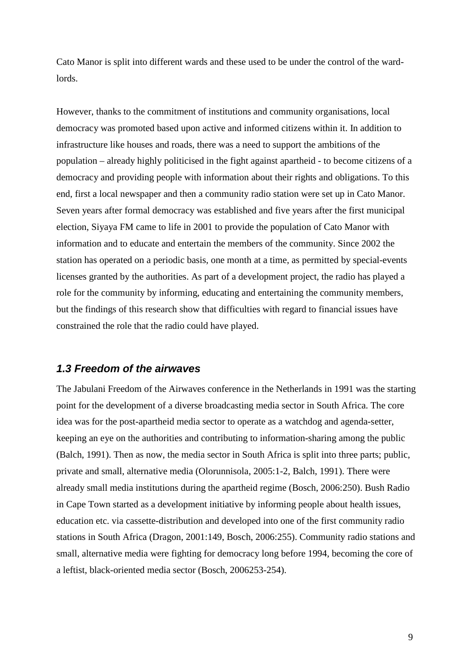Cato Manor is split into different wards and these used to be under the control of the wardlords.

However, thanks to the commitment of institutions and community organisations, local democracy was promoted based upon active and informed citizens within it. In addition to infrastructure like houses and roads, there was a need to support the ambitions of the population – already highly politicised in the fight against apartheid - to become citizens of a democracy and providing people with information about their rights and obligations. To this end, first a local newspaper and then a community radio station were set up in Cato Manor. Seven years after formal democracy was established and five years after the first municipal election, Siyaya FM came to life in 2001 to provide the population of Cato Manor with information and to educate and entertain the members of the community. Since 2002 the station has operated on a periodic basis, one month at a time, as permitted by special-events licenses granted by the authorities. As part of a development project, the radio has played a role for the community by informing, educating and entertaining the community members, but the findings of this research show that difficulties with regard to financial issues have constrained the role that the radio could have played.

#### **1.3 Freedom of the airwaves**

The Jabulani Freedom of the Airwaves conference in the Netherlands in 1991 was the starting point for the development of a diverse broadcasting media sector in South Africa. The core idea was for the post-apartheid media sector to operate as a watchdog and agenda-setter, keeping an eye on the authorities and contributing to information-sharing among the public (Balch, 1991). Then as now, the media sector in South Africa is split into three parts; public, private and small, alternative media (Olorunnisola, 2005:1-2, Balch, 1991). There were already small media institutions during the apartheid regime (Bosch, 2006:250). Bush Radio in Cape Town started as a development initiative by informing people about health issues, education etc. via cassette-distribution and developed into one of the first community radio stations in South Africa (Dragon, 2001:149, Bosch, 2006:255). Community radio stations and small, alternative media were fighting for democracy long before 1994, becoming the core of a leftist, black-oriented media sector (Bosch, 2006253-254).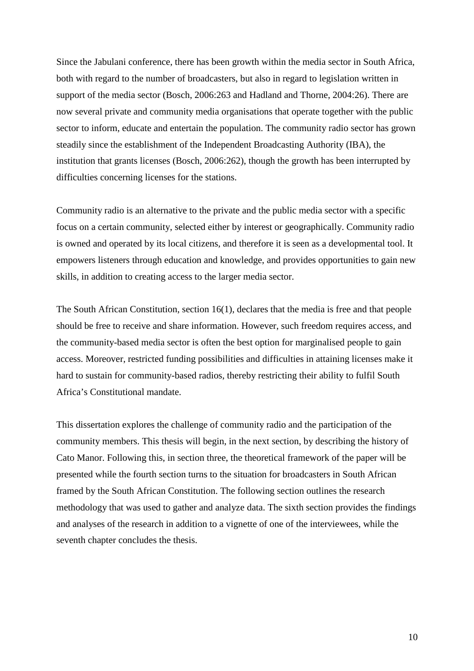Since the Jabulani conference, there has been growth within the media sector in South Africa, both with regard to the number of broadcasters, but also in regard to legislation written in support of the media sector (Bosch, 2006:263 and Hadland and Thorne, 2004:26). There are now several private and community media organisations that operate together with the public sector to inform, educate and entertain the population. The community radio sector has grown steadily since the establishment of the Independent Broadcasting Authority (IBA), the institution that grants licenses (Bosch, 2006:262), though the growth has been interrupted by difficulties concerning licenses for the stations.

Community radio is an alternative to the private and the public media sector with a specific focus on a certain community, selected either by interest or geographically. Community radio is owned and operated by its local citizens, and therefore it is seen as a developmental tool. It empowers listeners through education and knowledge, and provides opportunities to gain new skills, in addition to creating access to the larger media sector.

The South African Constitution, section 16(1), declares that the media is free and that people should be free to receive and share information. However, such freedom requires access, and the community-based media sector is often the best option for marginalised people to gain access. Moreover, restricted funding possibilities and difficulties in attaining licenses make it hard to sustain for community-based radios, thereby restricting their ability to fulfil South Africa's Constitutional mandate.

This dissertation explores the challenge of community radio and the participation of the community members. This thesis will begin, in the next section, by describing the history of Cato Manor. Following this, in section three, the theoretical framework of the paper will be presented while the fourth section turns to the situation for broadcasters in South African framed by the South African Constitution. The following section outlines the research methodology that was used to gather and analyze data. The sixth section provides the findings and analyses of the research in addition to a vignette of one of the interviewees, while the seventh chapter concludes the thesis.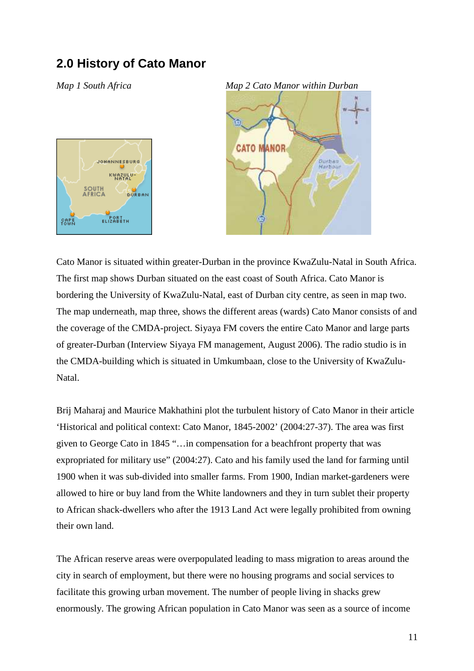## **2.0 History of Cato Manor**





Cato Manor is situated within greater-Durban in the province KwaZulu-Natal in South Africa. The first map shows Durban situated on the east coast of South Africa. Cato Manor is bordering the University of KwaZulu-Natal, east of Durban city centre, as seen in map two. The map underneath, map three, shows the different areas (wards) Cato Manor consists of and the coverage of the CMDA-project. Siyaya FM covers the entire Cato Manor and large parts of greater-Durban (Interview Siyaya FM management, August 2006). The radio studio is in the CMDA-building which is situated in Umkumbaan, close to the University of KwaZulu-Natal.

Brij Maharaj and Maurice Makhathini plot the turbulent history of Cato Manor in their article 'Historical and political context: Cato Manor, 1845-2002' (2004:27-37). The area was first given to George Cato in 1845 "…in compensation for a beachfront property that was expropriated for military use" (2004:27). Cato and his family used the land for farming until 1900 when it was sub-divided into smaller farms. From 1900, Indian market-gardeners were allowed to hire or buy land from the White landowners and they in turn sublet their property to African shack-dwellers who after the 1913 Land Act were legally prohibited from owning their own land.

The African reserve areas were overpopulated leading to mass migration to areas around the city in search of employment, but there were no housing programs and social services to facilitate this growing urban movement. The number of people living in shacks grew enormously. The growing African population in Cato Manor was seen as a source of income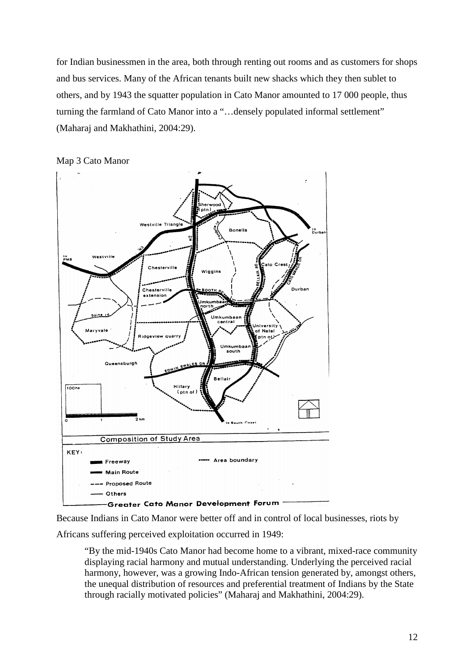for Indian businessmen in the area, both through renting out rooms and as customers for shops and bus services. Many of the African tenants built new shacks which they then sublet to others, and by 1943 the squatter population in Cato Manor amounted to 17 000 people, thus turning the farmland of Cato Manor into a "…densely populated informal settlement" (Maharaj and Makhathini, 2004:29).



Map 3 Cato Manor

Because Indians in Cato Manor were better off and in control of local businesses, riots by

Africans suffering perceived exploitation occurred in 1949:

"By the mid-1940s Cato Manor had become home to a vibrant, mixed-race community displaying racial harmony and mutual understanding. Underlying the perceived racial harmony, however, was a growing Indo-African tension generated by, amongst others, the unequal distribution of resources and preferential treatment of Indians by the State through racially motivated policies" (Maharaj and Makhathini, 2004:29).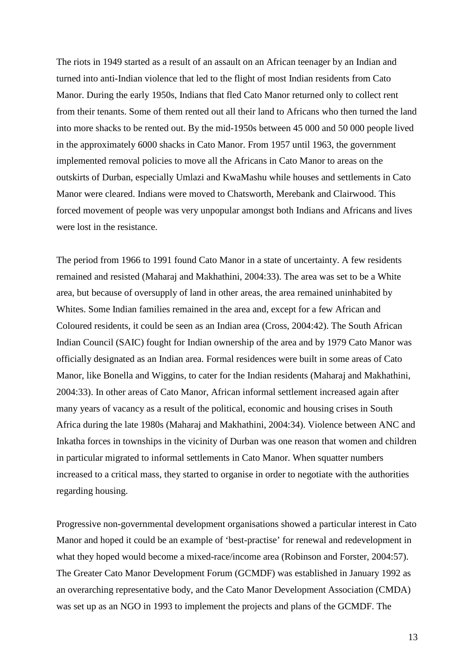The riots in 1949 started as a result of an assault on an African teenager by an Indian and turned into anti-Indian violence that led to the flight of most Indian residents from Cato Manor. During the early 1950s, Indians that fled Cato Manor returned only to collect rent from their tenants. Some of them rented out all their land to Africans who then turned the land into more shacks to be rented out. By the mid-1950s between 45 000 and 50 000 people lived in the approximately 6000 shacks in Cato Manor. From 1957 until 1963, the government implemented removal policies to move all the Africans in Cato Manor to areas on the outskirts of Durban, especially Umlazi and KwaMashu while houses and settlements in Cato Manor were cleared. Indians were moved to Chatsworth, Merebank and Clairwood. This forced movement of people was very unpopular amongst both Indians and Africans and lives were lost in the resistance.

The period from 1966 to 1991 found Cato Manor in a state of uncertainty. A few residents remained and resisted (Maharaj and Makhathini, 2004:33). The area was set to be a White area, but because of oversupply of land in other areas, the area remained uninhabited by Whites. Some Indian families remained in the area and, except for a few African and Coloured residents, it could be seen as an Indian area (Cross, 2004:42). The South African Indian Council (SAIC) fought for Indian ownership of the area and by 1979 Cato Manor was officially designated as an Indian area. Formal residences were built in some areas of Cato Manor, like Bonella and Wiggins, to cater for the Indian residents (Maharaj and Makhathini, 2004:33). In other areas of Cato Manor, African informal settlement increased again after many years of vacancy as a result of the political, economic and housing crises in South Africa during the late 1980s (Maharaj and Makhathini, 2004:34). Violence between ANC and Inkatha forces in townships in the vicinity of Durban was one reason that women and children in particular migrated to informal settlements in Cato Manor. When squatter numbers increased to a critical mass, they started to organise in order to negotiate with the authorities regarding housing.

Progressive non-governmental development organisations showed a particular interest in Cato Manor and hoped it could be an example of 'best-practise' for renewal and redevelopment in what they hoped would become a mixed-race/income area (Robinson and Forster, 2004:57). The Greater Cato Manor Development Forum (GCMDF) was established in January 1992 as an overarching representative body, and the Cato Manor Development Association (CMDA) was set up as an NGO in 1993 to implement the projects and plans of the GCMDF. The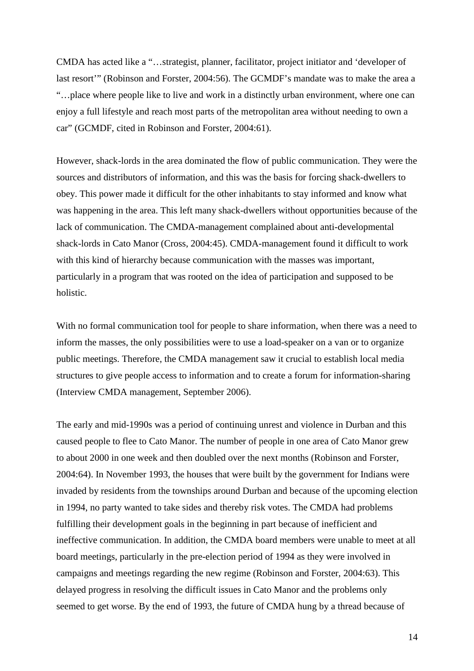CMDA has acted like a "…strategist, planner, facilitator, project initiator and 'developer of last resort'" (Robinson and Forster, 2004:56). The GCMDF's mandate was to make the area a "…place where people like to live and work in a distinctly urban environment, where one can enjoy a full lifestyle and reach most parts of the metropolitan area without needing to own a car" (GCMDF, cited in Robinson and Forster, 2004:61).

However, shack-lords in the area dominated the flow of public communication. They were the sources and distributors of information, and this was the basis for forcing shack-dwellers to obey. This power made it difficult for the other inhabitants to stay informed and know what was happening in the area. This left many shack-dwellers without opportunities because of the lack of communication. The CMDA-management complained about anti-developmental shack-lords in Cato Manor (Cross, 2004:45). CMDA-management found it difficult to work with this kind of hierarchy because communication with the masses was important, particularly in a program that was rooted on the idea of participation and supposed to be holistic.

With no formal communication tool for people to share information, when there was a need to inform the masses, the only possibilities were to use a load-speaker on a van or to organize public meetings. Therefore, the CMDA management saw it crucial to establish local media structures to give people access to information and to create a forum for information-sharing (Interview CMDA management, September 2006).

The early and mid-1990s was a period of continuing unrest and violence in Durban and this caused people to flee to Cato Manor. The number of people in one area of Cato Manor grew to about 2000 in one week and then doubled over the next months (Robinson and Forster, 2004:64). In November 1993, the houses that were built by the government for Indians were invaded by residents from the townships around Durban and because of the upcoming election in 1994, no party wanted to take sides and thereby risk votes. The CMDA had problems fulfilling their development goals in the beginning in part because of inefficient and ineffective communication. In addition, the CMDA board members were unable to meet at all board meetings, particularly in the pre-election period of 1994 as they were involved in campaigns and meetings regarding the new regime (Robinson and Forster, 2004:63). This delayed progress in resolving the difficult issues in Cato Manor and the problems only seemed to get worse. By the end of 1993, the future of CMDA hung by a thread because of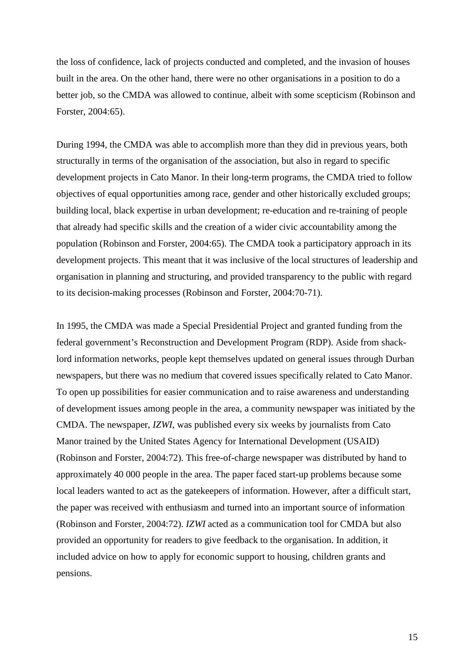the loss of confidence, lack of projects conducted and completed, and the invasion of houses built in the area. On the other hand, there were no other organisations in a position to do a better job, so the CMDA was allowed to continue, albeit with some scepticism (Robinson and Forster, 2004:65).

During 1994, the CMDA was able to accomplish more than they did in previous years, both structurally in terms of the organisation of the association, but also in regard to specific development projects in Cato Manor. In their long-term programs, the CMDA tried to follow objectives of equal opportunities among race, gender and other historically excluded groups; building local, black expertise in urban development; re-education and re-training of people that already had specific skills and the creation of a wider civic accountability among the population (Robinson and Forster, 2004:65). The CMDA took a participatory approach in its development projects. This meant that it was inclusive of the local structures of leadership and organisation in planning and structuring, and provided transparency to the public with regard to its decision-making processes (Robinson and Forster, 2004:70-71).

In 1995, the CMDA was made a Special Presidential Project and granted funding from the federal government's Reconstruction and Development Program (RDP). Aside from shacklord information networks, people kept themselves updated on general issues through Durban newspapers, but there was no medium that covered issues specifically related to Cato Manor. To open up possibilities for easier communication and to raise awareness and understanding of development issues among people in the area, a community newspaper was initiated by the CMDA. The newspaper, *IZWI*, was published every six weeks by journalists from Cato Manor trained by the United States Agency for International Development (USAID) (Robinson and Forster, 2004:72). This free-of-charge newspaper was distributed by hand to approximately 40 000 people in the area. The paper faced start-up problems because some local leaders wanted to act as the gatekeepers of information. However, after a difficult start, the paper was received with enthusiasm and turned into an important source of information (Robinson and Forster, 2004:72). *IZWI* acted as a communication tool for CMDA but also provided an opportunity for readers to give feedback to the organisation. In addition, it included advice on how to apply for economic support to housing, children grants and pensions.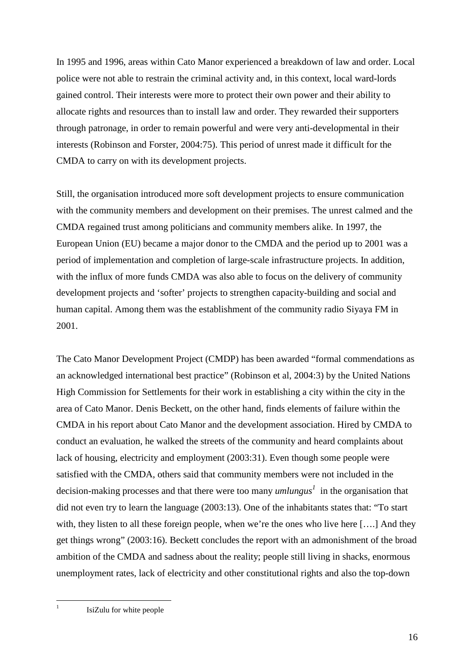In 1995 and 1996, areas within Cato Manor experienced a breakdown of law and order. Local police were not able to restrain the criminal activity and, in this context, local ward-lords gained control. Their interests were more to protect their own power and their ability to allocate rights and resources than to install law and order. They rewarded their supporters through patronage, in order to remain powerful and were very anti-developmental in their interests (Robinson and Forster, 2004:75). This period of unrest made it difficult for the CMDA to carry on with its development projects.

Still, the organisation introduced more soft development projects to ensure communication with the community members and development on their premises. The unrest calmed and the CMDA regained trust among politicians and community members alike. In 1997, the European Union (EU) became a major donor to the CMDA and the period up to 2001 was a period of implementation and completion of large-scale infrastructure projects. In addition, with the influx of more funds CMDA was also able to focus on the delivery of community development projects and 'softer' projects to strengthen capacity-building and social and human capital. Among them was the establishment of the community radio Siyaya FM in 2001.

The Cato Manor Development Project (CMDP) has been awarded "formal commendations as an acknowledged international best practice" (Robinson et al, 2004:3) by the United Nations High Commission for Settlements for their work in establishing a city within the city in the area of Cato Manor. Denis Beckett, on the other hand, finds elements of failure within the CMDA in his report about Cato Manor and the development association. Hired by CMDA to conduct an evaluation, he walked the streets of the community and heard complaints about lack of housing, electricity and employment (2003:31). Even though some people were satisfied with the CMDA, others said that community members were not included in the decision-making processes and that there were too many *umlungus<sup>1</sup>* in the organisation that did not even try to learn the language (2003:13). One of the inhabitants states that: "To start with, they listen to all these foreign people, when we're the ones who live here [...] And they get things wrong" (2003:16). Beckett concludes the report with an admonishment of the broad ambition of the CMDA and sadness about the reality; people still living in shacks, enormous unemployment rates, lack of electricity and other constitutional rights and also the top-down

 $\overline{a}$ 1

IsiZulu for white people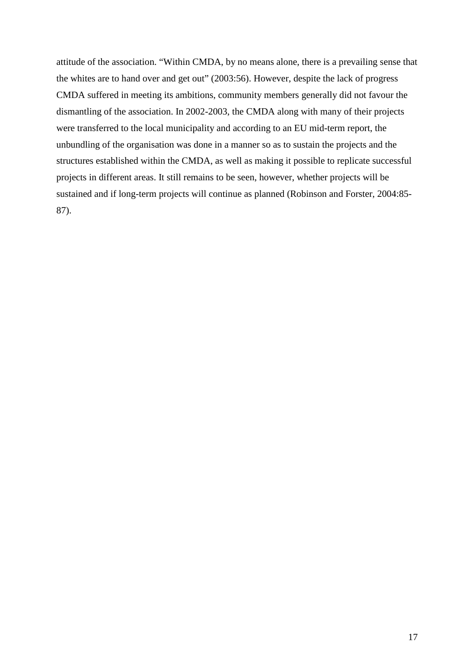attitude of the association. "Within CMDA, by no means alone, there is a prevailing sense that the whites are to hand over and get out" (2003:56). However, despite the lack of progress CMDA suffered in meeting its ambitions, community members generally did not favour the dismantling of the association. In 2002-2003, the CMDA along with many of their projects were transferred to the local municipality and according to an EU mid-term report, the unbundling of the organisation was done in a manner so as to sustain the projects and the structures established within the CMDA, as well as making it possible to replicate successful projects in different areas. It still remains to be seen, however, whether projects will be sustained and if long-term projects will continue as planned (Robinson and Forster, 2004:85- 87).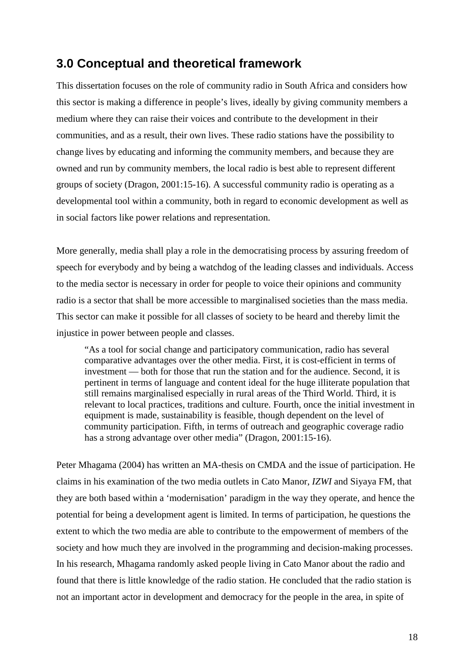### **3.0 Conceptual and theoretical framework**

This dissertation focuses on the role of community radio in South Africa and considers how this sector is making a difference in people's lives, ideally by giving community members a medium where they can raise their voices and contribute to the development in their communities, and as a result, their own lives. These radio stations have the possibility to change lives by educating and informing the community members, and because they are owned and run by community members, the local radio is best able to represent different groups of society (Dragon, 2001:15-16). A successful community radio is operating as a developmental tool within a community, both in regard to economic development as well as in social factors like power relations and representation.

More generally, media shall play a role in the democratising process by assuring freedom of speech for everybody and by being a watchdog of the leading classes and individuals. Access to the media sector is necessary in order for people to voice their opinions and community radio is a sector that shall be more accessible to marginalised societies than the mass media. This sector can make it possible for all classes of society to be heard and thereby limit the injustice in power between people and classes.

"As a tool for social change and participatory communication, radio has several comparative advantages over the other media. First, it is cost-efficient in terms of investment — both for those that run the station and for the audience. Second, it is pertinent in terms of language and content ideal for the huge illiterate population that still remains marginalised especially in rural areas of the Third World. Third, it is relevant to local practices, traditions and culture. Fourth, once the initial investment in equipment is made, sustainability is feasible, though dependent on the level of community participation. Fifth, in terms of outreach and geographic coverage radio has a strong advantage over other media" (Dragon, 2001:15-16).

Peter Mhagama (2004) has written an MA-thesis on CMDA and the issue of participation. He claims in his examination of the two media outlets in Cato Manor, *IZWI* and Siyaya FM, that they are both based within a 'modernisation' paradigm in the way they operate, and hence the potential for being a development agent is limited. In terms of participation, he questions the extent to which the two media are able to contribute to the empowerment of members of the society and how much they are involved in the programming and decision-making processes. In his research, Mhagama randomly asked people living in Cato Manor about the radio and found that there is little knowledge of the radio station. He concluded that the radio station is not an important actor in development and democracy for the people in the area, in spite of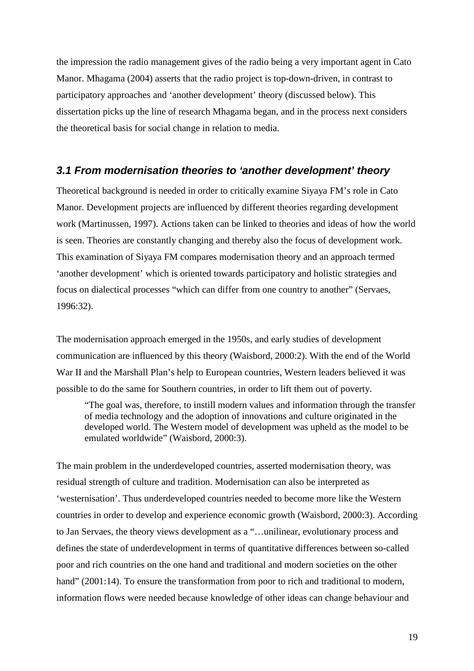the impression the radio management gives of the radio being a very important agent in Cato Manor. Mhagama (2004) asserts that the radio project is top-down-driven, in contrast to participatory approaches and 'another development' theory (discussed below). This dissertation picks up the line of research Mhagama began, and in the process next considers the theoretical basis for social change in relation to media.

#### **3.1 From modernisation theories to 'another development' theory**

Theoretical background is needed in order to critically examine Siyaya FM's role in Cato Manor. Development projects are influenced by different theories regarding development work (Martinussen, 1997). Actions taken can be linked to theories and ideas of how the world is seen. Theories are constantly changing and thereby also the focus of development work. This examination of Siyaya FM compares modernisation theory and an approach termed 'another development' which is oriented towards participatory and holistic strategies and focus on dialectical processes "which can differ from one country to another" (Servaes, 1996:32).

The modernisation approach emerged in the 1950s, and early studies of development communication are influenced by this theory (Waisbord, 2000:2). With the end of the World War II and the Marshall Plan's help to European countries, Western leaders believed it was possible to do the same for Southern countries, in order to lift them out of poverty.

"The goal was, therefore, to instill modern values and information through the transfer of media technology and the adoption of innovations and culture originated in the developed world. The Western model of development was upheld as the model to be emulated worldwide" (Waisbord, 2000:3).

The main problem in the underdeveloped countries, asserted modernisation theory, was residual strength of culture and tradition. Modernisation can also be interpreted as 'westernisation'. Thus underdeveloped countries needed to become more like the Western countries in order to develop and experience economic growth (Waisbord, 2000:3). According to Jan Servaes, the theory views development as a "…unilinear, evolutionary process and defines the state of underdevelopment in terms of quantitative differences between so-called poor and rich countries on the one hand and traditional and modern societies on the other hand" (2001:14). To ensure the transformation from poor to rich and traditional to modern, information flows were needed because knowledge of other ideas can change behaviour and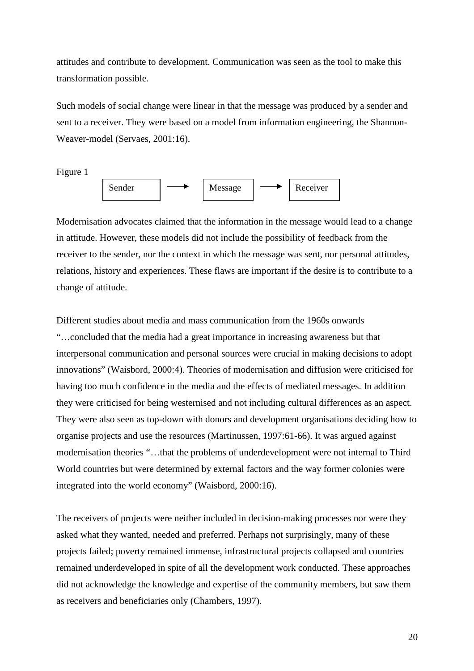attitudes and contribute to development. Communication was seen as the tool to make this transformation possible.

Such models of social change were linear in that the message was produced by a sender and sent to a receiver. They were based on a model from information engineering, the Shannon-Weaver-model (Servaes, 2001:16).

Figure 1



Modernisation advocates claimed that the information in the message would lead to a change in attitude. However, these models did not include the possibility of feedback from the receiver to the sender, nor the context in which the message was sent, nor personal attitudes, relations, history and experiences. These flaws are important if the desire is to contribute to a change of attitude.

Different studies about media and mass communication from the 1960s onwards "…concluded that the media had a great importance in increasing awareness but that interpersonal communication and personal sources were crucial in making decisions to adopt innovations" (Waisbord, 2000:4). Theories of modernisation and diffusion were criticised for having too much confidence in the media and the effects of mediated messages. In addition they were criticised for being westernised and not including cultural differences as an aspect. They were also seen as top-down with donors and development organisations deciding how to organise projects and use the resources (Martinussen, 1997:61-66). It was argued against modernisation theories "…that the problems of underdevelopment were not internal to Third World countries but were determined by external factors and the way former colonies were integrated into the world economy" (Waisbord, 2000:16).

The receivers of projects were neither included in decision-making processes nor were they asked what they wanted, needed and preferred. Perhaps not surprisingly, many of these projects failed; poverty remained immense, infrastructural projects collapsed and countries remained underdeveloped in spite of all the development work conducted. These approaches did not acknowledge the knowledge and expertise of the community members, but saw them as receivers and beneficiaries only (Chambers, 1997).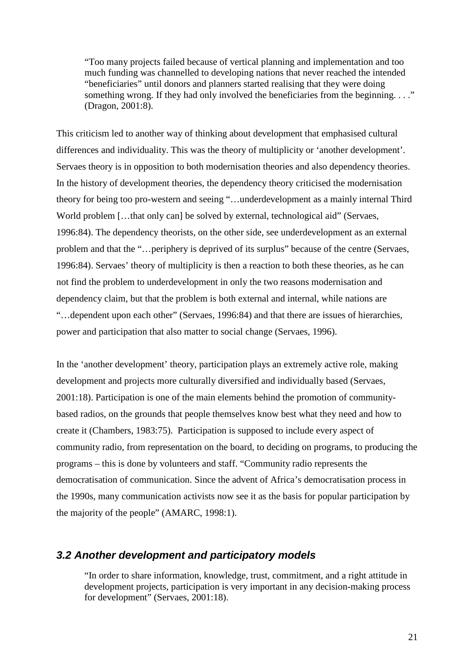"Too many projects failed because of vertical planning and implementation and too much funding was channelled to developing nations that never reached the intended "beneficiaries" until donors and planners started realising that they were doing something wrong. If they had only involved the beneficiaries from the beginning. . . ." (Dragon, 2001:8).

This criticism led to another way of thinking about development that emphasised cultural differences and individuality. This was the theory of multiplicity or 'another development'. Servaes theory is in opposition to both modernisation theories and also dependency theories. In the history of development theories, the dependency theory criticised the modernisation theory for being too pro-western and seeing "…underdevelopment as a mainly internal Third World problem [...that only can] be solved by external, technological aid" (Servaes, 1996:84). The dependency theorists, on the other side, see underdevelopment as an external problem and that the "…periphery is deprived of its surplus" because of the centre (Servaes, 1996:84). Servaes' theory of multiplicity is then a reaction to both these theories, as he can not find the problem to underdevelopment in only the two reasons modernisation and dependency claim, but that the problem is both external and internal, while nations are "…dependent upon each other" (Servaes, 1996:84) and that there are issues of hierarchies, power and participation that also matter to social change (Servaes, 1996).

In the 'another development' theory, participation plays an extremely active role, making development and projects more culturally diversified and individually based (Servaes, 2001:18). Participation is one of the main elements behind the promotion of communitybased radios, on the grounds that people themselves know best what they need and how to create it (Chambers, 1983:75). Participation is supposed to include every aspect of community radio, from representation on the board, to deciding on programs, to producing the programs – this is done by volunteers and staff. "Community radio represents the democratisation of communication. Since the advent of Africa's democratisation process in the 1990s, many communication activists now see it as the basis for popular participation by the majority of the people" (AMARC, 1998:1).

#### **3.2 Another development and participatory models**

"In order to share information, knowledge, trust, commitment, and a right attitude in development projects, participation is very important in any decision-making process for development" (Servaes, 2001:18).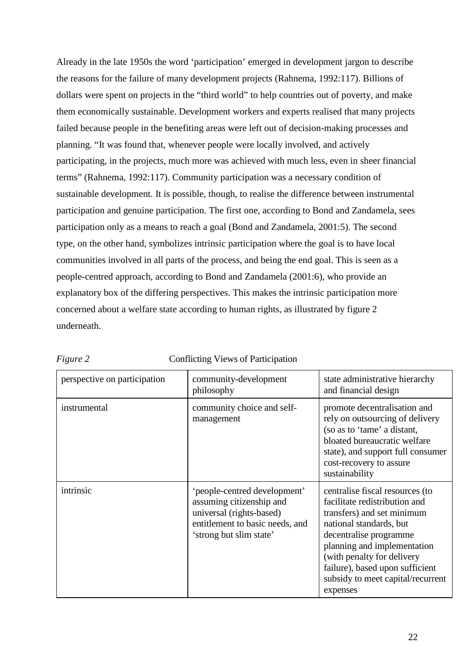Already in the late 1950s the word 'participation' emerged in development jargon to describe the reasons for the failure of many development projects (Rahnema, 1992:117). Billions of dollars were spent on projects in the "third world" to help countries out of poverty, and make them economically sustainable. Development workers and experts realised that many projects failed because people in the benefiting areas were left out of decision-making processes and planning. "It was found that, whenever people were locally involved, and actively participating, in the projects, much more was achieved with much less, even in sheer financial terms" (Rahnema, 1992:117). Community participation was a necessary condition of sustainable development. It is possible, though, to realise the difference between instrumental participation and genuine participation. The first one, according to Bond and Zandamela, sees participation only as a means to reach a goal (Bond and Zandamela, 2001:5). The second type, on the other hand, symbolizes intrinsic participation where the goal is to have local communities involved in all parts of the process, and being the end goal. This is seen as a people-centred approach, according to Bond and Zandamela (2001:6), who provide an explanatory box of the differing perspectives. This makes the intrinsic participation more concerned about a welfare state according to human rights, as illustrated by figure 2 underneath.

| perspective on participation | community-development<br>philosophy                                                                                                                | state administrative hierarchy<br>and financial design                                                                                                                                                                                                                                                |
|------------------------------|----------------------------------------------------------------------------------------------------------------------------------------------------|-------------------------------------------------------------------------------------------------------------------------------------------------------------------------------------------------------------------------------------------------------------------------------------------------------|
| instrumental                 | community choice and self-<br>management                                                                                                           | promote decentralisation and<br>rely on outsourcing of delivery<br>(so as to 'tame' a distant,<br>bloated bureaucratic welfare<br>state), and support full consumer<br>cost-recovery to assure<br>sustainability                                                                                      |
| intrinsic                    | 'people-centred development'<br>assuming citizenship and<br>universal (rights-based)<br>entitlement to basic needs, and<br>'strong but slim state' | centralise fiscal resources (to<br>facilitate redistribution and<br>transfers) and set minimum<br>national standards, but<br>decentralise programme<br>planning and implementation<br>(with penalty for delivery)<br>failure), based upon sufficient<br>subsidy to meet capital/recurrent<br>expenses |

| .our |  |
|------|--|
|      |  |

**Conflicting Views of Participation**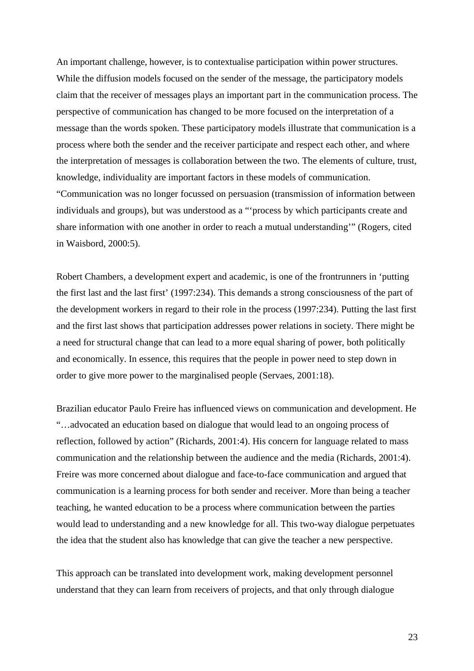An important challenge, however, is to contextualise participation within power structures. While the diffusion models focused on the sender of the message, the participatory models claim that the receiver of messages plays an important part in the communication process. The perspective of communication has changed to be more focused on the interpretation of a message than the words spoken. These participatory models illustrate that communication is a process where both the sender and the receiver participate and respect each other, and where the interpretation of messages is collaboration between the two. The elements of culture, trust, knowledge, individuality are important factors in these models of communication. "Communication was no longer focussed on persuasion (transmission of information between individuals and groups), but was understood as a "'process by which participants create and share information with one another in order to reach a mutual understanding'" (Rogers, cited in Waisbord, 2000:5).

Robert Chambers, a development expert and academic, is one of the frontrunners in 'putting the first last and the last first' (1997:234). This demands a strong consciousness of the part of the development workers in regard to their role in the process (1997:234). Putting the last first and the first last shows that participation addresses power relations in society. There might be a need for structural change that can lead to a more equal sharing of power, both politically and economically. In essence, this requires that the people in power need to step down in order to give more power to the marginalised people (Servaes, 2001:18).

Brazilian educator Paulo Freire has influenced views on communication and development. He "…advocated an education based on dialogue that would lead to an ongoing process of reflection, followed by action" (Richards, 2001:4). His concern for language related to mass communication and the relationship between the audience and the media (Richards, 2001:4). Freire was more concerned about dialogue and face-to-face communication and argued that communication is a learning process for both sender and receiver. More than being a teacher teaching, he wanted education to be a process where communication between the parties would lead to understanding and a new knowledge for all. This two-way dialogue perpetuates the idea that the student also has knowledge that can give the teacher a new perspective.

This approach can be translated into development work, making development personnel understand that they can learn from receivers of projects, and that only through dialogue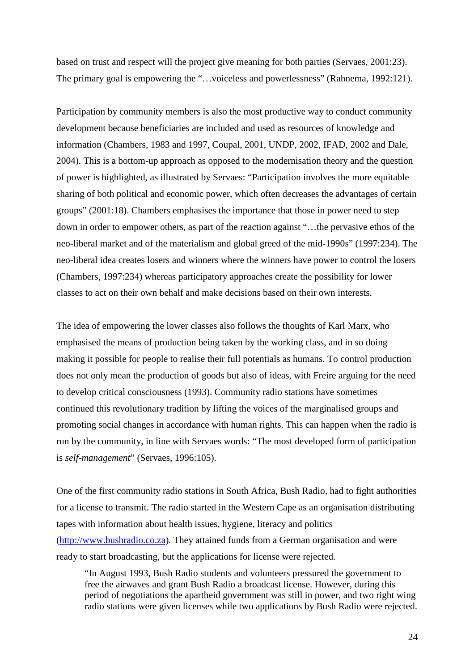based on trust and respect will the project give meaning for both parties (Servaes, 2001:23). The primary goal is empowering the "...voiceless and powerlessness" (Rahnema, 1992:121).

Participation by community members is also the most productive way to conduct community development because beneficiaries are included and used as resources of knowledge and information (Chambers, 1983 and 1997, Coupal, 2001, UNDP, 2002, IFAD, 2002 and Dale, 2004). This is a bottom-up approach as opposed to the modernisation theory and the question of power is highlighted, as illustrated by Servaes: "Participation involves the more equitable sharing of both political and economic power, which often decreases the advantages of certain groups" (2001:18). Chambers emphasises the importance that those in power need to step down in order to empower others, as part of the reaction against "…the pervasive ethos of the neo-liberal market and of the materialism and global greed of the mid-1990s" (1997:234). The neo-liberal idea creates losers and winners where the winners have power to control the losers (Chambers, 1997:234) whereas participatory approaches create the possibility for lower classes to act on their own behalf and make decisions based on their own interests.

The idea of empowering the lower classes also follows the thoughts of Karl Marx, who emphasised the means of production being taken by the working class, and in so doing making it possible for people to realise their full potentials as humans. To control production does not only mean the production of goods but also of ideas, with Freire arguing for the need to develop critical consciousness (1993). Community radio stations have sometimes continued this revolutionary tradition by lifting the voices of the marginalised groups and promoting social changes in accordance with human rights. This can happen when the radio is run by the community, in line with Servaes words: "The most developed form of participation is *self-management*" (Servaes, 1996:105).

One of the first community radio stations in South Africa, Bush Radio, had to fight authorities for a license to transmit. The radio started in the Western Cape as an organisation distributing tapes with information about health issues, hygiene, literacy and politics (http://www.bushradio.co.za). They attained funds from a German organisation and were ready to start broadcasting, but the applications for license were rejected.

"In August 1993, Bush Radio students and volunteers pressured the government to free the airwaves and grant Bush Radio a broadcast license. However, during this period of negotiations the apartheid government was still in power, and two right wing radio stations were given licenses while two applications by Bush Radio were rejected.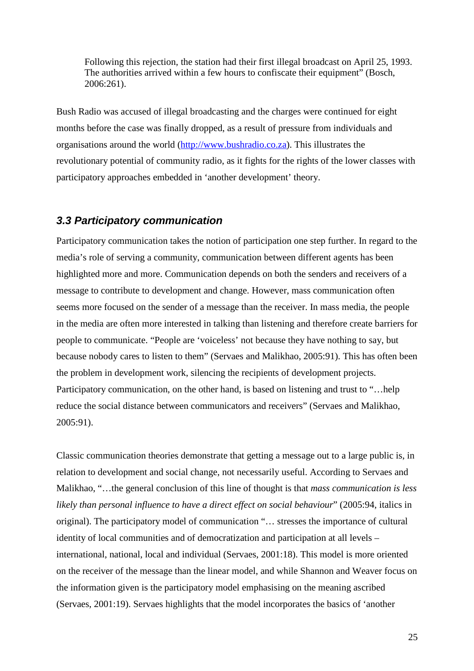Following this rejection, the station had their first illegal broadcast on April 25, 1993. The authorities arrived within a few hours to confiscate their equipment" (Bosch, 2006:261).

Bush Radio was accused of illegal broadcasting and the charges were continued for eight months before the case was finally dropped, as a result of pressure from individuals and organisations around the world (http://www.bushradio.co.za). This illustrates the revolutionary potential of community radio, as it fights for the rights of the lower classes with participatory approaches embedded in 'another development' theory.

#### **3.3 Participatory communication**

Participatory communication takes the notion of participation one step further. In regard to the media's role of serving a community, communication between different agents has been highlighted more and more. Communication depends on both the senders and receivers of a message to contribute to development and change. However, mass communication often seems more focused on the sender of a message than the receiver. In mass media, the people in the media are often more interested in talking than listening and therefore create barriers for people to communicate. "People are 'voiceless' not because they have nothing to say, but because nobody cares to listen to them" (Servaes and Malikhao, 2005:91). This has often been the problem in development work, silencing the recipients of development projects. Participatory communication, on the other hand, is based on listening and trust to "…help reduce the social distance between communicators and receivers" (Servaes and Malikhao, 2005:91).

Classic communication theories demonstrate that getting a message out to a large public is, in relation to development and social change, not necessarily useful. According to Servaes and Malikhao, "…the general conclusion of this line of thought is that *mass communication is less likely than personal influence to have a direct effect on social behaviour*" (2005:94, italics in original). The participatory model of communication "… stresses the importance of cultural identity of local communities and of democratization and participation at all levels – international, national, local and individual (Servaes, 2001:18). This model is more oriented on the receiver of the message than the linear model, and while Shannon and Weaver focus on the information given is the participatory model emphasising on the meaning ascribed (Servaes, 2001:19). Servaes highlights that the model incorporates the basics of 'another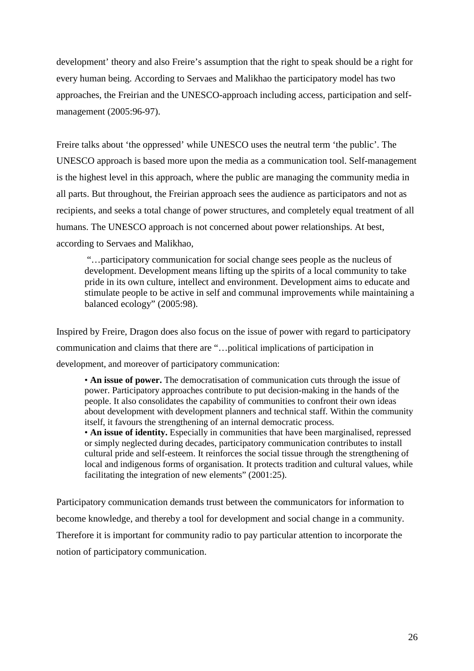development' theory and also Freire's assumption that the right to speak should be a right for every human being. According to Servaes and Malikhao the participatory model has two approaches, the Freirian and the UNESCO-approach including access, participation and selfmanagement (2005:96-97).

Freire talks about 'the oppressed' while UNESCO uses the neutral term 'the public'. The UNESCO approach is based more upon the media as a communication tool. Self-management is the highest level in this approach, where the public are managing the community media in all parts. But throughout, the Freirian approach sees the audience as participators and not as recipients, and seeks a total change of power structures, and completely equal treatment of all humans. The UNESCO approach is not concerned about power relationships. At best, according to Servaes and Malikhao,

 "…participatory communication for social change sees people as the nucleus of development. Development means lifting up the spirits of a local community to take pride in its own culture, intellect and environment. Development aims to educate and stimulate people to be active in self and communal improvements while maintaining a balanced ecology" (2005:98).

Inspired by Freire, Dragon does also focus on the issue of power with regard to participatory communication and claims that there are "…political implications of participation in development, and moreover of participatory communication:

• **An issue of power.** The democratisation of communication cuts through the issue of power. Participatory approaches contribute to put decision-making in the hands of the people. It also consolidates the capability of communities to confront their own ideas about development with development planners and technical staff. Within the community itself, it favours the strengthening of an internal democratic process.

• An issue of identity. Especially in communities that have been marginalised, repressed or simply neglected during decades, participatory communication contributes to install cultural pride and self-esteem. It reinforces the social tissue through the strengthening of local and indigenous forms of organisation. It protects tradition and cultural values, while facilitating the integration of new elements" (2001:25).

Participatory communication demands trust between the communicators for information to become knowledge, and thereby a tool for development and social change in a community. Therefore it is important for community radio to pay particular attention to incorporate the notion of participatory communication.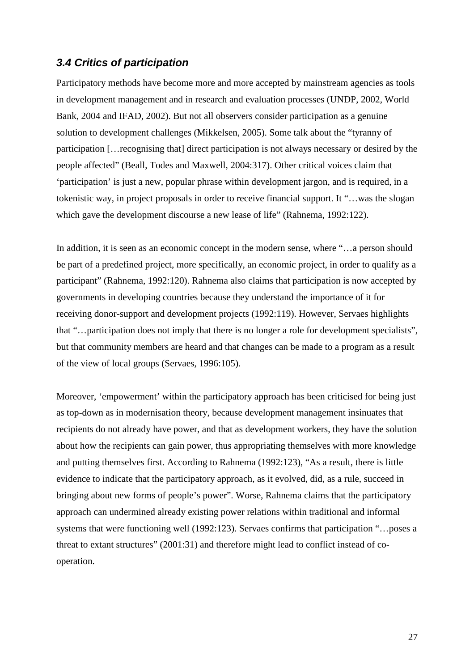#### **3.4 Critics of participation**

Participatory methods have become more and more accepted by mainstream agencies as tools in development management and in research and evaluation processes (UNDP, 2002, World Bank, 2004 and IFAD, 2002). But not all observers consider participation as a genuine solution to development challenges (Mikkelsen, 2005). Some talk about the "tyranny of participation […recognising that] direct participation is not always necessary or desired by the people affected" (Beall, Todes and Maxwell, 2004:317). Other critical voices claim that 'participation' is just a new, popular phrase within development jargon, and is required, in a tokenistic way, in project proposals in order to receive financial support. It "…was the slogan which gave the development discourse a new lease of life" (Rahnema, 1992:122).

In addition, it is seen as an economic concept in the modern sense, where "…a person should be part of a predefined project, more specifically, an economic project, in order to qualify as a participant" (Rahnema, 1992:120). Rahnema also claims that participation is now accepted by governments in developing countries because they understand the importance of it for receiving donor-support and development projects (1992:119). However, Servaes highlights that "…participation does not imply that there is no longer a role for development specialists", but that community members are heard and that changes can be made to a program as a result of the view of local groups (Servaes, 1996:105).

Moreover, 'empowerment' within the participatory approach has been criticised for being just as top-down as in modernisation theory, because development management insinuates that recipients do not already have power, and that as development workers, they have the solution about how the recipients can gain power, thus appropriating themselves with more knowledge and putting themselves first. According to Rahnema (1992:123), "As a result, there is little evidence to indicate that the participatory approach, as it evolved, did, as a rule, succeed in bringing about new forms of people's power". Worse, Rahnema claims that the participatory approach can undermined already existing power relations within traditional and informal systems that were functioning well (1992:123). Servaes confirms that participation "…poses a threat to extant structures" (2001:31) and therefore might lead to conflict instead of cooperation.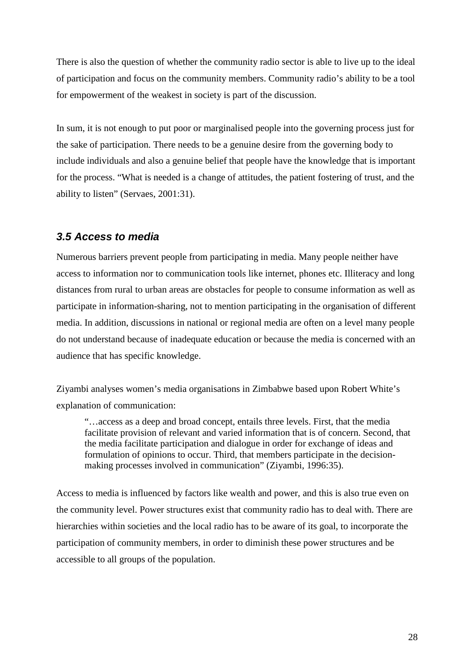There is also the question of whether the community radio sector is able to live up to the ideal of participation and focus on the community members. Community radio's ability to be a tool for empowerment of the weakest in society is part of the discussion.

In sum, it is not enough to put poor or marginalised people into the governing process just for the sake of participation. There needs to be a genuine desire from the governing body to include individuals and also a genuine belief that people have the knowledge that is important for the process. "What is needed is a change of attitudes, the patient fostering of trust, and the ability to listen" (Servaes, 2001:31).

### **3.5 Access to media**

Numerous barriers prevent people from participating in media. Many people neither have access to information nor to communication tools like internet, phones etc. Illiteracy and long distances from rural to urban areas are obstacles for people to consume information as well as participate in information-sharing, not to mention participating in the organisation of different media. In addition, discussions in national or regional media are often on a level many people do not understand because of inadequate education or because the media is concerned with an audience that has specific knowledge.

Ziyambi analyses women's media organisations in Zimbabwe based upon Robert White's explanation of communication:

"…access as a deep and broad concept, entails three levels. First, that the media facilitate provision of relevant and varied information that is of concern. Second, that the media facilitate participation and dialogue in order for exchange of ideas and formulation of opinions to occur. Third, that members participate in the decisionmaking processes involved in communication" (Ziyambi, 1996:35).

Access to media is influenced by factors like wealth and power, and this is also true even on the community level. Power structures exist that community radio has to deal with. There are hierarchies within societies and the local radio has to be aware of its goal, to incorporate the participation of community members, in order to diminish these power structures and be accessible to all groups of the population.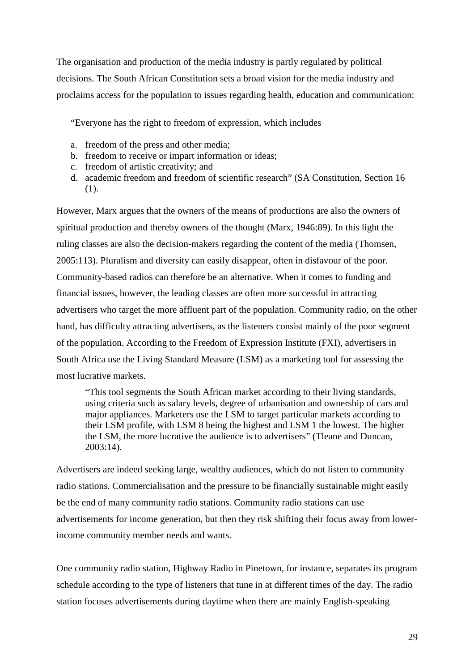The organisation and production of the media industry is partly regulated by political decisions. The South African Constitution sets a broad vision for the media industry and proclaims access for the population to issues regarding health, education and communication:

"Everyone has the right to freedom of expression, which includes

- a. freedom of the press and other media;
- b. freedom to receive or impart information or ideas;
- c. freedom of artistic creativity; and
- d. academic freedom and freedom of scientific research" (SA Constitution, Section 16 (1).

However, Marx argues that the owners of the means of productions are also the owners of spiritual production and thereby owners of the thought (Marx, 1946:89). In this light the ruling classes are also the decision-makers regarding the content of the media (Thomsen, 2005:113). Pluralism and diversity can easily disappear, often in disfavour of the poor. Community-based radios can therefore be an alternative. When it comes to funding and financial issues, however, the leading classes are often more successful in attracting advertisers who target the more affluent part of the population. Community radio, on the other hand, has difficulty attracting advertisers, as the listeners consist mainly of the poor segment of the population. According to the Freedom of Expression Institute (FXI), advertisers in South Africa use the Living Standard Measure (LSM) as a marketing tool for assessing the most lucrative markets.

"This tool segments the South African market according to their living standards, using criteria such as salary levels, degree of urbanisation and ownership of cars and major appliances. Marketers use the LSM to target particular markets according to their LSM profile, with LSM 8 being the highest and LSM 1 the lowest. The higher the LSM, the more lucrative the audience is to advertisers" (Tleane and Duncan, 2003:14).

Advertisers are indeed seeking large, wealthy audiences, which do not listen to community radio stations. Commercialisation and the pressure to be financially sustainable might easily be the end of many community radio stations. Community radio stations can use advertisements for income generation, but then they risk shifting their focus away from lowerincome community member needs and wants.

One community radio station, Highway Radio in Pinetown, for instance, separates its program schedule according to the type of listeners that tune in at different times of the day. The radio station focuses advertisements during daytime when there are mainly English-speaking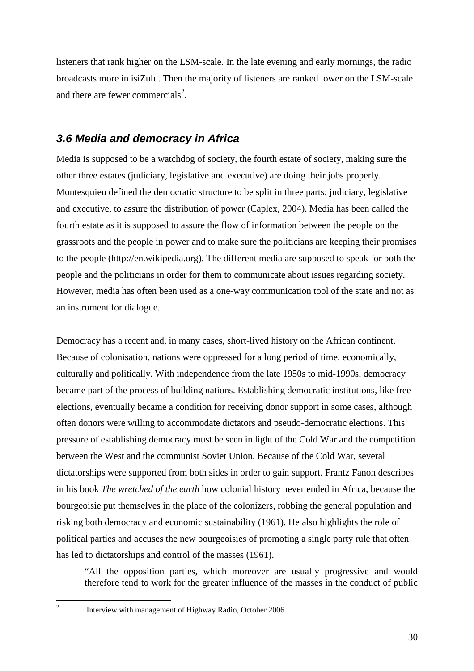listeners that rank higher on the LSM-scale. In the late evening and early mornings, the radio broadcasts more in isiZulu. Then the majority of listeners are ranked lower on the LSM-scale and there are fewer commercials<sup>2</sup>.

### **3.6 Media and democracy in Africa**

Media is supposed to be a watchdog of society, the fourth estate of society, making sure the other three estates (judiciary, legislative and executive) are doing their jobs properly. Montesquieu defined the democratic structure to be split in three parts; judiciary, legislative and executive, to assure the distribution of power (Caplex, 2004). Media has been called the fourth estate as it is supposed to assure the flow of information between the people on the grassroots and the people in power and to make sure the politicians are keeping their promises to the people (http://en.wikipedia.org). The different media are supposed to speak for both the people and the politicians in order for them to communicate about issues regarding society. However, media has often been used as a one-way communication tool of the state and not as an instrument for dialogue.

Democracy has a recent and, in many cases, short-lived history on the African continent. Because of colonisation, nations were oppressed for a long period of time, economically, culturally and politically. With independence from the late 1950s to mid-1990s, democracy became part of the process of building nations. Establishing democratic institutions, like free elections, eventually became a condition for receiving donor support in some cases, although often donors were willing to accommodate dictators and pseudo-democratic elections. This pressure of establishing democracy must be seen in light of the Cold War and the competition between the West and the communist Soviet Union. Because of the Cold War, several dictatorships were supported from both sides in order to gain support. Frantz Fanon describes in his book *The wretched of the earth* how colonial history never ended in Africa, because the bourgeoisie put themselves in the place of the colonizers, robbing the general population and risking both democracy and economic sustainability (1961). He also highlights the role of political parties and accuses the new bourgeoisies of promoting a single party rule that often has led to dictatorships and control of the masses (1961).

"All the opposition parties, which moreover are usually progressive and would therefore tend to work for the greater influence of the masses in the conduct of public

 $\overline{a}$ 2

Interview with management of Highway Radio, October 2006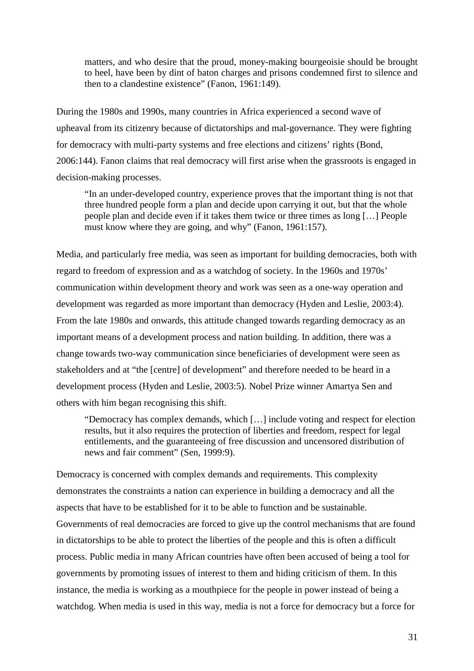matters, and who desire that the proud, money-making bourgeoisie should be brought to heel, have been by dint of baton charges and prisons condemned first to silence and then to a clandestine existence" (Fanon, 1961:149).

During the 1980s and 1990s, many countries in Africa experienced a second wave of upheaval from its citizenry because of dictatorships and mal-governance. They were fighting for democracy with multi-party systems and free elections and citizens' rights (Bond, 2006:144). Fanon claims that real democracy will first arise when the grassroots is engaged in decision-making processes.

"In an under-developed country, experience proves that the important thing is not that three hundred people form a plan and decide upon carrying it out, but that the whole people plan and decide even if it takes them twice or three times as long […] People must know where they are going, and why" (Fanon, 1961:157).

Media, and particularly free media, was seen as important for building democracies, both with regard to freedom of expression and as a watchdog of society. In the 1960s and 1970s' communication within development theory and work was seen as a one-way operation and development was regarded as more important than democracy (Hyden and Leslie, 2003:4). From the late 1980s and onwards, this attitude changed towards regarding democracy as an important means of a development process and nation building. In addition, there was a change towards two-way communication since beneficiaries of development were seen as stakeholders and at "the [centre] of development" and therefore needed to be heard in a development process (Hyden and Leslie, 2003:5). Nobel Prize winner Amartya Sen and others with him began recognising this shift.

"Democracy has complex demands, which […] include voting and respect for election results, but it also requires the protection of liberties and freedom, respect for legal entitlements, and the guaranteeing of free discussion and uncensored distribution of news and fair comment" (Sen, 1999:9).

Democracy is concerned with complex demands and requirements. This complexity demonstrates the constraints a nation can experience in building a democracy and all the aspects that have to be established for it to be able to function and be sustainable. Governments of real democracies are forced to give up the control mechanisms that are found in dictatorships to be able to protect the liberties of the people and this is often a difficult process. Public media in many African countries have often been accused of being a tool for governments by promoting issues of interest to them and hiding criticism of them. In this instance, the media is working as a mouthpiece for the people in power instead of being a watchdog. When media is used in this way, media is not a force for democracy but a force for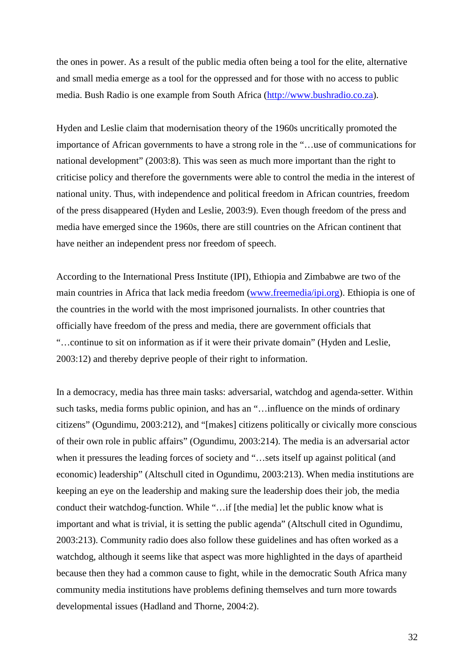the ones in power. As a result of the public media often being a tool for the elite, alternative and small media emerge as a tool for the oppressed and for those with no access to public media. Bush Radio is one example from South Africa (http://www.bushradio.co.za).

Hyden and Leslie claim that modernisation theory of the 1960s uncritically promoted the importance of African governments to have a strong role in the "…use of communications for national development" (2003:8). This was seen as much more important than the right to criticise policy and therefore the governments were able to control the media in the interest of national unity. Thus, with independence and political freedom in African countries, freedom of the press disappeared (Hyden and Leslie, 2003:9). Even though freedom of the press and media have emerged since the 1960s, there are still countries on the African continent that have neither an independent press nor freedom of speech.

According to the International Press Institute (IPI), Ethiopia and Zimbabwe are two of the main countries in Africa that lack media freedom (www.freemedia/ipi.org). Ethiopia is one of the countries in the world with the most imprisoned journalists. In other countries that officially have freedom of the press and media, there are government officials that "…continue to sit on information as if it were their private domain" (Hyden and Leslie, 2003:12) and thereby deprive people of their right to information.

In a democracy, media has three main tasks: adversarial, watchdog and agenda-setter. Within such tasks, media forms public opinion, and has an "…influence on the minds of ordinary citizens" (Ogundimu, 2003:212), and "[makes] citizens politically or civically more conscious of their own role in public affairs" (Ogundimu, 2003:214). The media is an adversarial actor when it pressures the leading forces of society and "…sets itself up against political (and economic) leadership" (Altschull cited in Ogundimu, 2003:213). When media institutions are keeping an eye on the leadership and making sure the leadership does their job, the media conduct their watchdog-function. While "…if [the media] let the public know what is important and what is trivial, it is setting the public agenda" (Altschull cited in Ogundimu, 2003:213). Community radio does also follow these guidelines and has often worked as a watchdog, although it seems like that aspect was more highlighted in the days of apartheid because then they had a common cause to fight, while in the democratic South Africa many community media institutions have problems defining themselves and turn more towards developmental issues (Hadland and Thorne, 2004:2).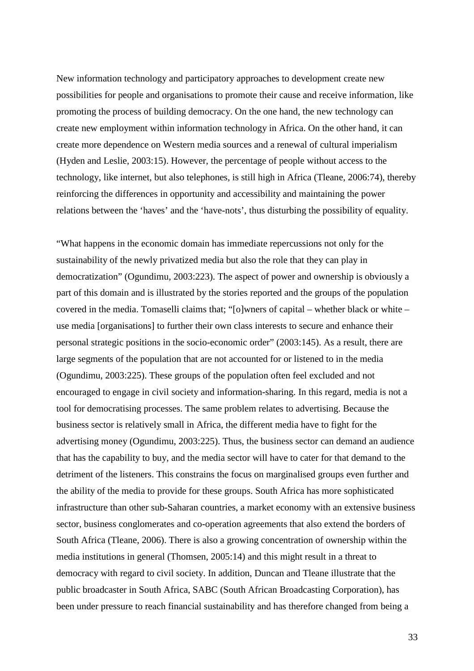New information technology and participatory approaches to development create new possibilities for people and organisations to promote their cause and receive information, like promoting the process of building democracy. On the one hand, the new technology can create new employment within information technology in Africa. On the other hand, it can create more dependence on Western media sources and a renewal of cultural imperialism (Hyden and Leslie, 2003:15). However, the percentage of people without access to the technology, like internet, but also telephones, is still high in Africa (Tleane, 2006:74), thereby reinforcing the differences in opportunity and accessibility and maintaining the power relations between the 'haves' and the 'have-nots', thus disturbing the possibility of equality.

"What happens in the economic domain has immediate repercussions not only for the sustainability of the newly privatized media but also the role that they can play in democratization" (Ogundimu, 2003:223). The aspect of power and ownership is obviously a part of this domain and is illustrated by the stories reported and the groups of the population covered in the media. Tomaselli claims that; "[o]wners of capital – whether black or white – use media [organisations] to further their own class interests to secure and enhance their personal strategic positions in the socio-economic order" (2003:145). As a result, there are large segments of the population that are not accounted for or listened to in the media (Ogundimu, 2003:225). These groups of the population often feel excluded and not encouraged to engage in civil society and information-sharing. In this regard, media is not a tool for democratising processes. The same problem relates to advertising. Because the business sector is relatively small in Africa, the different media have to fight for the advertising money (Ogundimu, 2003:225). Thus, the business sector can demand an audience that has the capability to buy, and the media sector will have to cater for that demand to the detriment of the listeners. This constrains the focus on marginalised groups even further and the ability of the media to provide for these groups. South Africa has more sophisticated infrastructure than other sub-Saharan countries, a market economy with an extensive business sector, business conglomerates and co-operation agreements that also extend the borders of South Africa (Tleane, 2006). There is also a growing concentration of ownership within the media institutions in general (Thomsen, 2005:14) and this might result in a threat to democracy with regard to civil society. In addition, Duncan and Tleane illustrate that the public broadcaster in South Africa, SABC (South African Broadcasting Corporation), has been under pressure to reach financial sustainability and has therefore changed from being a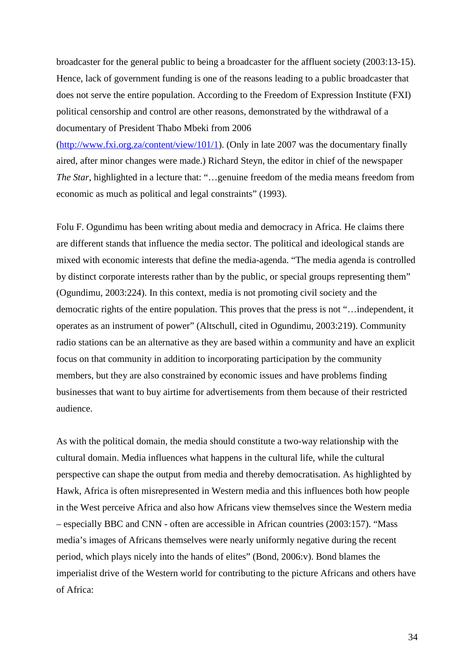broadcaster for the general public to being a broadcaster for the affluent society (2003:13-15). Hence, lack of government funding is one of the reasons leading to a public broadcaster that does not serve the entire population. According to the Freedom of Expression Institute (FXI) political censorship and control are other reasons, demonstrated by the withdrawal of a documentary of President Thabo Mbeki from 2006

(http://www.fxi.org.za/content/view/101/1). (Only in late 2007 was the documentary finally aired, after minor changes were made.) Richard Steyn, the editor in chief of the newspaper *The Star*, highlighted in a lecture that: "…genuine freedom of the media means freedom from economic as much as political and legal constraints" (1993).

Folu F. Ogundimu has been writing about media and democracy in Africa. He claims there are different stands that influence the media sector. The political and ideological stands are mixed with economic interests that define the media-agenda. "The media agenda is controlled by distinct corporate interests rather than by the public, or special groups representing them" (Ogundimu, 2003:224). In this context, media is not promoting civil society and the democratic rights of the entire population. This proves that the press is not "…independent, it operates as an instrument of power" (Altschull, cited in Ogundimu, 2003:219). Community radio stations can be an alternative as they are based within a community and have an explicit focus on that community in addition to incorporating participation by the community members, but they are also constrained by economic issues and have problems finding businesses that want to buy airtime for advertisements from them because of their restricted audience.

As with the political domain, the media should constitute a two-way relationship with the cultural domain. Media influences what happens in the cultural life, while the cultural perspective can shape the output from media and thereby democratisation. As highlighted by Hawk, Africa is often misrepresented in Western media and this influences both how people in the West perceive Africa and also how Africans view themselves since the Western media – especially BBC and CNN - often are accessible in African countries (2003:157). "Mass media's images of Africans themselves were nearly uniformly negative during the recent period, which plays nicely into the hands of elites" (Bond, 2006:v). Bond blames the imperialist drive of the Western world for contributing to the picture Africans and others have of Africa: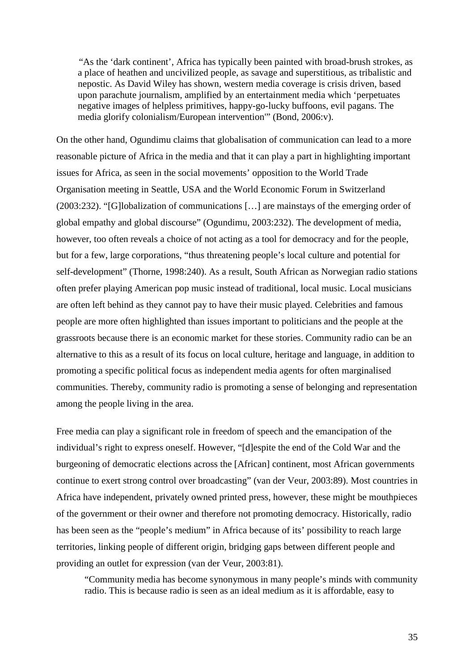"As the 'dark continent', Africa has typically been painted with broad-brush strokes, as a place of heathen and uncivilized people, as savage and superstitious, as tribalistic and nepostic. As David Wiley has shown, western media coverage is crisis driven, based upon parachute journalism, amplified by an entertainment media which 'perpetuates negative images of helpless primitives, happy-go-lucky buffoons, evil pagans. The media glorify colonialism/European intervention'" (Bond, 2006:v).

On the other hand, Ogundimu claims that globalisation of communication can lead to a more reasonable picture of Africa in the media and that it can play a part in highlighting important issues for Africa, as seen in the social movements' opposition to the World Trade Organisation meeting in Seattle, USA and the World Economic Forum in Switzerland (2003:232). "[G]lobalization of communications […] are mainstays of the emerging order of global empathy and global discourse" (Ogundimu, 2003:232). The development of media, however, too often reveals a choice of not acting as a tool for democracy and for the people, but for a few, large corporations, "thus threatening people's local culture and potential for self-development" (Thorne, 1998:240). As a result, South African as Norwegian radio stations often prefer playing American pop music instead of traditional, local music. Local musicians are often left behind as they cannot pay to have their music played. Celebrities and famous people are more often highlighted than issues important to politicians and the people at the grassroots because there is an economic market for these stories. Community radio can be an alternative to this as a result of its focus on local culture, heritage and language, in addition to promoting a specific political focus as independent media agents for often marginalised communities. Thereby, community radio is promoting a sense of belonging and representation among the people living in the area.

Free media can play a significant role in freedom of speech and the emancipation of the individual's right to express oneself. However, "[d]espite the end of the Cold War and the burgeoning of democratic elections across the [African] continent, most African governments continue to exert strong control over broadcasting" (van der Veur, 2003:89). Most countries in Africa have independent, privately owned printed press, however, these might be mouthpieces of the government or their owner and therefore not promoting democracy. Historically, radio has been seen as the "people's medium" in Africa because of its' possibility to reach large territories, linking people of different origin, bridging gaps between different people and providing an outlet for expression (van der Veur, 2003:81).

"Community media has become synonymous in many people's minds with community radio. This is because radio is seen as an ideal medium as it is affordable, easy to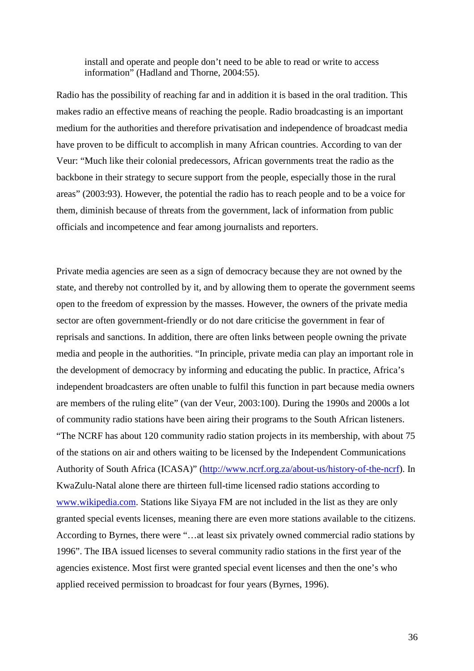install and operate and people don't need to be able to read or write to access information" (Hadland and Thorne, 2004:55).

Radio has the possibility of reaching far and in addition it is based in the oral tradition. This makes radio an effective means of reaching the people. Radio broadcasting is an important medium for the authorities and therefore privatisation and independence of broadcast media have proven to be difficult to accomplish in many African countries. According to van der Veur: "Much like their colonial predecessors, African governments treat the radio as the backbone in their strategy to secure support from the people, especially those in the rural areas" (2003:93). However, the potential the radio has to reach people and to be a voice for them, diminish because of threats from the government, lack of information from public officials and incompetence and fear among journalists and reporters.

Private media agencies are seen as a sign of democracy because they are not owned by the state, and thereby not controlled by it, and by allowing them to operate the government seems open to the freedom of expression by the masses. However, the owners of the private media sector are often government-friendly or do not dare criticise the government in fear of reprisals and sanctions. In addition, there are often links between people owning the private media and people in the authorities. "In principle, private media can play an important role in the development of democracy by informing and educating the public. In practice, Africa's independent broadcasters are often unable to fulfil this function in part because media owners are members of the ruling elite" (van der Veur, 2003:100). During the 1990s and 2000s a lot of community radio stations have been airing their programs to the South African listeners. "The NCRF has about 120 community radio station projects in its membership, with about 75 of the stations on air and others waiting to be licensed by the Independent Communications Authority of South Africa (ICASA)" (http://www.ncrf.org.za/about-us/history-of-the-ncrf). In KwaZulu-Natal alone there are thirteen full-time licensed radio stations according to www.wikipedia.com. Stations like Siyaya FM are not included in the list as they are only granted special events licenses, meaning there are even more stations available to the citizens. According to Byrnes, there were "…at least six privately owned commercial radio stations by 1996". The IBA issued licenses to several community radio stations in the first year of the agencies existence. Most first were granted special event licenses and then the one's who applied received permission to broadcast for four years (Byrnes, 1996).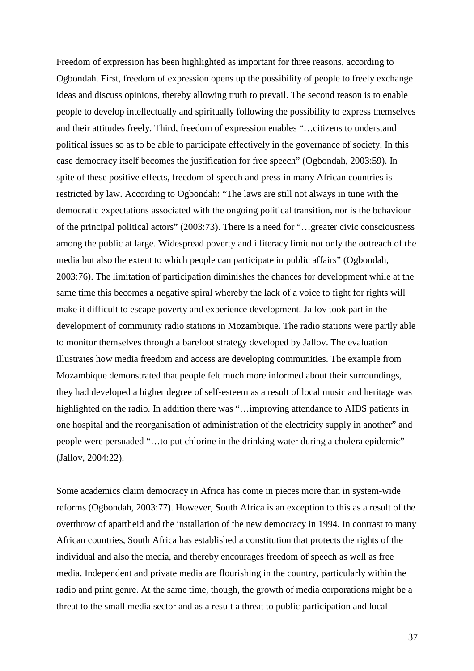Freedom of expression has been highlighted as important for three reasons, according to Ogbondah. First, freedom of expression opens up the possibility of people to freely exchange ideas and discuss opinions, thereby allowing truth to prevail. The second reason is to enable people to develop intellectually and spiritually following the possibility to express themselves and their attitudes freely. Third, freedom of expression enables "…citizens to understand political issues so as to be able to participate effectively in the governance of society. In this case democracy itself becomes the justification for free speech" (Ogbondah, 2003:59). In spite of these positive effects, freedom of speech and press in many African countries is restricted by law. According to Ogbondah: "The laws are still not always in tune with the democratic expectations associated with the ongoing political transition, nor is the behaviour of the principal political actors" (2003:73). There is a need for "…greater civic consciousness among the public at large. Widespread poverty and illiteracy limit not only the outreach of the media but also the extent to which people can participate in public affairs" (Ogbondah, 2003:76). The limitation of participation diminishes the chances for development while at the same time this becomes a negative spiral whereby the lack of a voice to fight for rights will make it difficult to escape poverty and experience development. Jallov took part in the development of community radio stations in Mozambique. The radio stations were partly able to monitor themselves through a barefoot strategy developed by Jallov. The evaluation illustrates how media freedom and access are developing communities. The example from Mozambique demonstrated that people felt much more informed about their surroundings, they had developed a higher degree of self-esteem as a result of local music and heritage was highlighted on the radio. In addition there was "…improving attendance to AIDS patients in one hospital and the reorganisation of administration of the electricity supply in another" and people were persuaded "…to put chlorine in the drinking water during a cholera epidemic" (Jallov, 2004:22).

Some academics claim democracy in Africa has come in pieces more than in system-wide reforms (Ogbondah, 2003:77). However, South Africa is an exception to this as a result of the overthrow of apartheid and the installation of the new democracy in 1994. In contrast to many African countries, South Africa has established a constitution that protects the rights of the individual and also the media, and thereby encourages freedom of speech as well as free media. Independent and private media are flourishing in the country, particularly within the radio and print genre. At the same time, though, the growth of media corporations might be a threat to the small media sector and as a result a threat to public participation and local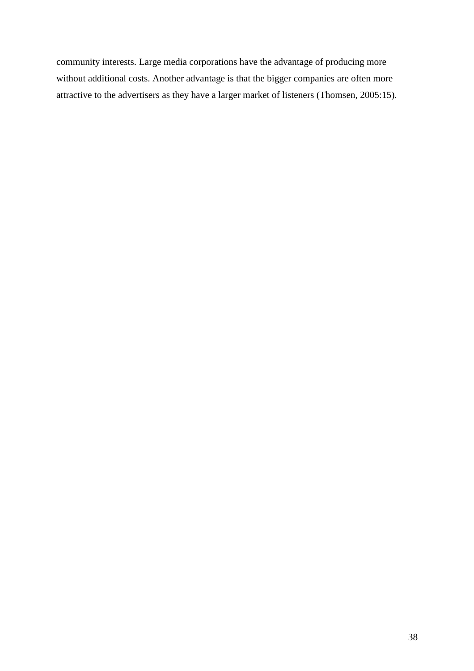community interests. Large media corporations have the advantage of producing more without additional costs. Another advantage is that the bigger companies are often more attractive to the advertisers as they have a larger market of listeners (Thomsen, 2005:15).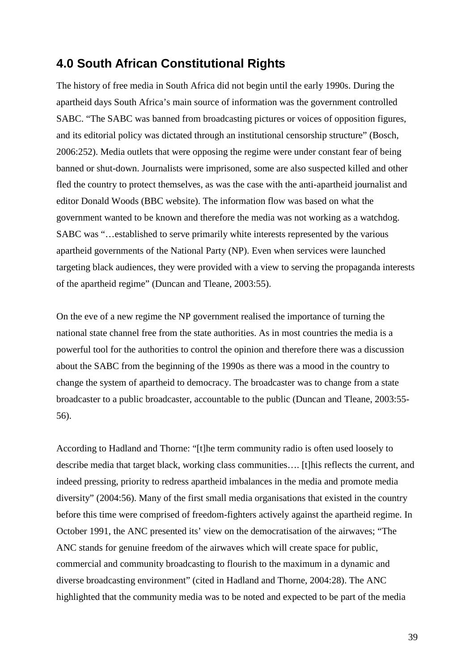# **4.0 South African Constitutional Rights**

The history of free media in South Africa did not begin until the early 1990s. During the apartheid days South Africa's main source of information was the government controlled SABC. "The SABC was banned from broadcasting pictures or voices of opposition figures, and its editorial policy was dictated through an institutional censorship structure" (Bosch, 2006:252). Media outlets that were opposing the regime were under constant fear of being banned or shut-down. Journalists were imprisoned, some are also suspected killed and other fled the country to protect themselves, as was the case with the anti-apartheid journalist and editor Donald Woods (BBC website). The information flow was based on what the government wanted to be known and therefore the media was not working as a watchdog. SABC was "…established to serve primarily white interests represented by the various apartheid governments of the National Party (NP). Even when services were launched targeting black audiences, they were provided with a view to serving the propaganda interests of the apartheid regime" (Duncan and Tleane, 2003:55).

On the eve of a new regime the NP government realised the importance of turning the national state channel free from the state authorities. As in most countries the media is a powerful tool for the authorities to control the opinion and therefore there was a discussion about the SABC from the beginning of the 1990s as there was a mood in the country to change the system of apartheid to democracy. The broadcaster was to change from a state broadcaster to a public broadcaster, accountable to the public (Duncan and Tleane, 2003:55- 56).

According to Hadland and Thorne: "[t]he term community radio is often used loosely to describe media that target black, working class communities…. [t]his reflects the current, and indeed pressing, priority to redress apartheid imbalances in the media and promote media diversity" (2004:56). Many of the first small media organisations that existed in the country before this time were comprised of freedom-fighters actively against the apartheid regime. In October 1991, the ANC presented its' view on the democratisation of the airwaves; "The ANC stands for genuine freedom of the airwaves which will create space for public, commercial and community broadcasting to flourish to the maximum in a dynamic and diverse broadcasting environment" (cited in Hadland and Thorne, 2004:28). The ANC highlighted that the community media was to be noted and expected to be part of the media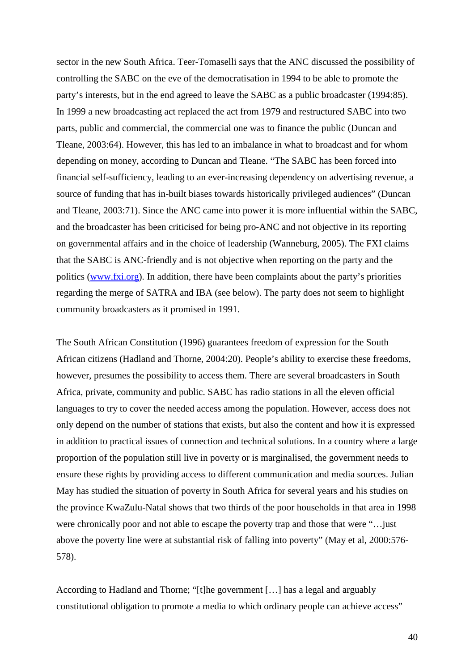sector in the new South Africa. Teer-Tomaselli says that the ANC discussed the possibility of controlling the SABC on the eve of the democratisation in 1994 to be able to promote the party's interests, but in the end agreed to leave the SABC as a public broadcaster (1994:85). In 1999 a new broadcasting act replaced the act from 1979 and restructured SABC into two parts, public and commercial, the commercial one was to finance the public (Duncan and Tleane, 2003:64). However, this has led to an imbalance in what to broadcast and for whom depending on money, according to Duncan and Tleane. "The SABC has been forced into financial self-sufficiency, leading to an ever-increasing dependency on advertising revenue, a source of funding that has in-built biases towards historically privileged audiences" (Duncan and Tleane, 2003:71). Since the ANC came into power it is more influential within the SABC, and the broadcaster has been criticised for being pro-ANC and not objective in its reporting on governmental affairs and in the choice of leadership (Wanneburg, 2005). The FXI claims that the SABC is ANC-friendly and is not objective when reporting on the party and the politics (www.fxi.org). In addition, there have been complaints about the party's priorities regarding the merge of SATRA and IBA (see below). The party does not seem to highlight community broadcasters as it promised in 1991.

The South African Constitution (1996) guarantees freedom of expression for the South African citizens (Hadland and Thorne, 2004:20). People's ability to exercise these freedoms, however, presumes the possibility to access them. There are several broadcasters in South Africa, private, community and public. SABC has radio stations in all the eleven official languages to try to cover the needed access among the population. However, access does not only depend on the number of stations that exists, but also the content and how it is expressed in addition to practical issues of connection and technical solutions. In a country where a large proportion of the population still live in poverty or is marginalised, the government needs to ensure these rights by providing access to different communication and media sources. Julian May has studied the situation of poverty in South Africa for several years and his studies on the province KwaZulu-Natal shows that two thirds of the poor households in that area in 1998 were chronically poor and not able to escape the poverty trap and those that were "…just above the poverty line were at substantial risk of falling into poverty" (May et al, 2000:576- 578).

According to Hadland and Thorne; "[t]he government […] has a legal and arguably constitutional obligation to promote a media to which ordinary people can achieve access"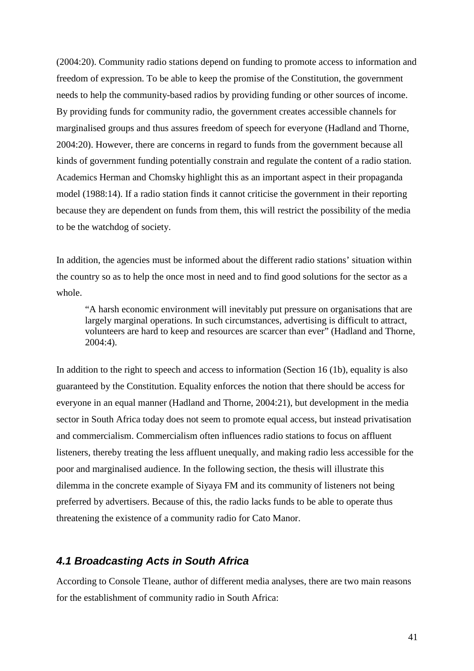(2004:20). Community radio stations depend on funding to promote access to information and freedom of expression. To be able to keep the promise of the Constitution, the government needs to help the community-based radios by providing funding or other sources of income. By providing funds for community radio, the government creates accessible channels for marginalised groups and thus assures freedom of speech for everyone (Hadland and Thorne, 2004:20). However, there are concerns in regard to funds from the government because all kinds of government funding potentially constrain and regulate the content of a radio station. Academics Herman and Chomsky highlight this as an important aspect in their propaganda model (1988:14). If a radio station finds it cannot criticise the government in their reporting because they are dependent on funds from them, this will restrict the possibility of the media to be the watchdog of society.

In addition, the agencies must be informed about the different radio stations' situation within the country so as to help the once most in need and to find good solutions for the sector as a whole.

"A harsh economic environment will inevitably put pressure on organisations that are largely marginal operations. In such circumstances, advertising is difficult to attract, volunteers are hard to keep and resources are scarcer than ever" (Hadland and Thorne, 2004:4).

In addition to the right to speech and access to information (Section 16 (1b), equality is also guaranteed by the Constitution. Equality enforces the notion that there should be access for everyone in an equal manner (Hadland and Thorne, 2004:21), but development in the media sector in South Africa today does not seem to promote equal access, but instead privatisation and commercialism. Commercialism often influences radio stations to focus on affluent listeners, thereby treating the less affluent unequally, and making radio less accessible for the poor and marginalised audience. In the following section, the thesis will illustrate this dilemma in the concrete example of Siyaya FM and its community of listeners not being preferred by advertisers. Because of this, the radio lacks funds to be able to operate thus threatening the existence of a community radio for Cato Manor.

#### **4.1 Broadcasting Acts in South Africa**

According to Console Tleane, author of different media analyses, there are two main reasons for the establishment of community radio in South Africa: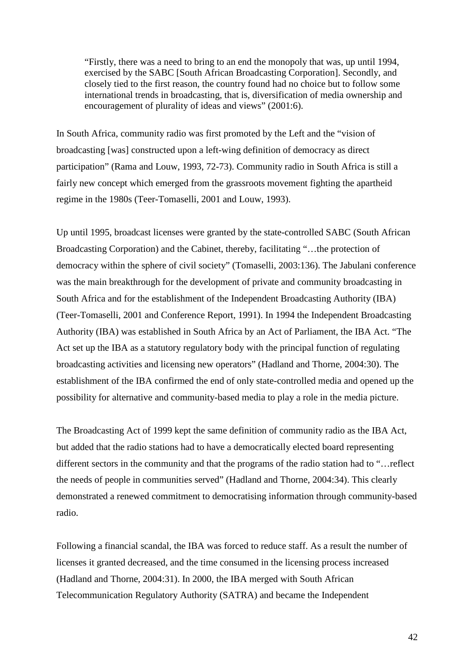"Firstly, there was a need to bring to an end the monopoly that was, up until 1994, exercised by the SABC [South African Broadcasting Corporation]. Secondly, and closely tied to the first reason, the country found had no choice but to follow some international trends in broadcasting, that is, diversification of media ownership and encouragement of plurality of ideas and views" (2001:6).

In South Africa, community radio was first promoted by the Left and the "vision of broadcasting [was] constructed upon a left-wing definition of democracy as direct participation" (Rama and Louw, 1993, 72-73). Community radio in South Africa is still a fairly new concept which emerged from the grassroots movement fighting the apartheid regime in the 1980s (Teer-Tomaselli, 2001 and Louw, 1993).

Up until 1995, broadcast licenses were granted by the state-controlled SABC (South African Broadcasting Corporation) and the Cabinet, thereby, facilitating "…the protection of democracy within the sphere of civil society" (Tomaselli, 2003:136). The Jabulani conference was the main breakthrough for the development of private and community broadcasting in South Africa and for the establishment of the Independent Broadcasting Authority (IBA) (Teer-Tomaselli, 2001 and Conference Report, 1991). In 1994 the Independent Broadcasting Authority (IBA) was established in South Africa by an Act of Parliament, the IBA Act. "The Act set up the IBA as a statutory regulatory body with the principal function of regulating broadcasting activities and licensing new operators" (Hadland and Thorne, 2004:30). The establishment of the IBA confirmed the end of only state-controlled media and opened up the possibility for alternative and community-based media to play a role in the media picture.

The Broadcasting Act of 1999 kept the same definition of community radio as the IBA Act, but added that the radio stations had to have a democratically elected board representing different sectors in the community and that the programs of the radio station had to "…reflect the needs of people in communities served" (Hadland and Thorne, 2004:34). This clearly demonstrated a renewed commitment to democratising information through community-based radio.

Following a financial scandal, the IBA was forced to reduce staff. As a result the number of licenses it granted decreased, and the time consumed in the licensing process increased (Hadland and Thorne, 2004:31). In 2000, the IBA merged with South African Telecommunication Regulatory Authority (SATRA) and became the Independent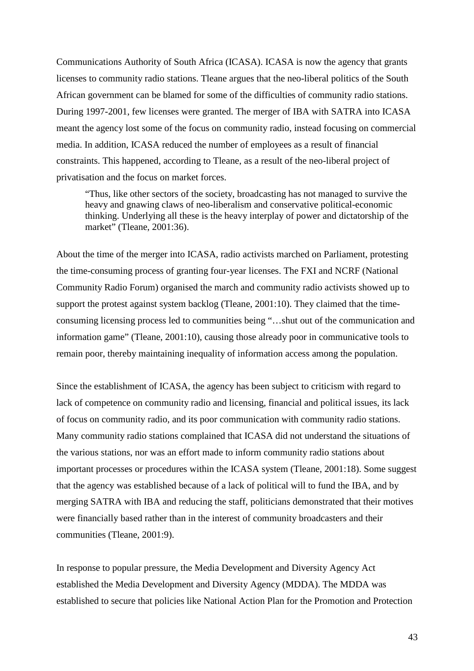Communications Authority of South Africa (ICASA). ICASA is now the agency that grants licenses to community radio stations. Tleane argues that the neo-liberal politics of the South African government can be blamed for some of the difficulties of community radio stations. During 1997-2001, few licenses were granted. The merger of IBA with SATRA into ICASA meant the agency lost some of the focus on community radio, instead focusing on commercial media. In addition, ICASA reduced the number of employees as a result of financial constraints. This happened, according to Tleane, as a result of the neo-liberal project of privatisation and the focus on market forces.

"Thus, like other sectors of the society, broadcasting has not managed to survive the heavy and gnawing claws of neo-liberalism and conservative political-economic thinking. Underlying all these is the heavy interplay of power and dictatorship of the market" (Tleane, 2001:36).

About the time of the merger into ICASA, radio activists marched on Parliament, protesting the time-consuming process of granting four-year licenses. The FXI and NCRF (National Community Radio Forum) organised the march and community radio activists showed up to support the protest against system backlog (Tleane, 2001:10). They claimed that the timeconsuming licensing process led to communities being "…shut out of the communication and information game" (Tleane, 2001:10), causing those already poor in communicative tools to remain poor, thereby maintaining inequality of information access among the population.

Since the establishment of ICASA, the agency has been subject to criticism with regard to lack of competence on community radio and licensing, financial and political issues, its lack of focus on community radio, and its poor communication with community radio stations. Many community radio stations complained that ICASA did not understand the situations of the various stations, nor was an effort made to inform community radio stations about important processes or procedures within the ICASA system (Tleane, 2001:18). Some suggest that the agency was established because of a lack of political will to fund the IBA, and by merging SATRA with IBA and reducing the staff, politicians demonstrated that their motives were financially based rather than in the interest of community broadcasters and their communities (Tleane, 2001:9).

In response to popular pressure, the Media Development and Diversity Agency Act established the Media Development and Diversity Agency (MDDA). The MDDA was established to secure that policies like National Action Plan for the Promotion and Protection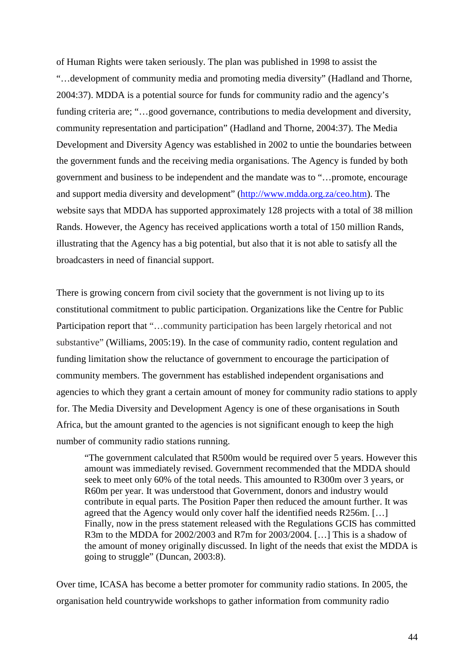of Human Rights were taken seriously. The plan was published in 1998 to assist the "…development of community media and promoting media diversity" (Hadland and Thorne, 2004:37). MDDA is a potential source for funds for community radio and the agency's funding criteria are; "...good governance, contributions to media development and diversity, community representation and participation" (Hadland and Thorne, 2004:37). The Media Development and Diversity Agency was established in 2002 to untie the boundaries between the government funds and the receiving media organisations. The Agency is funded by both government and business to be independent and the mandate was to "…promote, encourage and support media diversity and development" (http://www.mdda.org.za/ceo.htm). The website says that MDDA has supported approximately 128 projects with a total of 38 million Rands. However, the Agency has received applications worth a total of 150 million Rands, illustrating that the Agency has a big potential, but also that it is not able to satisfy all the broadcasters in need of financial support.

There is growing concern from civil society that the government is not living up to its constitutional commitment to public participation. Organizations like the Centre for Public Participation report that "…community participation has been largely rhetorical and not substantive" (Williams, 2005:19). In the case of community radio, content regulation and funding limitation show the reluctance of government to encourage the participation of community members. The government has established independent organisations and agencies to which they grant a certain amount of money for community radio stations to apply for. The Media Diversity and Development Agency is one of these organisations in South Africa, but the amount granted to the agencies is not significant enough to keep the high number of community radio stations running.

"The government calculated that R500m would be required over 5 years. However this amount was immediately revised. Government recommended that the MDDA should seek to meet only 60% of the total needs. This amounted to R300m over 3 years, or R60m per year. It was understood that Government, donors and industry would contribute in equal parts. The Position Paper then reduced the amount further. It was agreed that the Agency would only cover half the identified needs R256m. […] Finally, now in the press statement released with the Regulations GCIS has committed R3m to the MDDA for 2002/2003 and R7m for 2003/2004. […] This is a shadow of the amount of money originally discussed. In light of the needs that exist the MDDA is going to struggle" (Duncan, 2003:8).

Over time, ICASA has become a better promoter for community radio stations. In 2005, the organisation held countrywide workshops to gather information from community radio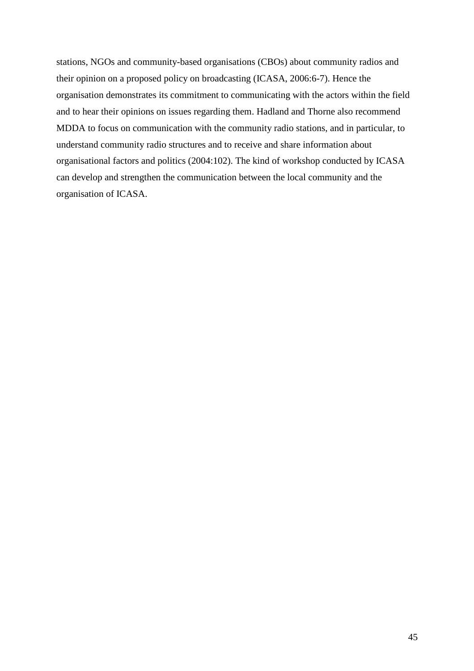stations, NGOs and community-based organisations (CBOs) about community radios and their opinion on a proposed policy on broadcasting (ICASA, 2006:6-7). Hence the organisation demonstrates its commitment to communicating with the actors within the field and to hear their opinions on issues regarding them. Hadland and Thorne also recommend MDDA to focus on communication with the community radio stations, and in particular, to understand community radio structures and to receive and share information about organisational factors and politics (2004:102). The kind of workshop conducted by ICASA can develop and strengthen the communication between the local community and the organisation of ICASA.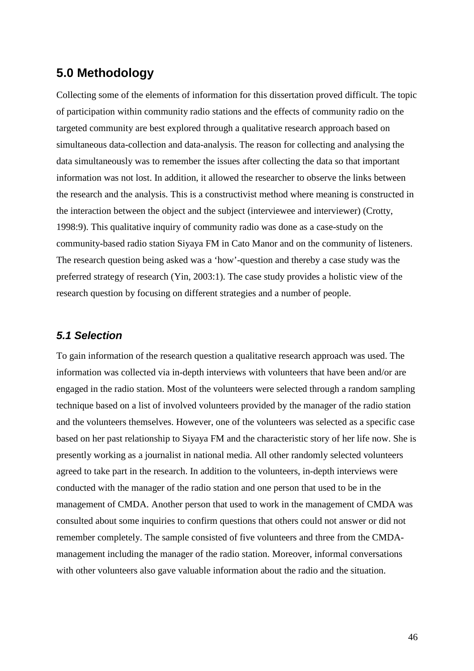# **5.0 Methodology**

Collecting some of the elements of information for this dissertation proved difficult. The topic of participation within community radio stations and the effects of community radio on the targeted community are best explored through a qualitative research approach based on simultaneous data-collection and data-analysis. The reason for collecting and analysing the data simultaneously was to remember the issues after collecting the data so that important information was not lost. In addition, it allowed the researcher to observe the links between the research and the analysis. This is a constructivist method where meaning is constructed in the interaction between the object and the subject (interviewee and interviewer) (Crotty, 1998:9). This qualitative inquiry of community radio was done as a case-study on the community-based radio station Siyaya FM in Cato Manor and on the community of listeners. The research question being asked was a 'how'-question and thereby a case study was the preferred strategy of research (Yin, 2003:1). The case study provides a holistic view of the research question by focusing on different strategies and a number of people.

### **5.1 Selection**

To gain information of the research question a qualitative research approach was used. The information was collected via in-depth interviews with volunteers that have been and/or are engaged in the radio station. Most of the volunteers were selected through a random sampling technique based on a list of involved volunteers provided by the manager of the radio station and the volunteers themselves. However, one of the volunteers was selected as a specific case based on her past relationship to Siyaya FM and the characteristic story of her life now. She is presently working as a journalist in national media. All other randomly selected volunteers agreed to take part in the research. In addition to the volunteers, in-depth interviews were conducted with the manager of the radio station and one person that used to be in the management of CMDA. Another person that used to work in the management of CMDA was consulted about some inquiries to confirm questions that others could not answer or did not remember completely. The sample consisted of five volunteers and three from the CMDAmanagement including the manager of the radio station. Moreover, informal conversations with other volunteers also gave valuable information about the radio and the situation.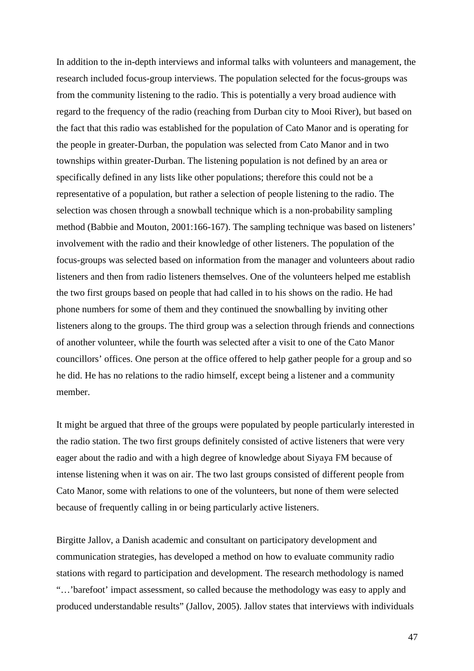In addition to the in-depth interviews and informal talks with volunteers and management, the research included focus-group interviews. The population selected for the focus-groups was from the community listening to the radio. This is potentially a very broad audience with regard to the frequency of the radio (reaching from Durban city to Mooi River), but based on the fact that this radio was established for the population of Cato Manor and is operating for the people in greater-Durban, the population was selected from Cato Manor and in two townships within greater-Durban. The listening population is not defined by an area or specifically defined in any lists like other populations; therefore this could not be a representative of a population, but rather a selection of people listening to the radio. The selection was chosen through a snowball technique which is a non-probability sampling method (Babbie and Mouton, 2001:166-167). The sampling technique was based on listeners' involvement with the radio and their knowledge of other listeners. The population of the focus-groups was selected based on information from the manager and volunteers about radio listeners and then from radio listeners themselves. One of the volunteers helped me establish the two first groups based on people that had called in to his shows on the radio. He had phone numbers for some of them and they continued the snowballing by inviting other listeners along to the groups. The third group was a selection through friends and connections of another volunteer, while the fourth was selected after a visit to one of the Cato Manor councillors' offices. One person at the office offered to help gather people for a group and so he did. He has no relations to the radio himself, except being a listener and a community member.

It might be argued that three of the groups were populated by people particularly interested in the radio station. The two first groups definitely consisted of active listeners that were very eager about the radio and with a high degree of knowledge about Siyaya FM because of intense listening when it was on air. The two last groups consisted of different people from Cato Manor, some with relations to one of the volunteers, but none of them were selected because of frequently calling in or being particularly active listeners.

Birgitte Jallov, a Danish academic and consultant on participatory development and communication strategies, has developed a method on how to evaluate community radio stations with regard to participation and development. The research methodology is named "…'barefoot' impact assessment, so called because the methodology was easy to apply and produced understandable results" (Jallov, 2005). Jallov states that interviews with individuals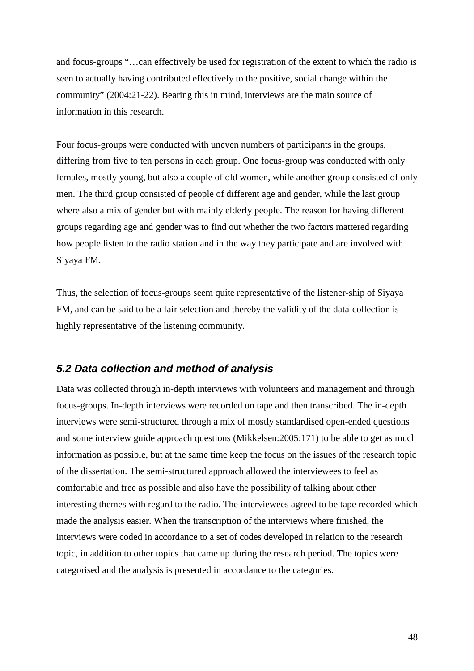and focus-groups "…can effectively be used for registration of the extent to which the radio is seen to actually having contributed effectively to the positive, social change within the community" (2004:21-22). Bearing this in mind, interviews are the main source of information in this research.

Four focus-groups were conducted with uneven numbers of participants in the groups, differing from five to ten persons in each group. One focus-group was conducted with only females, mostly young, but also a couple of old women, while another group consisted of only men. The third group consisted of people of different age and gender, while the last group where also a mix of gender but with mainly elderly people. The reason for having different groups regarding age and gender was to find out whether the two factors mattered regarding how people listen to the radio station and in the way they participate and are involved with Siyaya FM.

Thus, the selection of focus-groups seem quite representative of the listener-ship of Siyaya FM, and can be said to be a fair selection and thereby the validity of the data-collection is highly representative of the listening community.

#### **5.2 Data collection and method of analysis**

Data was collected through in-depth interviews with volunteers and management and through focus-groups. In-depth interviews were recorded on tape and then transcribed. The in-depth interviews were semi-structured through a mix of mostly standardised open-ended questions and some interview guide approach questions (Mikkelsen:2005:171) to be able to get as much information as possible, but at the same time keep the focus on the issues of the research topic of the dissertation. The semi-structured approach allowed the interviewees to feel as comfortable and free as possible and also have the possibility of talking about other interesting themes with regard to the radio. The interviewees agreed to be tape recorded which made the analysis easier. When the transcription of the interviews where finished, the interviews were coded in accordance to a set of codes developed in relation to the research topic, in addition to other topics that came up during the research period. The topics were categorised and the analysis is presented in accordance to the categories.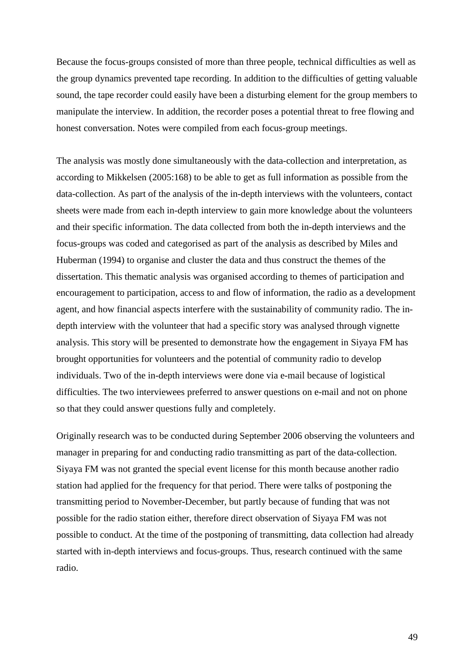Because the focus-groups consisted of more than three people, technical difficulties as well as the group dynamics prevented tape recording. In addition to the difficulties of getting valuable sound, the tape recorder could easily have been a disturbing element for the group members to manipulate the interview. In addition, the recorder poses a potential threat to free flowing and honest conversation. Notes were compiled from each focus-group meetings.

The analysis was mostly done simultaneously with the data-collection and interpretation, as according to Mikkelsen (2005:168) to be able to get as full information as possible from the data-collection. As part of the analysis of the in-depth interviews with the volunteers, contact sheets were made from each in-depth interview to gain more knowledge about the volunteers and their specific information. The data collected from both the in-depth interviews and the focus-groups was coded and categorised as part of the analysis as described by Miles and Huberman (1994) to organise and cluster the data and thus construct the themes of the dissertation. This thematic analysis was organised according to themes of participation and encouragement to participation, access to and flow of information, the radio as a development agent, and how financial aspects interfere with the sustainability of community radio. The indepth interview with the volunteer that had a specific story was analysed through vignette analysis. This story will be presented to demonstrate how the engagement in Siyaya FM has brought opportunities for volunteers and the potential of community radio to develop individuals. Two of the in-depth interviews were done via e-mail because of logistical difficulties. The two interviewees preferred to answer questions on e-mail and not on phone so that they could answer questions fully and completely.

Originally research was to be conducted during September 2006 observing the volunteers and manager in preparing for and conducting radio transmitting as part of the data-collection. Siyaya FM was not granted the special event license for this month because another radio station had applied for the frequency for that period. There were talks of postponing the transmitting period to November-December, but partly because of funding that was not possible for the radio station either, therefore direct observation of Siyaya FM was not possible to conduct. At the time of the postponing of transmitting, data collection had already started with in-depth interviews and focus-groups. Thus, research continued with the same radio.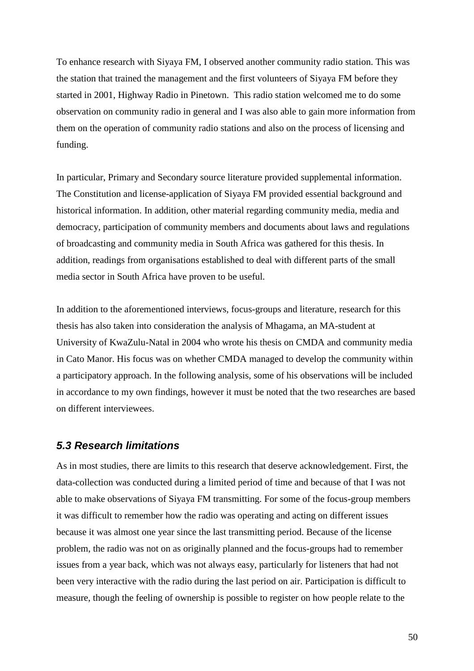To enhance research with Siyaya FM, I observed another community radio station. This was the station that trained the management and the first volunteers of Siyaya FM before they started in 2001, Highway Radio in Pinetown. This radio station welcomed me to do some observation on community radio in general and I was also able to gain more information from them on the operation of community radio stations and also on the process of licensing and funding.

In particular, Primary and Secondary source literature provided supplemental information. The Constitution and license-application of Siyaya FM provided essential background and historical information. In addition, other material regarding community media, media and democracy, participation of community members and documents about laws and regulations of broadcasting and community media in South Africa was gathered for this thesis. In addition, readings from organisations established to deal with different parts of the small media sector in South Africa have proven to be useful.

In addition to the aforementioned interviews, focus-groups and literature, research for this thesis has also taken into consideration the analysis of Mhagama, an MA-student at University of KwaZulu-Natal in 2004 who wrote his thesis on CMDA and community media in Cato Manor. His focus was on whether CMDA managed to develop the community within a participatory approach. In the following analysis, some of his observations will be included in accordance to my own findings, however it must be noted that the two researches are based on different interviewees.

#### **5.3 Research limitations**

As in most studies, there are limits to this research that deserve acknowledgement. First, the data-collection was conducted during a limited period of time and because of that I was not able to make observations of Siyaya FM transmitting. For some of the focus-group members it was difficult to remember how the radio was operating and acting on different issues because it was almost one year since the last transmitting period. Because of the license problem, the radio was not on as originally planned and the focus-groups had to remember issues from a year back, which was not always easy, particularly for listeners that had not been very interactive with the radio during the last period on air. Participation is difficult to measure, though the feeling of ownership is possible to register on how people relate to the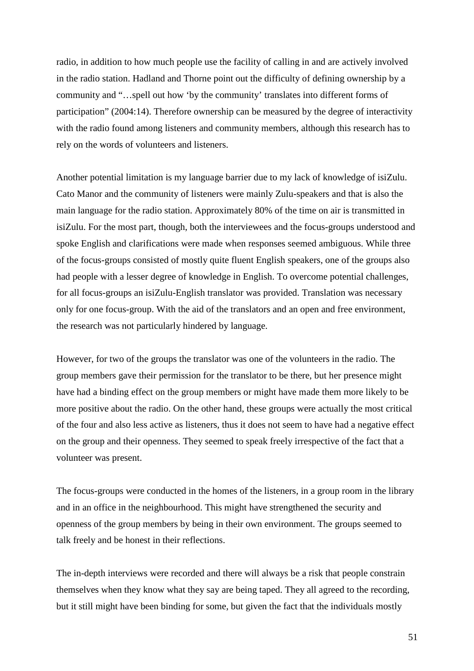radio, in addition to how much people use the facility of calling in and are actively involved in the radio station. Hadland and Thorne point out the difficulty of defining ownership by a community and "…spell out how 'by the community' translates into different forms of participation" (2004:14). Therefore ownership can be measured by the degree of interactivity with the radio found among listeners and community members, although this research has to rely on the words of volunteers and listeners.

Another potential limitation is my language barrier due to my lack of knowledge of isiZulu. Cato Manor and the community of listeners were mainly Zulu-speakers and that is also the main language for the radio station. Approximately 80% of the time on air is transmitted in isiZulu. For the most part, though, both the interviewees and the focus-groups understood and spoke English and clarifications were made when responses seemed ambiguous. While three of the focus-groups consisted of mostly quite fluent English speakers, one of the groups also had people with a lesser degree of knowledge in English. To overcome potential challenges, for all focus-groups an isiZulu-English translator was provided. Translation was necessary only for one focus-group. With the aid of the translators and an open and free environment, the research was not particularly hindered by language.

However, for two of the groups the translator was one of the volunteers in the radio. The group members gave their permission for the translator to be there, but her presence might have had a binding effect on the group members or might have made them more likely to be more positive about the radio. On the other hand, these groups were actually the most critical of the four and also less active as listeners, thus it does not seem to have had a negative effect on the group and their openness. They seemed to speak freely irrespective of the fact that a volunteer was present.

The focus-groups were conducted in the homes of the listeners, in a group room in the library and in an office in the neighbourhood. This might have strengthened the security and openness of the group members by being in their own environment. The groups seemed to talk freely and be honest in their reflections.

The in-depth interviews were recorded and there will always be a risk that people constrain themselves when they know what they say are being taped. They all agreed to the recording, but it still might have been binding for some, but given the fact that the individuals mostly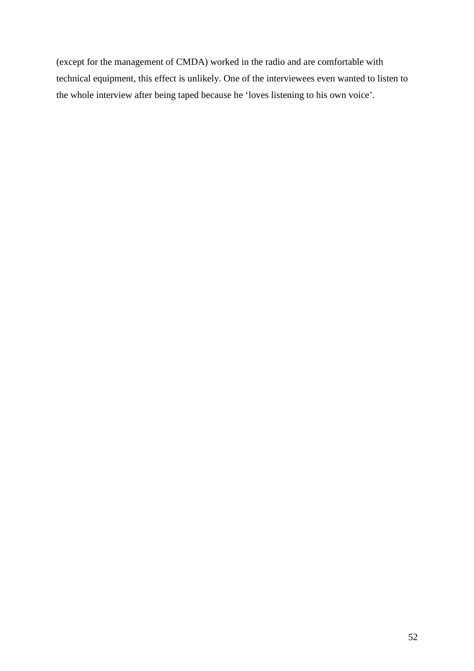(except for the management of CMDA) worked in the radio and are comfortable with technical equipment, this effect is unlikely. One of the interviewees even wanted to listen to the whole interview after being taped because he 'loves listening to his own voice'.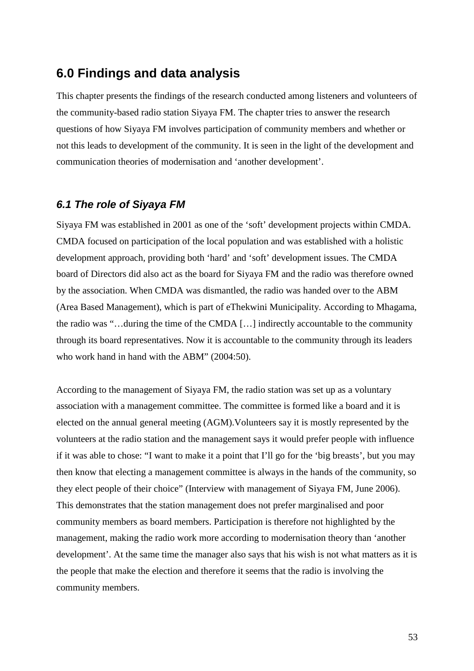# **6.0 Findings and data analysis**

This chapter presents the findings of the research conducted among listeners and volunteers of the community-based radio station Siyaya FM. The chapter tries to answer the research questions of how Siyaya FM involves participation of community members and whether or not this leads to development of the community. It is seen in the light of the development and communication theories of modernisation and 'another development'.

#### **6.1 The role of Siyaya FM**

Siyaya FM was established in 2001 as one of the 'soft' development projects within CMDA. CMDA focused on participation of the local population and was established with a holistic development approach, providing both 'hard' and 'soft' development issues. The CMDA board of Directors did also act as the board for Siyaya FM and the radio was therefore owned by the association. When CMDA was dismantled, the radio was handed over to the ABM (Area Based Management), which is part of eThekwini Municipality. According to Mhagama, the radio was "…during the time of the CMDA […] indirectly accountable to the community through its board representatives. Now it is accountable to the community through its leaders who work hand in hand with the ABM" (2004:50).

According to the management of Siyaya FM, the radio station was set up as a voluntary association with a management committee. The committee is formed like a board and it is elected on the annual general meeting (AGM).Volunteers say it is mostly represented by the volunteers at the radio station and the management says it would prefer people with influence if it was able to chose: "I want to make it a point that I'll go for the 'big breasts', but you may then know that electing a management committee is always in the hands of the community, so they elect people of their choice" (Interview with management of Siyaya FM, June 2006). This demonstrates that the station management does not prefer marginalised and poor community members as board members. Participation is therefore not highlighted by the management, making the radio work more according to modernisation theory than 'another development'. At the same time the manager also says that his wish is not what matters as it is the people that make the election and therefore it seems that the radio is involving the community members.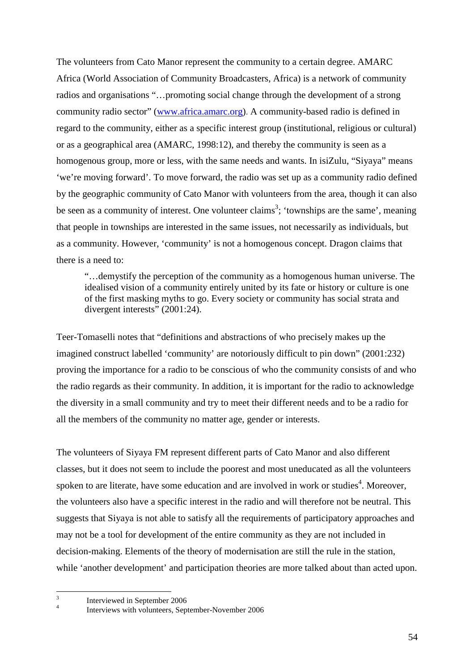The volunteers from Cato Manor represent the community to a certain degree. AMARC Africa (World Association of Community Broadcasters, Africa) is a network of community radios and organisations "…promoting social change through the development of a strong community radio sector" (www.africa.amarc.org). A community-based radio is defined in regard to the community, either as a specific interest group (institutional, religious or cultural) or as a geographical area (AMARC, 1998:12), and thereby the community is seen as a homogenous group, more or less, with the same needs and wants. In isiZulu, "Siyaya" means 'we're moving forward'. To move forward, the radio was set up as a community radio defined by the geographic community of Cato Manor with volunteers from the area, though it can also be seen as a community of interest. One volunteer claims<sup>3</sup>; 'townships are the same', meaning that people in townships are interested in the same issues, not necessarily as individuals, but as a community. However, 'community' is not a homogenous concept. Dragon claims that there is a need to:

"…demystify the perception of the community as a homogenous human universe. The idealised vision of a community entirely united by its fate or history or culture is one of the first masking myths to go. Every society or community has social strata and divergent interests" (2001:24).

Teer-Tomaselli notes that "definitions and abstractions of who precisely makes up the imagined construct labelled 'community' are notoriously difficult to pin down" (2001:232) proving the importance for a radio to be conscious of who the community consists of and who the radio regards as their community. In addition, it is important for the radio to acknowledge the diversity in a small community and try to meet their different needs and to be a radio for all the members of the community no matter age, gender or interests.

The volunteers of Siyaya FM represent different parts of Cato Manor and also different classes, but it does not seem to include the poorest and most uneducated as all the volunteers spoken to are literate, have some education and are involved in work or studies<sup>4</sup>. Moreover, the volunteers also have a specific interest in the radio and will therefore not be neutral. This suggests that Siyaya is not able to satisfy all the requirements of participatory approaches and may not be a tool for development of the entire community as they are not included in decision-making. Elements of the theory of modernisation are still the rule in the station, while 'another development' and participation theories are more talked about than acted upon.

 3 Interviewed in September 2006 4

Interviews with volunteers, September-November 2006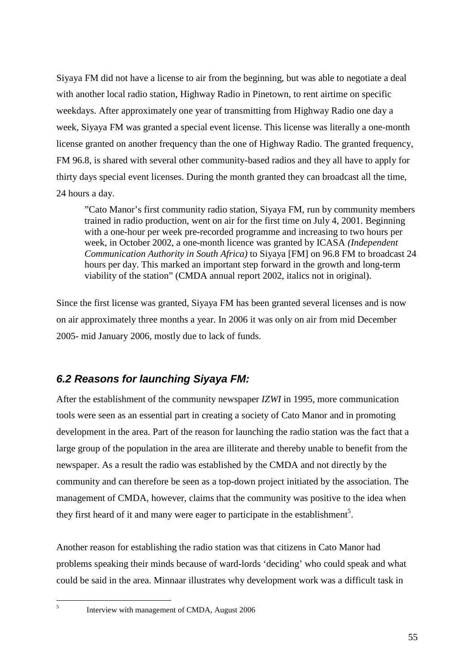Siyaya FM did not have a license to air from the beginning, but was able to negotiate a deal with another local radio station, Highway Radio in Pinetown, to rent airtime on specific weekdays. After approximately one year of transmitting from Highway Radio one day a week, Siyaya FM was granted a special event license. This license was literally a one-month license granted on another frequency than the one of Highway Radio. The granted frequency, FM 96.8, is shared with several other community-based radios and they all have to apply for thirty days special event licenses. During the month granted they can broadcast all the time, 24 hours a day.

"Cato Manor's first community radio station, Siyaya FM, run by community members trained in radio production, went on air for the first time on July 4, 2001. Beginning with a one-hour per week pre-recorded programme and increasing to two hours per week, in October 2002, a one-month licence was granted by ICASA *(Independent Communication Authority in South Africa)* to Siyaya [FM] on 96.8 FM to broadcast 24 hours per day. This marked an important step forward in the growth and long-term viability of the station" (CMDA annual report 2002, italics not in original).

Since the first license was granted, Siyaya FM has been granted several licenses and is now on air approximately three months a year. In 2006 it was only on air from mid December 2005- mid January 2006, mostly due to lack of funds.

# **6.2 Reasons for launching Siyaya FM:**

After the establishment of the community newspaper *IZWI* in 1995, more communication tools were seen as an essential part in creating a society of Cato Manor and in promoting development in the area. Part of the reason for launching the radio station was the fact that a large group of the population in the area are illiterate and thereby unable to benefit from the newspaper. As a result the radio was established by the CMDA and not directly by the community and can therefore be seen as a top-down project initiated by the association. The management of CMDA, however, claims that the community was positive to the idea when they first heard of it and many were eager to participate in the establishment<sup>5</sup>.

Another reason for establishing the radio station was that citizens in Cato Manor had problems speaking their minds because of ward-lords 'deciding' who could speak and what could be said in the area. Minnaar illustrates why development work was a difficult task in

 $\overline{a}$ 5

Interview with management of CMDA, August 2006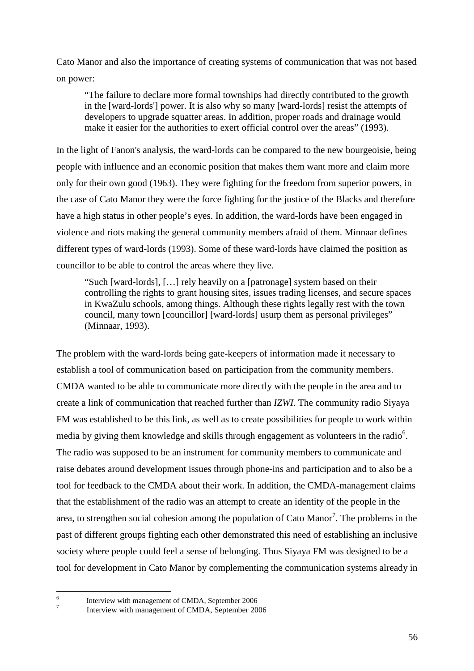Cato Manor and also the importance of creating systems of communication that was not based on power:

"The failure to declare more formal townships had directly contributed to the growth in the [ward-lords'] power. It is also why so many [ward-lords] resist the attempts of developers to upgrade squatter areas. In addition, proper roads and drainage would make it easier for the authorities to exert official control over the areas" (1993).

In the light of Fanon's analysis, the ward-lords can be compared to the new bourgeoisie, being people with influence and an economic position that makes them want more and claim more only for their own good (1963). They were fighting for the freedom from superior powers, in the case of Cato Manor they were the force fighting for the justice of the Blacks and therefore have a high status in other people's eyes. In addition, the ward-lords have been engaged in violence and riots making the general community members afraid of them. Minnaar defines different types of ward-lords (1993). Some of these ward-lords have claimed the position as councillor to be able to control the areas where they live.

"Such [ward-lords], […] rely heavily on a [patronage] system based on their controlling the rights to grant housing sites, issues trading licenses, and secure spaces in KwaZulu schools, among things. Although these rights legally rest with the town council, many town [councillor] [ward-lords] usurp them as personal privileges" (Minnaar, 1993).

The problem with the ward-lords being gate-keepers of information made it necessary to establish a tool of communication based on participation from the community members. CMDA wanted to be able to communicate more directly with the people in the area and to create a link of communication that reached further than *IZWI*. The community radio Siyaya FM was established to be this link, as well as to create possibilities for people to work within media by giving them knowledge and skills through engagement as volunteers in the radio $6$ . The radio was supposed to be an instrument for community members to communicate and raise debates around development issues through phone-ins and participation and to also be a tool for feedback to the CMDA about their work. In addition, the CMDA-management claims that the establishment of the radio was an attempt to create an identity of the people in the area, to strengthen social cohesion among the population of Cato Manor<sup>7</sup>. The problems in the past of different groups fighting each other demonstrated this need of establishing an inclusive society where people could feel a sense of belonging. Thus Siyaya FM was designed to be a tool for development in Cato Manor by complementing the communication systems already in

 $\frac{1}{6}$ 7

Interview with management of CMDA, September 2006

Interview with management of CMDA, September 2006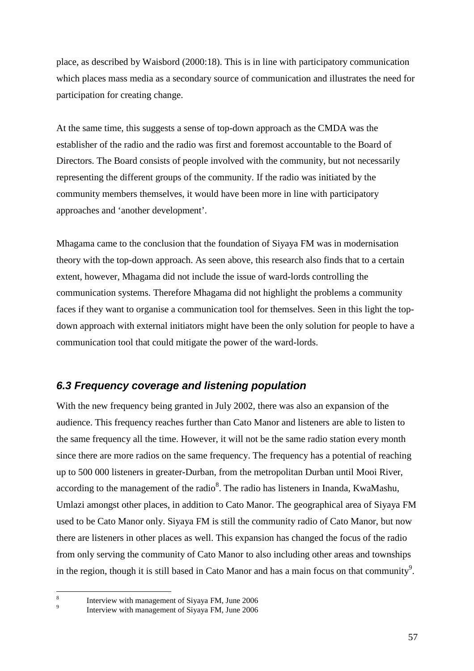place, as described by Waisbord (2000:18). This is in line with participatory communication which places mass media as a secondary source of communication and illustrates the need for participation for creating change.

At the same time, this suggests a sense of top-down approach as the CMDA was the establisher of the radio and the radio was first and foremost accountable to the Board of Directors. The Board consists of people involved with the community, but not necessarily representing the different groups of the community. If the radio was initiated by the community members themselves, it would have been more in line with participatory approaches and 'another development'.

Mhagama came to the conclusion that the foundation of Siyaya FM was in modernisation theory with the top-down approach. As seen above, this research also finds that to a certain extent, however, Mhagama did not include the issue of ward-lords controlling the communication systems. Therefore Mhagama did not highlight the problems a community faces if they want to organise a communication tool for themselves. Seen in this light the topdown approach with external initiators might have been the only solution for people to have a communication tool that could mitigate the power of the ward-lords.

## **6.3 Frequency coverage and listening population**

With the new frequency being granted in July 2002, there was also an expansion of the audience. This frequency reaches further than Cato Manor and listeners are able to listen to the same frequency all the time. However, it will not be the same radio station every month since there are more radios on the same frequency. The frequency has a potential of reaching up to 500 000 listeners in greater-Durban, from the metropolitan Durban until Mooi River, according to the management of the radio<sup>8</sup>. The radio has listeners in Inanda, KwaMashu, Umlazi amongst other places, in addition to Cato Manor. The geographical area of Siyaya FM used to be Cato Manor only. Siyaya FM is still the community radio of Cato Manor, but now there are listeners in other places as well. This expansion has changed the focus of the radio from only serving the community of Cato Manor to also including other areas and townships in the region, though it is still based in Cato Manor and has a main focus on that community<sup>9</sup>.

 8 9

Interview with management of Siyaya FM, June 2006

Interview with management of Siyaya FM, June 2006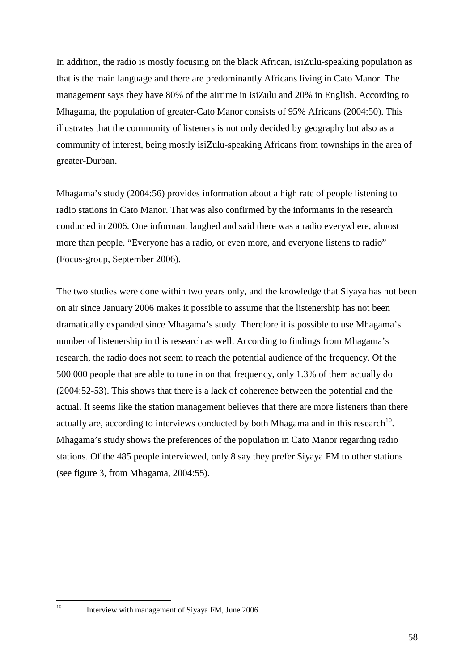In addition, the radio is mostly focusing on the black African, isiZulu-speaking population as that is the main language and there are predominantly Africans living in Cato Manor. The management says they have 80% of the airtime in isiZulu and 20% in English. According to Mhagama, the population of greater-Cato Manor consists of 95% Africans (2004:50). This illustrates that the community of listeners is not only decided by geography but also as a community of interest, being mostly isiZulu-speaking Africans from townships in the area of greater-Durban.

Mhagama's study (2004:56) provides information about a high rate of people listening to radio stations in Cato Manor. That was also confirmed by the informants in the research conducted in 2006. One informant laughed and said there was a radio everywhere, almost more than people. "Everyone has a radio, or even more, and everyone listens to radio" (Focus-group, September 2006).

The two studies were done within two years only, and the knowledge that Siyaya has not been on air since January 2006 makes it possible to assume that the listenership has not been dramatically expanded since Mhagama's study. Therefore it is possible to use Mhagama's number of listenership in this research as well. According to findings from Mhagama's research, the radio does not seem to reach the potential audience of the frequency. Of the 500 000 people that are able to tune in on that frequency, only 1.3% of them actually do (2004:52-53). This shows that there is a lack of coherence between the potential and the actual. It seems like the station management believes that there are more listeners than there actually are, according to interviews conducted by both Mhagama and in this research<sup>10</sup>. Mhagama's study shows the preferences of the population in Cato Manor regarding radio stations. Of the 485 people interviewed, only 8 say they prefer Siyaya FM to other stations (see figure 3, from Mhagama, 2004:55).

 $10$ 

Interview with management of Siyaya FM, June 2006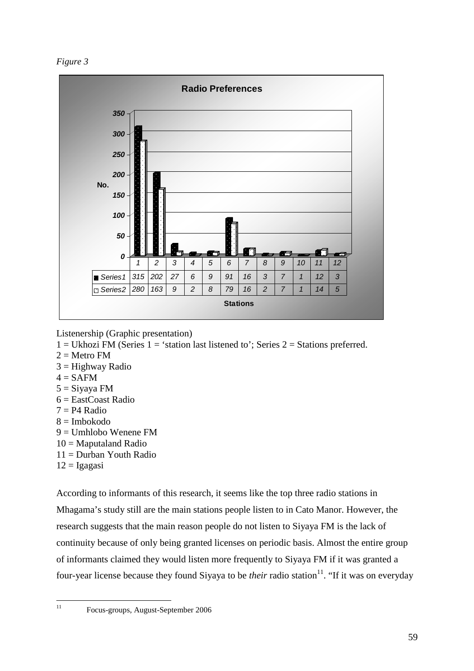*Figure 3* 



Listenership (Graphic presentation)

- $1 =$  Ukhozi FM (Series  $1 =$  'station last listened to'; Series  $2 =$  Stations preferred.
- $2 =$ Metro FM
- $3 =$  Highway Radio
- $4 =$ SAFM
- $5 = Siyaya FM$
- 6 = EastCoast Radio
- $7 = P4$  Radio
- 8 = Imbokodo
- $9 =$  Umhlobo Wenene FM
- $10 =$ Maputaland Radio
- 11 = Durban Youth Radio
- $12 = I$ gagasi

According to informants of this research, it seems like the top three radio stations in Mhagama's study still are the main stations people listen to in Cato Manor. However, the research suggests that the main reason people do not listen to Siyaya FM is the lack of continuity because of only being granted licenses on periodic basis. Almost the entire group of informants claimed they would listen more frequently to Siyaya FM if it was granted a four-year license because they found Siyaya to be *their* radio station<sup>11</sup>. "If it was on everyday

 $11$ 

<sup>11</sup> Focus-groups, August-September 2006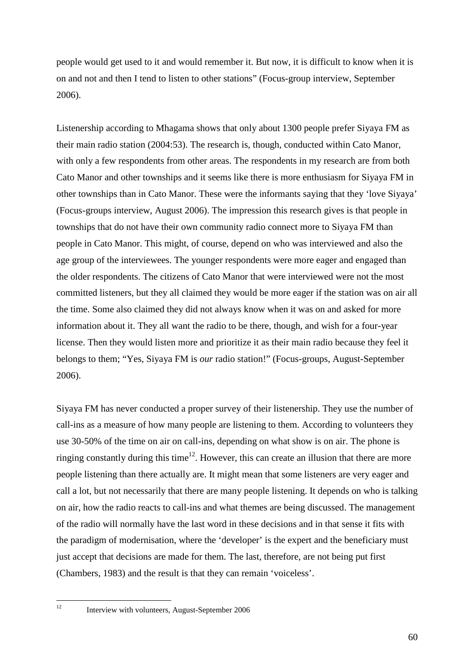people would get used to it and would remember it. But now, it is difficult to know when it is on and not and then I tend to listen to other stations" (Focus-group interview, September 2006).

Listenership according to Mhagama shows that only about 1300 people prefer Siyaya FM as their main radio station (2004:53). The research is, though, conducted within Cato Manor, with only a few respondents from other areas. The respondents in my research are from both Cato Manor and other townships and it seems like there is more enthusiasm for Siyaya FM in other townships than in Cato Manor. These were the informants saying that they 'love Siyaya' (Focus-groups interview, August 2006). The impression this research gives is that people in townships that do not have their own community radio connect more to Siyaya FM than people in Cato Manor. This might, of course, depend on who was interviewed and also the age group of the interviewees. The younger respondents were more eager and engaged than the older respondents. The citizens of Cato Manor that were interviewed were not the most committed listeners, but they all claimed they would be more eager if the station was on air all the time. Some also claimed they did not always know when it was on and asked for more information about it. They all want the radio to be there, though, and wish for a four-year license. Then they would listen more and prioritize it as their main radio because they feel it belongs to them; "Yes, Siyaya FM is *our* radio station!" (Focus-groups, August-September 2006).

Siyaya FM has never conducted a proper survey of their listenership. They use the number of call-ins as a measure of how many people are listening to them. According to volunteers they use 30-50% of the time on air on call-ins, depending on what show is on air. The phone is ringing constantly during this time<sup>12</sup>. However, this can create an illusion that there are more people listening than there actually are. It might mean that some listeners are very eager and call a lot, but not necessarily that there are many people listening. It depends on who is talking on air, how the radio reacts to call-ins and what themes are being discussed. The management of the radio will normally have the last word in these decisions and in that sense it fits with the paradigm of modernisation, where the 'developer' is the expert and the beneficiary must just accept that decisions are made for them. The last, therefore, are not being put first (Chambers, 1983) and the result is that they can remain 'voiceless'.

 $12$ 

Interview with volunteers, August-September 2006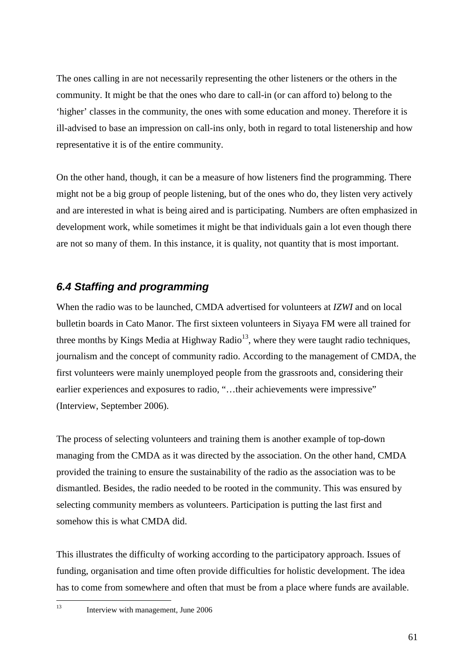The ones calling in are not necessarily representing the other listeners or the others in the community. It might be that the ones who dare to call-in (or can afford to) belong to the 'higher' classes in the community, the ones with some education and money. Therefore it is ill-advised to base an impression on call-ins only, both in regard to total listenership and how representative it is of the entire community.

On the other hand, though, it can be a measure of how listeners find the programming. There might not be a big group of people listening, but of the ones who do, they listen very actively and are interested in what is being aired and is participating. Numbers are often emphasized in development work, while sometimes it might be that individuals gain a lot even though there are not so many of them. In this instance, it is quality, not quantity that is most important.

## **6.4 Staffing and programming**

When the radio was to be launched, CMDA advertised for volunteers at *IZWI* and on local bulletin boards in Cato Manor. The first sixteen volunteers in Siyaya FM were all trained for three months by Kings Media at Highway Radio<sup>13</sup>, where they were taught radio techniques, journalism and the concept of community radio. According to the management of CMDA, the first volunteers were mainly unemployed people from the grassroots and, considering their earlier experiences and exposures to radio, "…their achievements were impressive" (Interview, September 2006).

The process of selecting volunteers and training them is another example of top-down managing from the CMDA as it was directed by the association. On the other hand, CMDA provided the training to ensure the sustainability of the radio as the association was to be dismantled. Besides, the radio needed to be rooted in the community. This was ensured by selecting community members as volunteers. Participation is putting the last first and somehow this is what CMDA did.

This illustrates the difficulty of working according to the participatory approach. Issues of funding, organisation and time often provide difficulties for holistic development. The idea has to come from somewhere and often that must be from a place where funds are available.

 $\overline{13}$ Interview with management, June 2006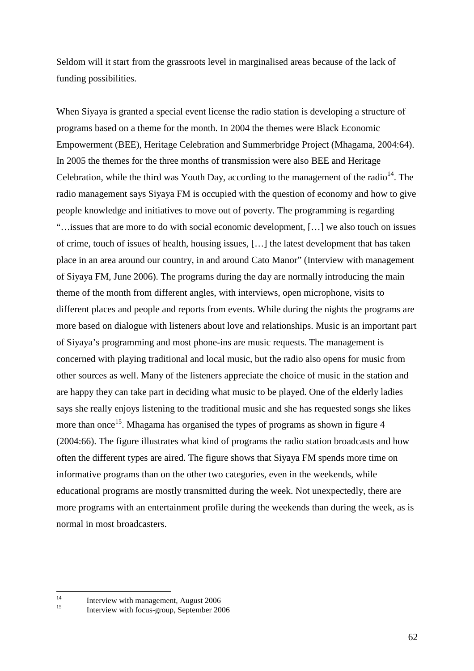Seldom will it start from the grassroots level in marginalised areas because of the lack of funding possibilities.

When Siyaya is granted a special event license the radio station is developing a structure of programs based on a theme for the month. In 2004 the themes were Black Economic Empowerment (BEE), Heritage Celebration and Summerbridge Project (Mhagama, 2004:64). In 2005 the themes for the three months of transmission were also BEE and Heritage Celebration, while the third was Youth Day, according to the management of the radio<sup>14</sup>. The radio management says Siyaya FM is occupied with the question of economy and how to give people knowledge and initiatives to move out of poverty. The programming is regarding "…issues that are more to do with social economic development, […] we also touch on issues of crime, touch of issues of health, housing issues, […] the latest development that has taken place in an area around our country, in and around Cato Manor" (Interview with management of Siyaya FM, June 2006). The programs during the day are normally introducing the main theme of the month from different angles, with interviews, open microphone, visits to different places and people and reports from events. While during the nights the programs are more based on dialogue with listeners about love and relationships. Music is an important part of Siyaya's programming and most phone-ins are music requests. The management is concerned with playing traditional and local music, but the radio also opens for music from other sources as well. Many of the listeners appreciate the choice of music in the station and are happy they can take part in deciding what music to be played. One of the elderly ladies says she really enjoys listening to the traditional music and she has requested songs she likes more than once<sup>15</sup>. Mhagama has organised the types of programs as shown in figure 4 (2004:66). The figure illustrates what kind of programs the radio station broadcasts and how often the different types are aired. The figure shows that Siyaya FM spends more time on informative programs than on the other two categories, even in the weekends, while educational programs are mostly transmitted during the week. Not unexpectedly, there are more programs with an entertainment profile during the weekends than during the week, as is normal in most broadcasters.

 $14$ 

<sup>&</sup>lt;sup>14</sup> Interview with management, August 2006

Interview with focus-group, September 2006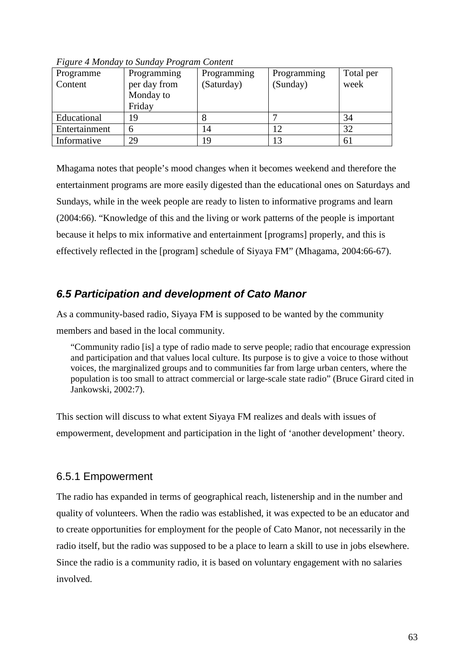| Programme     | Programming  | Programming | Programming           | Total per |
|---------------|--------------|-------------|-----------------------|-----------|
| Content       | per day from | (Saturday)  | (Sunday)              | week      |
|               | Monday to    |             |                       |           |
|               | Friday       |             |                       |           |
| Educational   | 19           |             |                       | 34        |
| Entertainment | n            | 14          |                       | 32        |
| Informative   | 29           | 19          | $\mathbf 1 \mathbf 2$ | 61        |

*Figure 4 Monday to Sunday Program Content* 

Mhagama notes that people's mood changes when it becomes weekend and therefore the entertainment programs are more easily digested than the educational ones on Saturdays and Sundays, while in the week people are ready to listen to informative programs and learn (2004:66). "Knowledge of this and the living or work patterns of the people is important because it helps to mix informative and entertainment [programs] properly, and this is effectively reflected in the [program] schedule of Siyaya FM" (Mhagama, 2004:66-67).

## **6.5 Participation and development of Cato Manor**

As a community-based radio, Siyaya FM is supposed to be wanted by the community members and based in the local community.

"Community radio [is] a type of radio made to serve people; radio that encourage expression and participation and that values local culture. Its purpose is to give a voice to those without voices, the marginalized groups and to communities far from large urban centers, where the population is too small to attract commercial or large-scale state radio" (Bruce Girard cited in Jankowski, 2002:7).

This section will discuss to what extent Siyaya FM realizes and deals with issues of empowerment, development and participation in the light of 'another development' theory.

### 6.5.1 Empowerment

The radio has expanded in terms of geographical reach, listenership and in the number and quality of volunteers. When the radio was established, it was expected to be an educator and to create opportunities for employment for the people of Cato Manor, not necessarily in the radio itself, but the radio was supposed to be a place to learn a skill to use in jobs elsewhere. Since the radio is a community radio, it is based on voluntary engagement with no salaries involved.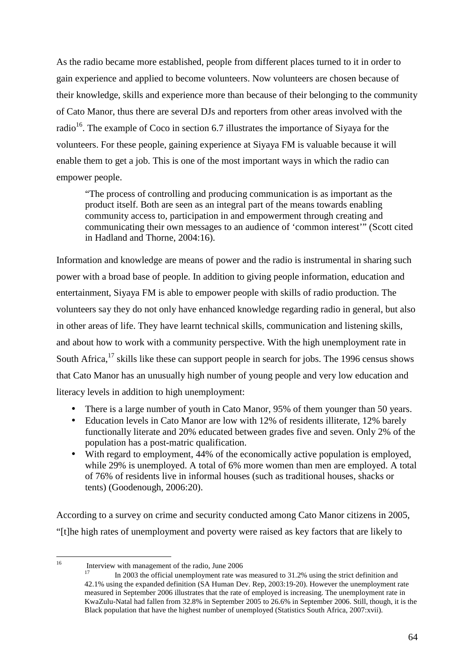As the radio became more established, people from different places turned to it in order to gain experience and applied to become volunteers. Now volunteers are chosen because of their knowledge, skills and experience more than because of their belonging to the community of Cato Manor, thus there are several DJs and reporters from other areas involved with the radio<sup>16</sup>. The example of Coco in section 6.7 illustrates the importance of Siyaya for the volunteers. For these people, gaining experience at Siyaya FM is valuable because it will enable them to get a job. This is one of the most important ways in which the radio can empower people.

"The process of controlling and producing communication is as important as the product itself. Both are seen as an integral part of the means towards enabling community access to, participation in and empowerment through creating and communicating their own messages to an audience of 'common interest'" (Scott cited in Hadland and Thorne, 2004:16).

Information and knowledge are means of power and the radio is instrumental in sharing such power with a broad base of people. In addition to giving people information, education and entertainment, Siyaya FM is able to empower people with skills of radio production. The volunteers say they do not only have enhanced knowledge regarding radio in general, but also in other areas of life. They have learnt technical skills, communication and listening skills, and about how to work with a community perspective. With the high unemployment rate in South Africa,<sup>17</sup> skills like these can support people in search for jobs. The 1996 census shows that Cato Manor has an unusually high number of young people and very low education and literacy levels in addition to high unemployment:

- There is a large number of youth in Cato Manor, 95% of them younger than 50 years.
- Education levels in Cato Manor are low with 12% of residents illiterate, 12% barely functionally literate and 20% educated between grades five and seven. Only 2% of the population has a post-matric qualification.
- With regard to employment, 44% of the economically active population is employed, while 29% is unemployed. A total of 6% more women than men are employed. A total of 76% of residents live in informal houses (such as traditional houses, shacks or tents) (Goodenough, 2006:20).

According to a survey on crime and security conducted among Cato Manor citizens in 2005, "[t]he high rates of unemployment and poverty were raised as key factors that are likely to

 $16^{1}$ Interview with management of the radio, June 2006

<sup>17</sup> In 2003 the official unemployment rate was measured to 31.2% using the strict definition and 42.1% using the expanded definition (SA Human Dev. Rep, 2003:19-20). However the unemployment rate measured in September 2006 illustrates that the rate of employed is increasing. The unemployment rate in KwaZulu-Natal had fallen from 32.8% in September 2005 to 26.6% in September 2006. Still, though, it is the Black population that have the highest number of unemployed (Statistics South Africa, 2007:xvii).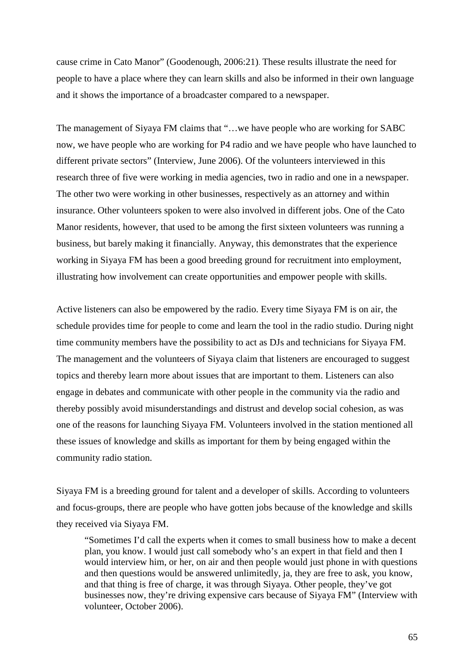cause crime in Cato Manor" (Goodenough, 2006:21). These results illustrate the need for people to have a place where they can learn skills and also be informed in their own language and it shows the importance of a broadcaster compared to a newspaper.

The management of Siyaya FM claims that "…we have people who are working for SABC now, we have people who are working for P4 radio and we have people who have launched to different private sectors" (Interview, June 2006). Of the volunteers interviewed in this research three of five were working in media agencies, two in radio and one in a newspaper. The other two were working in other businesses, respectively as an attorney and within insurance. Other volunteers spoken to were also involved in different jobs. One of the Cato Manor residents, however, that used to be among the first sixteen volunteers was running a business, but barely making it financially. Anyway, this demonstrates that the experience working in Siyaya FM has been a good breeding ground for recruitment into employment, illustrating how involvement can create opportunities and empower people with skills.

Active listeners can also be empowered by the radio. Every time Siyaya FM is on air, the schedule provides time for people to come and learn the tool in the radio studio. During night time community members have the possibility to act as DJs and technicians for Siyaya FM. The management and the volunteers of Siyaya claim that listeners are encouraged to suggest topics and thereby learn more about issues that are important to them. Listeners can also engage in debates and communicate with other people in the community via the radio and thereby possibly avoid misunderstandings and distrust and develop social cohesion, as was one of the reasons for launching Siyaya FM. Volunteers involved in the station mentioned all these issues of knowledge and skills as important for them by being engaged within the community radio station.

Siyaya FM is a breeding ground for talent and a developer of skills. According to volunteers and focus-groups, there are people who have gotten jobs because of the knowledge and skills they received via Siyaya FM.

"Sometimes I'd call the experts when it comes to small business how to make a decent plan, you know. I would just call somebody who's an expert in that field and then I would interview him, or her, on air and then people would just phone in with questions and then questions would be answered unlimitedly, ja, they are free to ask, you know, and that thing is free of charge, it was through Siyaya. Other people, they've got businesses now, they're driving expensive cars because of Siyaya FM" (Interview with volunteer, October 2006).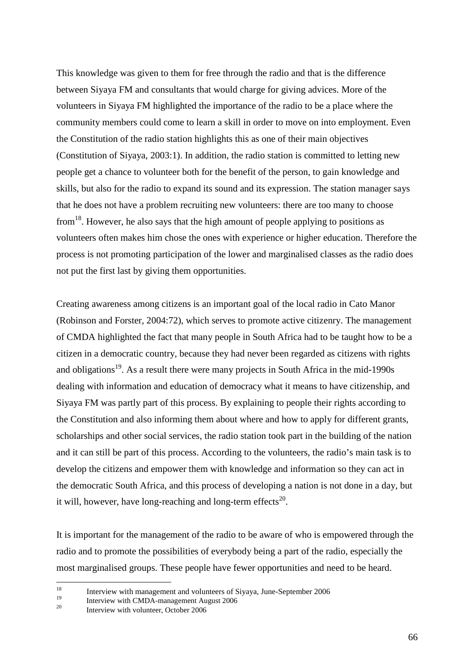This knowledge was given to them for free through the radio and that is the difference between Siyaya FM and consultants that would charge for giving advices. More of the volunteers in Siyaya FM highlighted the importance of the radio to be a place where the community members could come to learn a skill in order to move on into employment. Even the Constitution of the radio station highlights this as one of their main objectives (Constitution of Siyaya, 2003:1). In addition, the radio station is committed to letting new people get a chance to volunteer both for the benefit of the person, to gain knowledge and skills, but also for the radio to expand its sound and its expression. The station manager says that he does not have a problem recruiting new volunteers: there are too many to choose from<sup>18</sup>. However, he also says that the high amount of people applying to positions as volunteers often makes him chose the ones with experience or higher education. Therefore the process is not promoting participation of the lower and marginalised classes as the radio does not put the first last by giving them opportunities.

Creating awareness among citizens is an important goal of the local radio in Cato Manor (Robinson and Forster, 2004:72), which serves to promote active citizenry. The management of CMDA highlighted the fact that many people in South Africa had to be taught how to be a citizen in a democratic country, because they had never been regarded as citizens with rights and obligations<sup>19</sup>. As a result there were many projects in South Africa in the mid-1990s dealing with information and education of democracy what it means to have citizenship, and Siyaya FM was partly part of this process. By explaining to people their rights according to the Constitution and also informing them about where and how to apply for different grants, scholarships and other social services, the radio station took part in the building of the nation and it can still be part of this process. According to the volunteers, the radio's main task is to develop the citizens and empower them with knowledge and information so they can act in the democratic South Africa, and this process of developing a nation is not done in a day, but it will, however, have long-reaching and long-term effects<sup>20</sup>.

It is important for the management of the radio to be aware of who is empowered through the radio and to promote the possibilities of everybody being a part of the radio, especially the most marginalised groups. These people have fewer opportunities and need to be heard.

<sup>18</sup> <sup>18</sup><br>Interview with management and volunteers of Siyaya, June-September 2006

<sup>&</sup>lt;sup>19</sup> Interview with CMDA-management August 2006

Interview with volunteer, October 2006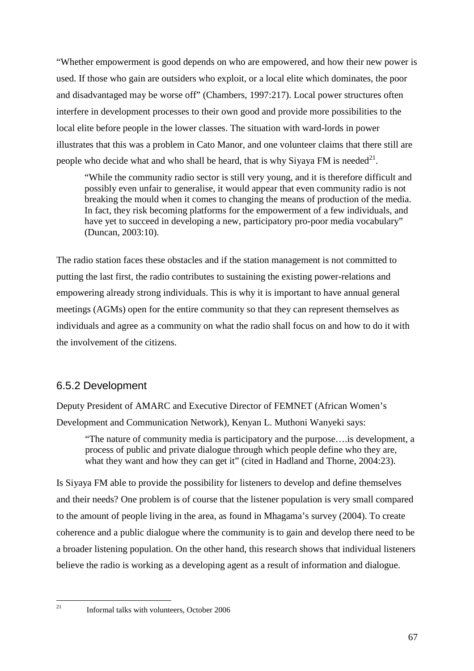"Whether empowerment is good depends on who are empowered, and how their new power is used. If those who gain are outsiders who exploit, or a local elite which dominates, the poor and disadvantaged may be worse off" (Chambers, 1997:217). Local power structures often interfere in development processes to their own good and provide more possibilities to the local elite before people in the lower classes. The situation with ward-lords in power illustrates that this was a problem in Cato Manor, and one volunteer claims that there still are people who decide what and who shall be heard, that is why Siyaya FM is needed<sup>21</sup>.

"While the community radio sector is still very young, and it is therefore difficult and possibly even unfair to generalise, it would appear that even community radio is not breaking the mould when it comes to changing the means of production of the media. In fact, they risk becoming platforms for the empowerment of a few individuals, and have yet to succeed in developing a new, participatory pro-poor media vocabulary" (Duncan, 2003:10).

The radio station faces these obstacles and if the station management is not committed to putting the last first, the radio contributes to sustaining the existing power-relations and empowering already strong individuals. This is why it is important to have annual general meetings (AGMs) open for the entire community so that they can represent themselves as individuals and agree as a community on what the radio shall focus on and how to do it with the involvement of the citizens.

### 6.5.2 Development

Deputy President of AMARC and Executive Director of FEMNET (African Women's Development and Communication Network), Kenyan L. Muthoni Wanyeki says:

"The nature of community media is participatory and the purpose….is development, a process of public and private dialogue through which people define who they are, what they want and how they can get it" (cited in Hadland and Thorne, 2004:23).

Is Siyaya FM able to provide the possibility for listeners to develop and define themselves and their needs? One problem is of course that the listener population is very small compared to the amount of people living in the area, as found in Mhagama's survey (2004). To create coherence and a public dialogue where the community is to gain and develop there need to be a broader listening population. On the other hand, this research shows that individual listeners believe the radio is working as a developing agent as a result of information and dialogue.

 $21$ 

<sup>21</sup> Informal talks with volunteers, October 2006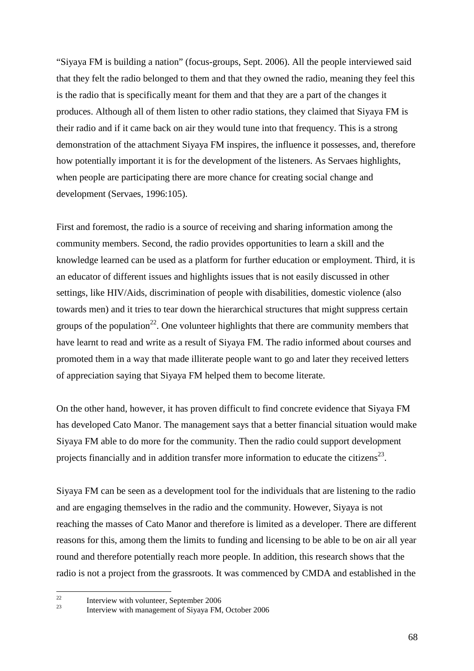"Siyaya FM is building a nation" (focus-groups, Sept. 2006). All the people interviewed said that they felt the radio belonged to them and that they owned the radio, meaning they feel this is the radio that is specifically meant for them and that they are a part of the changes it produces. Although all of them listen to other radio stations, they claimed that Siyaya FM is their radio and if it came back on air they would tune into that frequency. This is a strong demonstration of the attachment Siyaya FM inspires, the influence it possesses, and, therefore how potentially important it is for the development of the listeners. As Servaes highlights, when people are participating there are more chance for creating social change and development (Servaes, 1996:105).

First and foremost, the radio is a source of receiving and sharing information among the community members. Second, the radio provides opportunities to learn a skill and the knowledge learned can be used as a platform for further education or employment. Third, it is an educator of different issues and highlights issues that is not easily discussed in other settings, like HIV/Aids, discrimination of people with disabilities, domestic violence (also towards men) and it tries to tear down the hierarchical structures that might suppress certain groups of the population<sup>22</sup>. One volunteer highlights that there are community members that have learnt to read and write as a result of Siyaya FM. The radio informed about courses and promoted them in a way that made illiterate people want to go and later they received letters of appreciation saying that Siyaya FM helped them to become literate.

On the other hand, however, it has proven difficult to find concrete evidence that Siyaya FM has developed Cato Manor. The management says that a better financial situation would make Siyaya FM able to do more for the community. Then the radio could support development projects financially and in addition transfer more information to educate the citizens<sup>23</sup>.

Siyaya FM can be seen as a development tool for the individuals that are listening to the radio and are engaging themselves in the radio and the community. However, Siyaya is not reaching the masses of Cato Manor and therefore is limited as a developer. There are different reasons for this, among them the limits to funding and licensing to be able to be on air all year round and therefore potentially reach more people. In addition, this research shows that the radio is not a project from the grassroots. It was commenced by CMDA and established in the

 $22$ <sup>22</sup> Interview with volunteer, September 2006

Interview with management of Siyaya FM, October 2006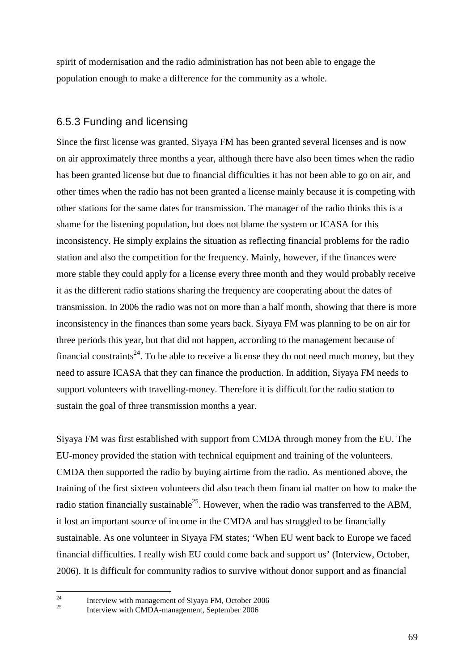spirit of modernisation and the radio administration has not been able to engage the population enough to make a difference for the community as a whole.

### 6.5.3 Funding and licensing

Since the first license was granted, Siyaya FM has been granted several licenses and is now on air approximately three months a year, although there have also been times when the radio has been granted license but due to financial difficulties it has not been able to go on air, and other times when the radio has not been granted a license mainly because it is competing with other stations for the same dates for transmission. The manager of the radio thinks this is a shame for the listening population, but does not blame the system or ICASA for this inconsistency. He simply explains the situation as reflecting financial problems for the radio station and also the competition for the frequency. Mainly, however, if the finances were more stable they could apply for a license every three month and they would probably receive it as the different radio stations sharing the frequency are cooperating about the dates of transmission. In 2006 the radio was not on more than a half month, showing that there is more inconsistency in the finances than some years back. Siyaya FM was planning to be on air for three periods this year, but that did not happen, according to the management because of financial constraints<sup>24</sup>. To be able to receive a license they do not need much money, but they need to assure ICASA that they can finance the production. In addition, Siyaya FM needs to support volunteers with travelling-money. Therefore it is difficult for the radio station to sustain the goal of three transmission months a year.

Siyaya FM was first established with support from CMDA through money from the EU. The EU-money provided the station with technical equipment and training of the volunteers. CMDA then supported the radio by buying airtime from the radio. As mentioned above, the training of the first sixteen volunteers did also teach them financial matter on how to make the radio station financially sustainable<sup>25</sup>. However, when the radio was transferred to the ABM, it lost an important source of income in the CMDA and has struggled to be financially sustainable. As one volunteer in Siyaya FM states; 'When EU went back to Europe we faced financial difficulties. I really wish EU could come back and support us' (Interview, October, 2006). It is difficult for community radios to survive without donor support and as financial

 $24$ 

<sup>&</sup>lt;sup>24</sup> Interview with management of Siyaya FM, October 2006 <sup>25</sup> Interview with CMDA-management, September 2006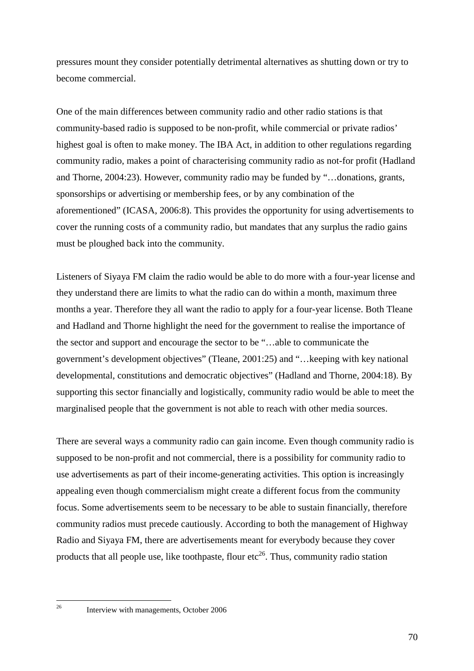pressures mount they consider potentially detrimental alternatives as shutting down or try to become commercial.

One of the main differences between community radio and other radio stations is that community-based radio is supposed to be non-profit, while commercial or private radios' highest goal is often to make money. The IBA Act, in addition to other regulations regarding community radio, makes a point of characterising community radio as not-for profit (Hadland and Thorne, 2004:23). However, community radio may be funded by "…donations, grants, sponsorships or advertising or membership fees, or by any combination of the aforementioned" (ICASA, 2006:8). This provides the opportunity for using advertisements to cover the running costs of a community radio, but mandates that any surplus the radio gains must be ploughed back into the community.

Listeners of Siyaya FM claim the radio would be able to do more with a four-year license and they understand there are limits to what the radio can do within a month, maximum three months a year. Therefore they all want the radio to apply for a four-year license. Both Tleane and Hadland and Thorne highlight the need for the government to realise the importance of the sector and support and encourage the sector to be "…able to communicate the government's development objectives" (Tleane, 2001:25) and "…keeping with key national developmental, constitutions and democratic objectives" (Hadland and Thorne, 2004:18). By supporting this sector financially and logistically, community radio would be able to meet the marginalised people that the government is not able to reach with other media sources.

There are several ways a community radio can gain income. Even though community radio is supposed to be non-profit and not commercial, there is a possibility for community radio to use advertisements as part of their income-generating activities. This option is increasingly appealing even though commercialism might create a different focus from the community focus. Some advertisements seem to be necessary to be able to sustain financially, therefore community radios must precede cautiously. According to both the management of Highway Radio and Siyaya FM, there are advertisements meant for everybody because they cover products that all people use, like toothpaste, flour etc<sup>26</sup>. Thus, community radio station

 $26$ 

<sup>26</sup> Interview with managements, October 2006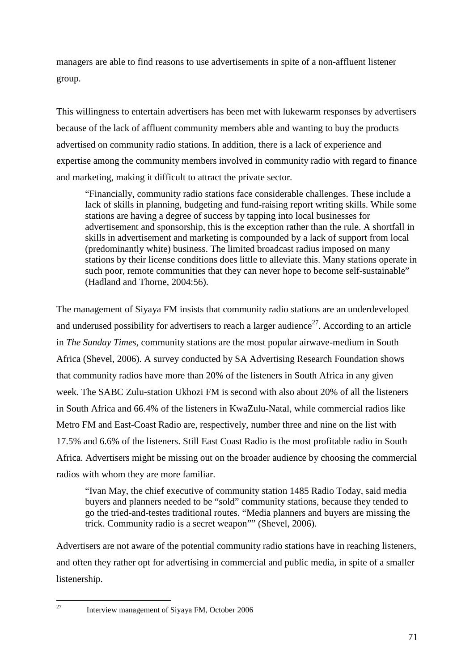managers are able to find reasons to use advertisements in spite of a non-affluent listener group.

This willingness to entertain advertisers has been met with lukewarm responses by advertisers because of the lack of affluent community members able and wanting to buy the products advertised on community radio stations. In addition, there is a lack of experience and expertise among the community members involved in community radio with regard to finance and marketing, making it difficult to attract the private sector.

"Financially, community radio stations face considerable challenges. These include a lack of skills in planning, budgeting and fund-raising report writing skills. While some stations are having a degree of success by tapping into local businesses for advertisement and sponsorship, this is the exception rather than the rule. A shortfall in skills in advertisement and marketing is compounded by a lack of support from local (predominantly white) business. The limited broadcast radius imposed on many stations by their license conditions does little to alleviate this. Many stations operate in such poor, remote communities that they can never hope to become self-sustainable" (Hadland and Thorne, 2004:56).

The management of Siyaya FM insists that community radio stations are an underdeveloped and underused possibility for advertisers to reach a larger audience<sup>27</sup>. According to an article in *The Sunday Times*, community stations are the most popular airwave-medium in South Africa (Shevel, 2006). A survey conducted by SA Advertising Research Foundation shows that community radios have more than 20% of the listeners in South Africa in any given week. The SABC Zulu-station Ukhozi FM is second with also about 20% of all the listeners in South Africa and 66.4% of the listeners in KwaZulu-Natal, while commercial radios like Metro FM and East-Coast Radio are, respectively, number three and nine on the list with 17.5% and 6.6% of the listeners. Still East Coast Radio is the most profitable radio in South Africa. Advertisers might be missing out on the broader audience by choosing the commercial radios with whom they are more familiar.

"Ivan May, the chief executive of community station 1485 Radio Today, said media buyers and planners needed to be "sold" community stations, because they tended to go the tried-and-testes traditional routes. "Media planners and buyers are missing the trick. Community radio is a secret weapon"" (Shevel, 2006).

Advertisers are not aware of the potential community radio stations have in reaching listeners, and often they rather opt for advertising in commercial and public media, in spite of a smaller listenership.

 $\overline{27}$ 

<sup>27</sup> Interview management of Siyaya FM, October 2006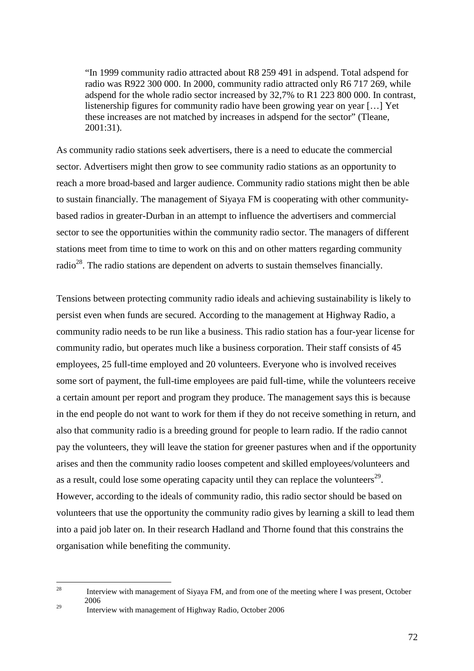"In 1999 community radio attracted about R8 259 491 in adspend. Total adspend for radio was R922 300 000. In 2000, community radio attracted only R6 717 269, while adspend for the whole radio sector increased by 32,7% to R1 223 800 000. In contrast, listenership figures for community radio have been growing year on year […] Yet these increases are not matched by increases in adspend for the sector" (Tleane, 2001:31).

As community radio stations seek advertisers, there is a need to educate the commercial sector. Advertisers might then grow to see community radio stations as an opportunity to reach a more broad-based and larger audience. Community radio stations might then be able to sustain financially. The management of Siyaya FM is cooperating with other communitybased radios in greater-Durban in an attempt to influence the advertisers and commercial sector to see the opportunities within the community radio sector. The managers of different stations meet from time to time to work on this and on other matters regarding community radio<sup>28</sup>. The radio stations are dependent on adverts to sustain themselves financially.

Tensions between protecting community radio ideals and achieving sustainability is likely to persist even when funds are secured. According to the management at Highway Radio, a community radio needs to be run like a business. This radio station has a four-year license for community radio, but operates much like a business corporation. Their staff consists of 45 employees, 25 full-time employed and 20 volunteers. Everyone who is involved receives some sort of payment, the full-time employees are paid full-time, while the volunteers receive a certain amount per report and program they produce. The management says this is because in the end people do not want to work for them if they do not receive something in return, and also that community radio is a breeding ground for people to learn radio. If the radio cannot pay the volunteers, they will leave the station for greener pastures when and if the opportunity arises and then the community radio looses competent and skilled employees/volunteers and as a result, could lose some operating capacity until they can replace the volunteers<sup>29</sup>. However, according to the ideals of community radio, this radio sector should be based on volunteers that use the opportunity the community radio gives by learning a skill to lead them into a paid job later on. In their research Hadland and Thorne found that this constrains the organisation while benefiting the community.

<sup>29</sup> Interview with management of Highway Radio, October 2006

<sup>28</sup> Interview with management of Siyaya FM, and from one of the meeting where I was present, October 2006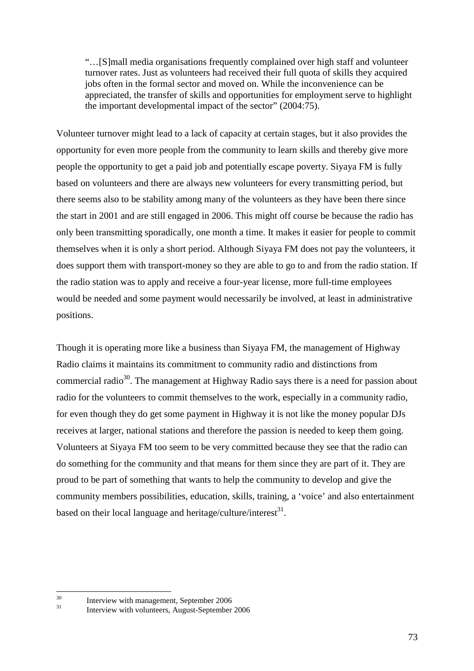"…[S]mall media organisations frequently complained over high staff and volunteer turnover rates. Just as volunteers had received their full quota of skills they acquired jobs often in the formal sector and moved on. While the inconvenience can be appreciated, the transfer of skills and opportunities for employment serve to highlight the important developmental impact of the sector" (2004:75).

Volunteer turnover might lead to a lack of capacity at certain stages, but it also provides the opportunity for even more people from the community to learn skills and thereby give more people the opportunity to get a paid job and potentially escape poverty. Siyaya FM is fully based on volunteers and there are always new volunteers for every transmitting period, but there seems also to be stability among many of the volunteers as they have been there since the start in 2001 and are still engaged in 2006. This might off course be because the radio has only been transmitting sporadically, one month a time. It makes it easier for people to commit themselves when it is only a short period. Although Siyaya FM does not pay the volunteers, it does support them with transport-money so they are able to go to and from the radio station. If the radio station was to apply and receive a four-year license, more full-time employees would be needed and some payment would necessarily be involved, at least in administrative positions.

Though it is operating more like a business than Siyaya FM, the management of Highway Radio claims it maintains its commitment to community radio and distinctions from commercial radio<sup>30</sup>. The management at Highway Radio says there is a need for passion about radio for the volunteers to commit themselves to the work, especially in a community radio, for even though they do get some payment in Highway it is not like the money popular DJs receives at larger, national stations and therefore the passion is needed to keep them going. Volunteers at Siyaya FM too seem to be very committed because they see that the radio can do something for the community and that means for them since they are part of it. They are proud to be part of something that wants to help the community to develop and give the community members possibilities, education, skills, training, a 'voice' and also entertainment based on their local language and heritage/culture/interest $^{31}$ .

 $30<sup>2</sup>$  $\frac{30}{11}$  Interview with management, September 2006

Interview with volunteers, August-September 2006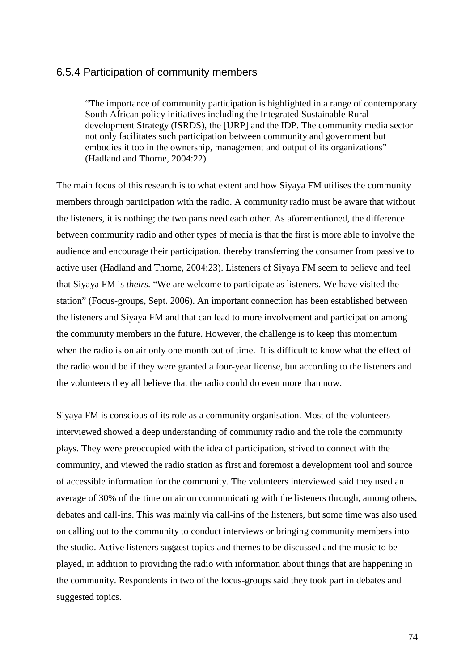### 6.5.4 Participation of community members

"The importance of community participation is highlighted in a range of contemporary South African policy initiatives including the Integrated Sustainable Rural development Strategy (ISRDS), the [URP] and the IDP. The community media sector not only facilitates such participation between community and government but embodies it too in the ownership, management and output of its organizations" (Hadland and Thorne, 2004:22).

The main focus of this research is to what extent and how Siyaya FM utilises the community members through participation with the radio. A community radio must be aware that without the listeners, it is nothing; the two parts need each other. As aforementioned, the difference between community radio and other types of media is that the first is more able to involve the audience and encourage their participation, thereby transferring the consumer from passive to active user (Hadland and Thorne, 2004:23). Listeners of Siyaya FM seem to believe and feel that Siyaya FM is *theirs.* "We are welcome to participate as listeners. We have visited the station" (Focus-groups, Sept. 2006). An important connection has been established between the listeners and Siyaya FM and that can lead to more involvement and participation among the community members in the future. However, the challenge is to keep this momentum when the radio is on air only one month out of time. It is difficult to know what the effect of the radio would be if they were granted a four-year license, but according to the listeners and the volunteers they all believe that the radio could do even more than now.

Siyaya FM is conscious of its role as a community organisation. Most of the volunteers interviewed showed a deep understanding of community radio and the role the community plays. They were preoccupied with the idea of participation, strived to connect with the community, and viewed the radio station as first and foremost a development tool and source of accessible information for the community. The volunteers interviewed said they used an average of 30% of the time on air on communicating with the listeners through, among others, debates and call-ins. This was mainly via call-ins of the listeners, but some time was also used on calling out to the community to conduct interviews or bringing community members into the studio. Active listeners suggest topics and themes to be discussed and the music to be played, in addition to providing the radio with information about things that are happening in the community. Respondents in two of the focus-groups said they took part in debates and suggested topics.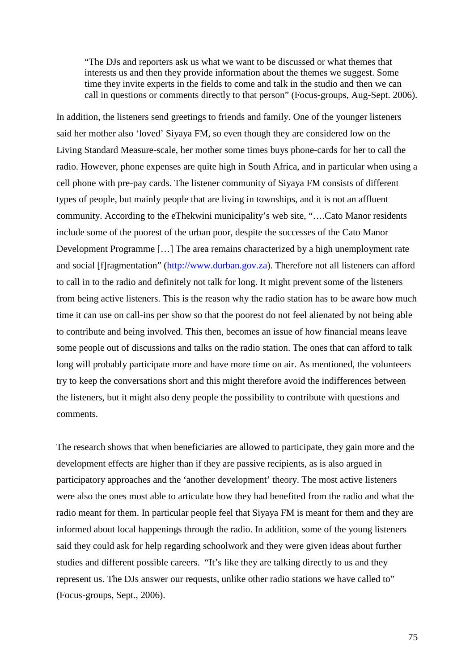"The DJs and reporters ask us what we want to be discussed or what themes that interests us and then they provide information about the themes we suggest. Some time they invite experts in the fields to come and talk in the studio and then we can call in questions or comments directly to that person" (Focus-groups, Aug-Sept. 2006).

In addition, the listeners send greetings to friends and family. One of the younger listeners said her mother also 'loved' Siyaya FM, so even though they are considered low on the Living Standard Measure-scale, her mother some times buys phone-cards for her to call the radio. However, phone expenses are quite high in South Africa, and in particular when using a cell phone with pre-pay cards. The listener community of Siyaya FM consists of different types of people, but mainly people that are living in townships, and it is not an affluent community. According to the eThekwini municipality's web site, "….Cato Manor residents include some of the poorest of the urban poor, despite the successes of the Cato Manor Development Programme […] The area remains characterized by a high unemployment rate and social [f]ragmentation" (http://www.durban.gov.za). Therefore not all listeners can afford to call in to the radio and definitely not talk for long. It might prevent some of the listeners from being active listeners. This is the reason why the radio station has to be aware how much time it can use on call-ins per show so that the poorest do not feel alienated by not being able to contribute and being involved. This then, becomes an issue of how financial means leave some people out of discussions and talks on the radio station. The ones that can afford to talk long will probably participate more and have more time on air. As mentioned, the volunteers try to keep the conversations short and this might therefore avoid the indifferences between the listeners, but it might also deny people the possibility to contribute with questions and comments.

The research shows that when beneficiaries are allowed to participate, they gain more and the development effects are higher than if they are passive recipients, as is also argued in participatory approaches and the 'another development' theory. The most active listeners were also the ones most able to articulate how they had benefited from the radio and what the radio meant for them. In particular people feel that Siyaya FM is meant for them and they are informed about local happenings through the radio. In addition, some of the young listeners said they could ask for help regarding schoolwork and they were given ideas about further studies and different possible careers. "It's like they are talking directly to us and they represent us. The DJs answer our requests, unlike other radio stations we have called to" (Focus-groups, Sept., 2006).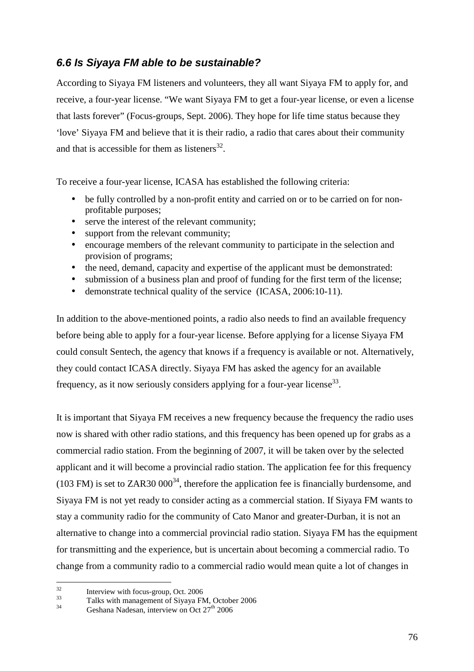### **6.6 Is Siyaya FM able to be sustainable?**

According to Siyaya FM listeners and volunteers, they all want Siyaya FM to apply for, and receive, a four-year license. "We want Siyaya FM to get a four-year license, or even a license that lasts forever" (Focus-groups, Sept. 2006). They hope for life time status because they 'love' Siyaya FM and believe that it is their radio, a radio that cares about their community and that is accessible for them as listeners<sup>32</sup>.

To receive a four-year license, ICASA has established the following criteria:

- be fully controlled by a non-profit entity and carried on or to be carried on for nonprofitable purposes;
- serve the interest of the relevant community;
- support from the relevant community;
- encourage members of the relevant community to participate in the selection and provision of programs;
- the need, demand, capacity and expertise of the applicant must be demonstrated:
- submission of a business plan and proof of funding for the first term of the license;
- demonstrate technical quality of the service (ICASA, 2006:10-11).

In addition to the above-mentioned points, a radio also needs to find an available frequency before being able to apply for a four-year license. Before applying for a license Siyaya FM could consult Sentech, the agency that knows if a frequency is available or not. Alternatively, they could contact ICASA directly. Siyaya FM has asked the agency for an available frequency, as it now seriously considers applying for a four-year license<sup>33</sup>.

It is important that Siyaya FM receives a new frequency because the frequency the radio uses now is shared with other radio stations, and this frequency has been opened up for grabs as a commercial radio station. From the beginning of 2007, it will be taken over by the selected applicant and it will become a provincial radio station. The application fee for this frequency (103 FM) is set to ZAR30 000<sup>34</sup>, therefore the application fee is financially burdensome, and Siyaya FM is not yet ready to consider acting as a commercial station. If Siyaya FM wants to stay a community radio for the community of Cato Manor and greater-Durban, it is not an alternative to change into a commercial provincial radio station. Siyaya FM has the equipment for transmitting and the experience, but is uncertain about becoming a commercial radio. To change from a community radio to a commercial radio would mean quite a lot of changes in

 $32$  $\frac{32}{33}$  Interview with focus-group, Oct. 2006

 $^{33}$  Talks with management of Siyaya FM, October 2006

Geshana Nadesan, interview on Oct  $27<sup>th</sup> 2006$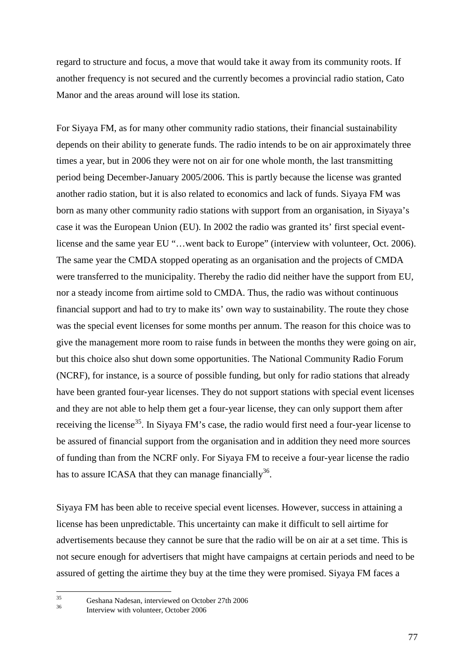regard to structure and focus, a move that would take it away from its community roots. If another frequency is not secured and the currently becomes a provincial radio station, Cato Manor and the areas around will lose its station.

For Siyaya FM, as for many other community radio stations, their financial sustainability depends on their ability to generate funds. The radio intends to be on air approximately three times a year, but in 2006 they were not on air for one whole month, the last transmitting period being December-January 2005/2006. This is partly because the license was granted another radio station, but it is also related to economics and lack of funds. Siyaya FM was born as many other community radio stations with support from an organisation, in Siyaya's case it was the European Union (EU). In 2002 the radio was granted its' first special eventlicense and the same year EU "…went back to Europe" (interview with volunteer, Oct. 2006). The same year the CMDA stopped operating as an organisation and the projects of CMDA were transferred to the municipality. Thereby the radio did neither have the support from EU, nor a steady income from airtime sold to CMDA. Thus, the radio was without continuous financial support and had to try to make its' own way to sustainability. The route they chose was the special event licenses for some months per annum. The reason for this choice was to give the management more room to raise funds in between the months they were going on air, but this choice also shut down some opportunities. The National Community Radio Forum (NCRF), for instance, is a source of possible funding, but only for radio stations that already have been granted four-year licenses. They do not support stations with special event licenses and they are not able to help them get a four-year license, they can only support them after receiving the license<sup>35</sup>. In Siyaya FM's case, the radio would first need a four-year license to be assured of financial support from the organisation and in addition they need more sources of funding than from the NCRF only. For Siyaya FM to receive a four-year license the radio has to assure ICASA that they can manage financially<sup>36</sup>.

Siyaya FM has been able to receive special event licenses. However, success in attaining a license has been unpredictable. This uncertainty can make it difficult to sell airtime for advertisements because they cannot be sure that the radio will be on air at a set time. This is not secure enough for advertisers that might have campaigns at certain periods and need to be assured of getting the airtime they buy at the time they were promised. Siyaya FM faces a

 $35$  $35$  Geshana Nadesan, interviewed on October 27th 2006

Interview with volunteer, October 2006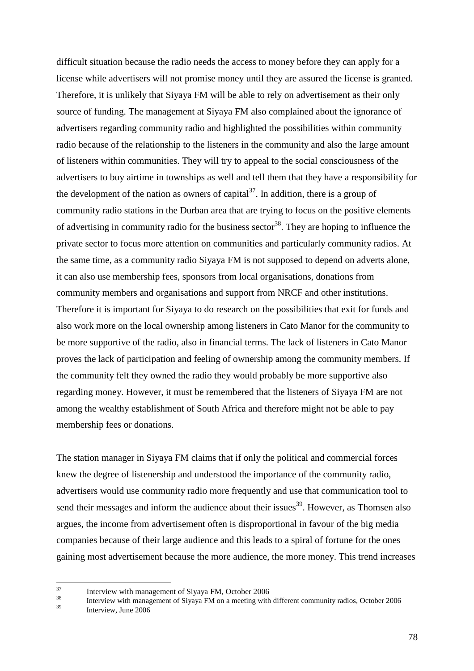difficult situation because the radio needs the access to money before they can apply for a license while advertisers will not promise money until they are assured the license is granted. Therefore, it is unlikely that Siyaya FM will be able to rely on advertisement as their only source of funding. The management at Siyaya FM also complained about the ignorance of advertisers regarding community radio and highlighted the possibilities within community radio because of the relationship to the listeners in the community and also the large amount of listeners within communities. They will try to appeal to the social consciousness of the advertisers to buy airtime in townships as well and tell them that they have a responsibility for the development of the nation as owners of capital<sup>37</sup>. In addition, there is a group of community radio stations in the Durban area that are trying to focus on the positive elements of advertising in community radio for the business sector<sup>38</sup>. They are hoping to influence the private sector to focus more attention on communities and particularly community radios. At the same time, as a community radio Siyaya FM is not supposed to depend on adverts alone, it can also use membership fees, sponsors from local organisations, donations from community members and organisations and support from NRCF and other institutions. Therefore it is important for Siyaya to do research on the possibilities that exit for funds and also work more on the local ownership among listeners in Cato Manor for the community to be more supportive of the radio, also in financial terms. The lack of listeners in Cato Manor proves the lack of participation and feeling of ownership among the community members. If the community felt they owned the radio they would probably be more supportive also regarding money. However, it must be remembered that the listeners of Siyaya FM are not among the wealthy establishment of South Africa and therefore might not be able to pay membership fees or donations.

The station manager in Siyaya FM claims that if only the political and commercial forces knew the degree of listenership and understood the importance of the community radio, advertisers would use community radio more frequently and use that communication tool to send their messages and inform the audience about their issues<sup>39</sup>. However, as Thomsen also argues, the income from advertisement often is disproportional in favour of the big media companies because of their large audience and this leads to a spiral of fortune for the ones gaining most advertisement because the more audience, the more money. This trend increases

 $37$  $\frac{37}{38}$  Interview with management of Siyaya FM, October 2006

<sup>&</sup>lt;sup>38</sup><br>Interview with management of Siyaya FM on a meeting with different community radios, October 2006

Interview, June 2006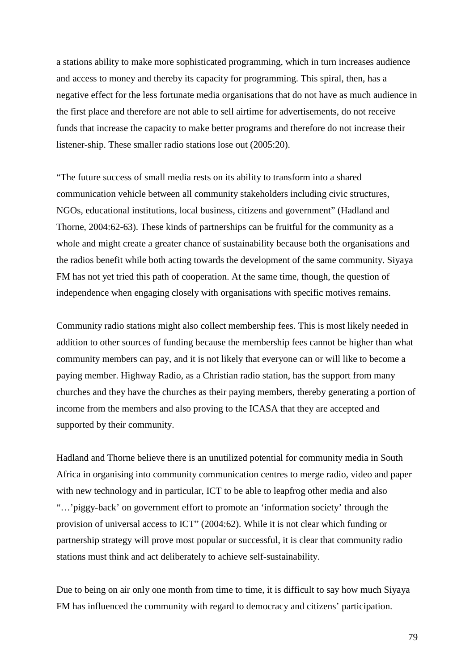a stations ability to make more sophisticated programming, which in turn increases audience and access to money and thereby its capacity for programming. This spiral, then, has a negative effect for the less fortunate media organisations that do not have as much audience in the first place and therefore are not able to sell airtime for advertisements, do not receive funds that increase the capacity to make better programs and therefore do not increase their listener-ship. These smaller radio stations lose out (2005:20).

"The future success of small media rests on its ability to transform into a shared communication vehicle between all community stakeholders including civic structures, NGOs, educational institutions, local business, citizens and government" (Hadland and Thorne, 2004:62-63). These kinds of partnerships can be fruitful for the community as a whole and might create a greater chance of sustainability because both the organisations and the radios benefit while both acting towards the development of the same community. Siyaya FM has not yet tried this path of cooperation. At the same time, though, the question of independence when engaging closely with organisations with specific motives remains.

Community radio stations might also collect membership fees. This is most likely needed in addition to other sources of funding because the membership fees cannot be higher than what community members can pay, and it is not likely that everyone can or will like to become a paying member. Highway Radio, as a Christian radio station, has the support from many churches and they have the churches as their paying members, thereby generating a portion of income from the members and also proving to the ICASA that they are accepted and supported by their community.

Hadland and Thorne believe there is an unutilized potential for community media in South Africa in organising into community communication centres to merge radio, video and paper with new technology and in particular, ICT to be able to leapfrog other media and also "…'piggy-back' on government effort to promote an 'information society' through the provision of universal access to ICT" (2004:62). While it is not clear which funding or partnership strategy will prove most popular or successful, it is clear that community radio stations must think and act deliberately to achieve self-sustainability.

Due to being on air only one month from time to time, it is difficult to say how much Siyaya FM has influenced the community with regard to democracy and citizens' participation.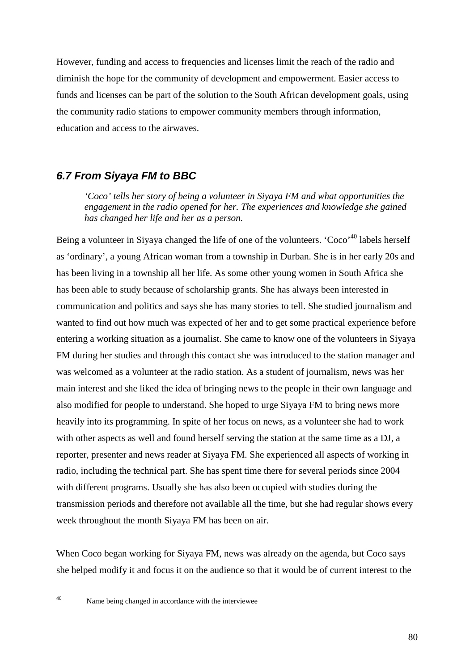However, funding and access to frequencies and licenses limit the reach of the radio and diminish the hope for the community of development and empowerment. Easier access to funds and licenses can be part of the solution to the South African development goals, using the community radio stations to empower community members through information, education and access to the airwaves.

### **6.7 From Siyaya FM to BBC**

*'Coco' tells her story of being a volunteer in Siyaya FM and what opportunities the engagement in the radio opened for her. The experiences and knowledge she gained has changed her life and her as a person.* 

Being a volunteer in Siyaya changed the life of one of the volunteers. 'Coco'<sup>40</sup> labels herself as 'ordinary', a young African woman from a township in Durban. She is in her early 20s and has been living in a township all her life. As some other young women in South Africa she has been able to study because of scholarship grants. She has always been interested in communication and politics and says she has many stories to tell. She studied journalism and wanted to find out how much was expected of her and to get some practical experience before entering a working situation as a journalist. She came to know one of the volunteers in Siyaya FM during her studies and through this contact she was introduced to the station manager and was welcomed as a volunteer at the radio station. As a student of journalism, news was her main interest and she liked the idea of bringing news to the people in their own language and also modified for people to understand. She hoped to urge Siyaya FM to bring news more heavily into its programming. In spite of her focus on news, as a volunteer she had to work with other aspects as well and found herself serving the station at the same time as a DJ, a reporter, presenter and news reader at Siyaya FM. She experienced all aspects of working in radio, including the technical part. She has spent time there for several periods since 2004 with different programs. Usually she has also been occupied with studies during the transmission periods and therefore not available all the time, but she had regular shows every week throughout the month Siyaya FM has been on air.

When Coco began working for Siyaya FM, news was already on the agenda, but Coco says she helped modify it and focus it on the audience so that it would be of current interest to the

 $40\degree$ 

Name being changed in accordance with the interviewee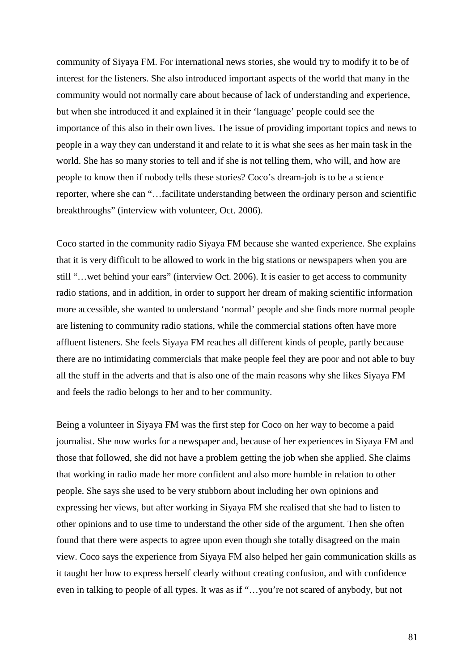community of Siyaya FM. For international news stories, she would try to modify it to be of interest for the listeners. She also introduced important aspects of the world that many in the community would not normally care about because of lack of understanding and experience, but when she introduced it and explained it in their 'language' people could see the importance of this also in their own lives. The issue of providing important topics and news to people in a way they can understand it and relate to it is what she sees as her main task in the world. She has so many stories to tell and if she is not telling them, who will, and how are people to know then if nobody tells these stories? Coco's dream-job is to be a science reporter, where she can "…facilitate understanding between the ordinary person and scientific breakthroughs" (interview with volunteer, Oct. 2006).

Coco started in the community radio Siyaya FM because she wanted experience. She explains that it is very difficult to be allowed to work in the big stations or newspapers when you are still "…wet behind your ears" (interview Oct. 2006). It is easier to get access to community radio stations, and in addition, in order to support her dream of making scientific information more accessible, she wanted to understand 'normal' people and she finds more normal people are listening to community radio stations, while the commercial stations often have more affluent listeners. She feels Siyaya FM reaches all different kinds of people, partly because there are no intimidating commercials that make people feel they are poor and not able to buy all the stuff in the adverts and that is also one of the main reasons why she likes Siyaya FM and feels the radio belongs to her and to her community.

Being a volunteer in Siyaya FM was the first step for Coco on her way to become a paid journalist. She now works for a newspaper and, because of her experiences in Siyaya FM and those that followed, she did not have a problem getting the job when she applied. She claims that working in radio made her more confident and also more humble in relation to other people. She says she used to be very stubborn about including her own opinions and expressing her views, but after working in Siyaya FM she realised that she had to listen to other opinions and to use time to understand the other side of the argument. Then she often found that there were aspects to agree upon even though she totally disagreed on the main view. Coco says the experience from Siyaya FM also helped her gain communication skills as it taught her how to express herself clearly without creating confusion, and with confidence even in talking to people of all types. It was as if "…you're not scared of anybody, but not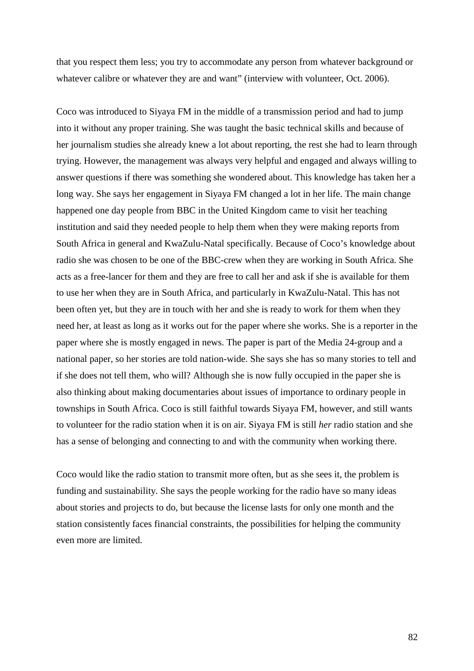that you respect them less; you try to accommodate any person from whatever background or whatever calibre or whatever they are and want" (interview with volunteer, Oct. 2006).

Coco was introduced to Siyaya FM in the middle of a transmission period and had to jump into it without any proper training. She was taught the basic technical skills and because of her journalism studies she already knew a lot about reporting, the rest she had to learn through trying. However, the management was always very helpful and engaged and always willing to answer questions if there was something she wondered about. This knowledge has taken her a long way. She says her engagement in Siyaya FM changed a lot in her life. The main change happened one day people from BBC in the United Kingdom came to visit her teaching institution and said they needed people to help them when they were making reports from South Africa in general and KwaZulu-Natal specifically. Because of Coco's knowledge about radio she was chosen to be one of the BBC-crew when they are working in South Africa. She acts as a free-lancer for them and they are free to call her and ask if she is available for them to use her when they are in South Africa, and particularly in KwaZulu-Natal. This has not been often yet, but they are in touch with her and she is ready to work for them when they need her, at least as long as it works out for the paper where she works. She is a reporter in the paper where she is mostly engaged in news. The paper is part of the Media 24-group and a national paper, so her stories are told nation-wide. She says she has so many stories to tell and if she does not tell them, who will? Although she is now fully occupied in the paper she is also thinking about making documentaries about issues of importance to ordinary people in townships in South Africa. Coco is still faithful towards Siyaya FM, however, and still wants to volunteer for the radio station when it is on air. Siyaya FM is still *her* radio station and she has a sense of belonging and connecting to and with the community when working there.

Coco would like the radio station to transmit more often, but as she sees it, the problem is funding and sustainability. She says the people working for the radio have so many ideas about stories and projects to do, but because the license lasts for only one month and the station consistently faces financial constraints, the possibilities for helping the community even more are limited.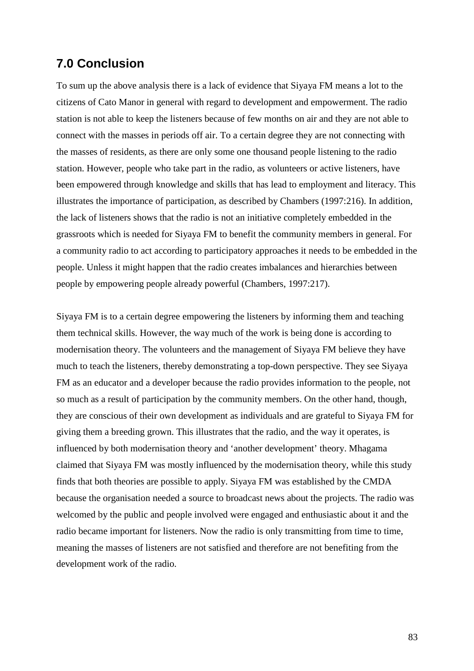## **7.0 Conclusion**

To sum up the above analysis there is a lack of evidence that Siyaya FM means a lot to the citizens of Cato Manor in general with regard to development and empowerment. The radio station is not able to keep the listeners because of few months on air and they are not able to connect with the masses in periods off air. To a certain degree they are not connecting with the masses of residents, as there are only some one thousand people listening to the radio station. However, people who take part in the radio, as volunteers or active listeners, have been empowered through knowledge and skills that has lead to employment and literacy. This illustrates the importance of participation, as described by Chambers (1997:216). In addition, the lack of listeners shows that the radio is not an initiative completely embedded in the grassroots which is needed for Siyaya FM to benefit the community members in general. For a community radio to act according to participatory approaches it needs to be embedded in the people. Unless it might happen that the radio creates imbalances and hierarchies between people by empowering people already powerful (Chambers, 1997:217).

Siyaya FM is to a certain degree empowering the listeners by informing them and teaching them technical skills. However, the way much of the work is being done is according to modernisation theory. The volunteers and the management of Siyaya FM believe they have much to teach the listeners, thereby demonstrating a top-down perspective. They see Siyaya FM as an educator and a developer because the radio provides information to the people, not so much as a result of participation by the community members. On the other hand, though, they are conscious of their own development as individuals and are grateful to Siyaya FM for giving them a breeding grown. This illustrates that the radio, and the way it operates, is influenced by both modernisation theory and 'another development' theory. Mhagama claimed that Siyaya FM was mostly influenced by the modernisation theory, while this study finds that both theories are possible to apply. Siyaya FM was established by the CMDA because the organisation needed a source to broadcast news about the projects. The radio was welcomed by the public and people involved were engaged and enthusiastic about it and the radio became important for listeners. Now the radio is only transmitting from time to time, meaning the masses of listeners are not satisfied and therefore are not benefiting from the development work of the radio.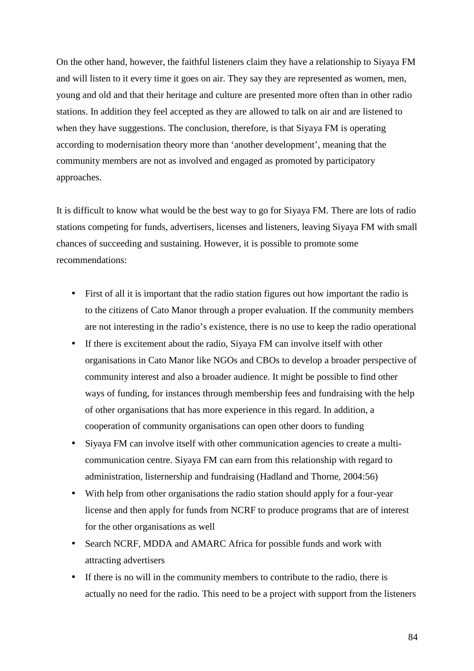On the other hand, however, the faithful listeners claim they have a relationship to Siyaya FM and will listen to it every time it goes on air. They say they are represented as women, men, young and old and that their heritage and culture are presented more often than in other radio stations. In addition they feel accepted as they are allowed to talk on air and are listened to when they have suggestions. The conclusion, therefore, is that Siyaya FM is operating according to modernisation theory more than 'another development', meaning that the community members are not as involved and engaged as promoted by participatory approaches.

It is difficult to know what would be the best way to go for Siyaya FM. There are lots of radio stations competing for funds, advertisers, licenses and listeners, leaving Siyaya FM with small chances of succeeding and sustaining. However, it is possible to promote some recommendations:

- First of all it is important that the radio station figures out how important the radio is to the citizens of Cato Manor through a proper evaluation. If the community members are not interesting in the radio's existence, there is no use to keep the radio operational
- If there is excitement about the radio, Siyaya FM can involve itself with other organisations in Cato Manor like NGOs and CBOs to develop a broader perspective of community interest and also a broader audience. It might be possible to find other ways of funding, for instances through membership fees and fundraising with the help of other organisations that has more experience in this regard. In addition, a cooperation of community organisations can open other doors to funding
- Siyaya FM can involve itself with other communication agencies to create a multicommunication centre. Siyaya FM can earn from this relationship with regard to administration, listernership and fundraising (Hadland and Thorne, 2004:56)
- With help from other organisations the radio station should apply for a four-year license and then apply for funds from NCRF to produce programs that are of interest for the other organisations as well
- Search NCRF, MDDA and AMARC Africa for possible funds and work with attracting advertisers
- If there is no will in the community members to contribute to the radio, there is actually no need for the radio. This need to be a project with support from the listeners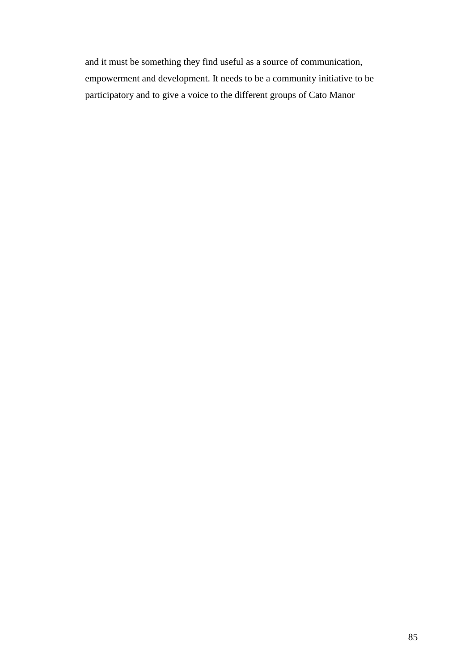and it must be something they find useful as a source of communication, empowerment and development. It needs to be a community initiative to be participatory and to give a voice to the different groups of Cato Manor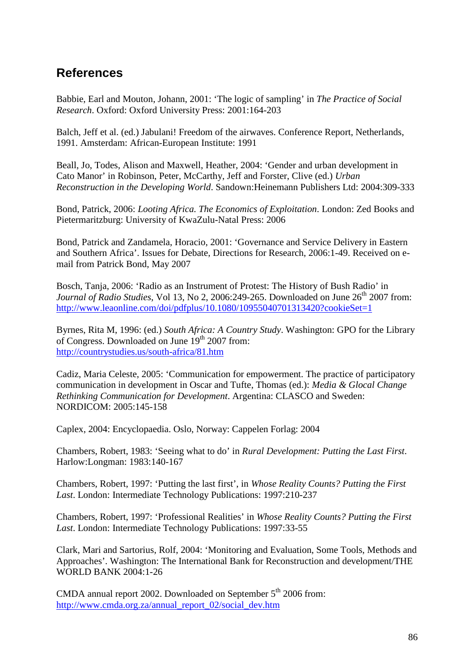## **References**

Babbie, Earl and Mouton, Johann, 2001: 'The logic of sampling' in *The Practice of Social Research*. Oxford: Oxford University Press: 2001:164-203

Balch, Jeff et al. (ed.) Jabulani! Freedom of the airwaves. Conference Report, Netherlands, 1991. Amsterdam: African-European Institute: 1991

Beall, Jo, Todes, Alison and Maxwell, Heather, 2004: 'Gender and urban development in Cato Manor' in Robinson, Peter, McCarthy, Jeff and Forster, Clive (ed.) *Urban Reconstruction in the Developing World*. Sandown:Heinemann Publishers Ltd: 2004:309-333

Bond, Patrick, 2006: *Looting Africa. The Economics of Exploitation*. London: Zed Books and Pietermaritzburg: University of KwaZulu-Natal Press: 2006

Bond, Patrick and Zandamela, Horacio, 2001: 'Governance and Service Delivery in Eastern and Southern Africa'. Issues for Debate, Directions for Research, 2006:1-49. Received on email from Patrick Bond, May 2007

Bosch, Tanja, 2006: 'Radio as an Instrument of Protest: The History of Bush Radio' in *Journal of Radio Studies*, Vol 13, No 2, 2006:249-265. Downloaded on June  $26<sup>th</sup>$  2007 from: http://www.leaonline.com/doi/pdfplus/10.1080/10955040701313420?cookieSet=1

Byrnes, Rita M, 1996: (ed.) *South Africa: A Country Study*. Washington: GPO for the Library of Congress. Downloaded on June 19<sup>th</sup> 2007 from: http://countrystudies.us/south-africa/81.htm

Cadiz, Maria Celeste, 2005: 'Communication for empowerment. The practice of participatory communication in development in Oscar and Tufte, Thomas (ed.): *Media & Glocal Change Rethinking Communication for Development*. Argentina: CLASCO and Sweden: NORDICOM: 2005:145-158

Caplex, 2004: Encyclopaedia. Oslo, Norway: Cappelen Forlag: 2004

Chambers, Robert, 1983: 'Seeing what to do' in *Rural Development: Putting the Last First*. Harlow:Longman: 1983:140-167

Chambers, Robert, 1997: 'Putting the last first', in *Whose Reality Counts? Putting the First Last*. London: Intermediate Technology Publications: 1997:210-237

Chambers, Robert, 1997: 'Professional Realities' in *Whose Reality Counts? Putting the First Last*. London: Intermediate Technology Publications: 1997:33-55

Clark, Mari and Sartorius, Rolf, 2004: 'Monitoring and Evaluation, Some Tools, Methods and Approaches'. Washington: The International Bank for Reconstruction and development/THE WORLD BANK 2004:1-26

CMDA annual report 2002. Downloaded on September  $5<sup>th</sup>$  2006 from: http://www.cmda.org.za/annual\_report\_02/social\_dev.htm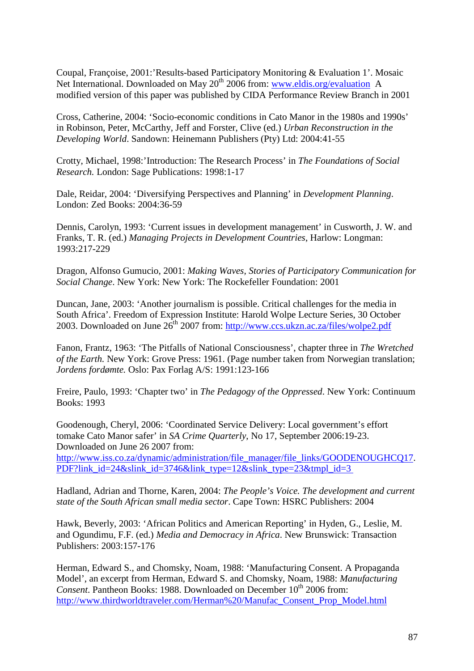Coupal, Françoise, 2001:'Results-based Participatory Monitoring & Evaluation 1'. Mosaic Net International. Downloaded on May  $20<sup>th</sup>$  2006 from: www.eldis.org/evaluation A modified version of this paper was published by CIDA Performance Review Branch in 2001

Cross, Catherine, 2004: 'Socio-economic conditions in Cato Manor in the 1980s and 1990s' in Robinson, Peter, McCarthy, Jeff and Forster, Clive (ed.) *Urban Reconstruction in the Developing World*. Sandown: Heinemann Publishers (Pty) Ltd: 2004:41-55

Crotty, Michael, 1998:'Introduction: The Research Process' in *The Foundations of Social Research.* London: Sage Publications: 1998:1-17

Dale, Reidar, 2004: 'Diversifying Perspectives and Planning' in *Development Planning*. London: Zed Books: 2004:36-59

Dennis, Carolyn, 1993: 'Current issues in development management' in Cusworth, J. W. and Franks, T. R. (ed.) *Managing Projects in Development Countries*, Harlow: Longman: 1993:217-229

Dragon, Alfonso Gumucio, 2001: *Making Waves, Stories of Participatory Communication for Social Change*. New York: New York: The Rockefeller Foundation: 2001

Duncan, Jane, 2003: 'Another journalism is possible. Critical challenges for the media in South Africa'. Freedom of Expression Institute: Harold Wolpe Lecture Series, 30 October 2003. Downloaded on June 26<sup>th</sup> 2007 from: http://www.ccs.ukzn.ac.za/files/wolpe2.pdf

Fanon, Frantz, 1963: 'The Pitfalls of National Consciousness', chapter three in *The Wretched of the Earth.* New York: Grove Press: 1961. (Page number taken from Norwegian translation; *Jordens fordømte.* Oslo: Pax Forlag A/S: 1991:123-166

Freire, Paulo, 1993: 'Chapter two' in *The Pedagogy of the Oppressed*. New York: Continuum Books: 1993

Goodenough, Cheryl, 2006: 'Coordinated Service Delivery: Local government's effort tomake Cato Manor safer' in *SA Crime Quarterly*, No 17, September 2006:19-23. Downloaded on June 26 2007 from: http://www.iss.co.za/dynamic/administration/file\_manager/file\_links/GOODENOUGHCO17. PDF?link id=24&slink id=3746&link type=12&slink type=23&tmpl id=3

Hadland, Adrian and Thorne, Karen, 2004: *The People's Voice. The development and current state of the South African small media sector*. Cape Town: HSRC Publishers: 2004

Hawk, Beverly, 2003: 'African Politics and American Reporting' in Hyden, G., Leslie, M. and Ogundimu, F.F. (ed.) *Media and Democracy in Africa*. New Brunswick: Transaction Publishers: 2003:157-176

Herman, Edward S., and Chomsky, Noam, 1988: 'Manufacturing Consent. A Propaganda Model', an excerpt from Herman, Edward S. and Chomsky, Noam, 1988: *Manufacturing Consent*. Pantheon Books: 1988. Downloaded on December 10<sup>th</sup> 2006 from: http://www.thirdworldtraveler.com/Herman%20/Manufac\_Consent\_Prop\_Model.html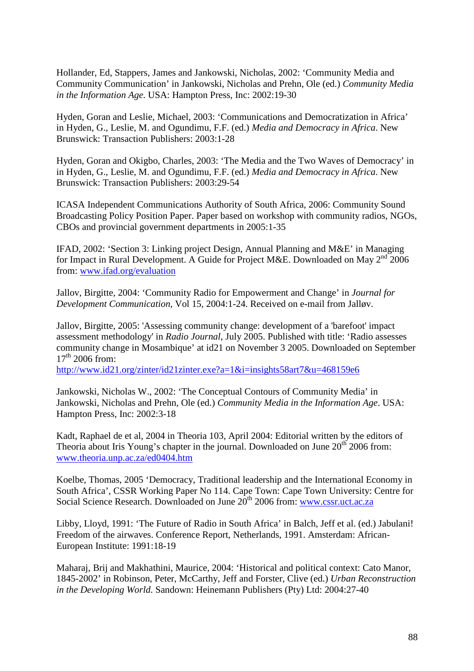Hollander, Ed, Stappers, James and Jankowski, Nicholas, 2002: 'Community Media and Community Communication' in Jankowski, Nicholas and Prehn, Ole (ed.) *Community Media in the Information Age*. USA: Hampton Press, Inc: 2002:19-30

Hyden, Goran and Leslie, Michael, 2003: 'Communications and Democratization in Africa' in Hyden, G., Leslie, M. and Ogundimu, F.F. (ed.) *Media and Democracy in Africa*. New Brunswick: Transaction Publishers: 2003:1-28

Hyden, Goran and Okigbo, Charles, 2003: 'The Media and the Two Waves of Democracy' in in Hyden, G., Leslie, M. and Ogundimu, F.F. (ed.) *Media and Democracy in Africa*. New Brunswick: Transaction Publishers: 2003:29-54

ICASA Independent Communications Authority of South Africa, 2006: Community Sound Broadcasting Policy Position Paper. Paper based on workshop with community radios, NGOs, CBOs and provincial government departments in 2005:1-35

IFAD, 2002: 'Section 3: Linking project Design, Annual Planning and M&E' in Managing for Impact in Rural Development. A Guide for Project M&E. Downloaded on May  $2<sup>nd</sup>$  2006 from: www.ifad.org/evaluation

Jallov, Birgitte, 2004: 'Community Radio for Empowerment and Change' in *Journal for Development Communication*, Vol 15, 2004:1-24. Received on e-mail from Jalløv.

Jallov, Birgitte, 2005: 'Assessing community change: development of a 'barefoot' impact assessment methodology' in *Radio Journal*, July 2005. Published with title: 'Radio assesses community change in Mosambique' at id21 on November 3 2005. Downloaded on September  $17<sup>th</sup>$  2006 from:

http://www.id21.org/zinter/id21zinter.exe?a=1&i=insights58art7&u=468159e6

Jankowski, Nicholas W., 2002: 'The Conceptual Contours of Community Media' in Jankowski, Nicholas and Prehn, Ole (ed.) *Community Media in the Information Age*. USA: Hampton Press, Inc: 2002:3-18

Kadt, Raphael de et al, 2004 in Theoria 103, April 2004: Editorial written by the editors of Theoria about Iris Young's chapter in the journal. Downloaded on June  $20<sup>th</sup> 2006$  from: www.theoria.unp.ac.za/ed0404.htm

Koelbe, Thomas, 2005 'Democracy, Traditional leadership and the International Economy in South Africa', CSSR Working Paper No 114. Cape Town: Cape Town University: Centre for Social Science Research. Downloaded on June  $20<sup>th</sup>$  2006 from: www.cssr.uct.ac.za

Libby, Lloyd, 1991: 'The Future of Radio in South Africa' in Balch, Jeff et al. (ed.) Jabulani! Freedom of the airwaves. Conference Report, Netherlands, 1991. Amsterdam: African-European Institute: 1991:18-19

Maharaj, Brij and Makhathini, Maurice, 2004: 'Historical and political context: Cato Manor, 1845-2002' in Robinson, Peter, McCarthy, Jeff and Forster, Clive (ed.) *Urban Reconstruction in the Developing World*. Sandown: Heinemann Publishers (Pty) Ltd: 2004:27-40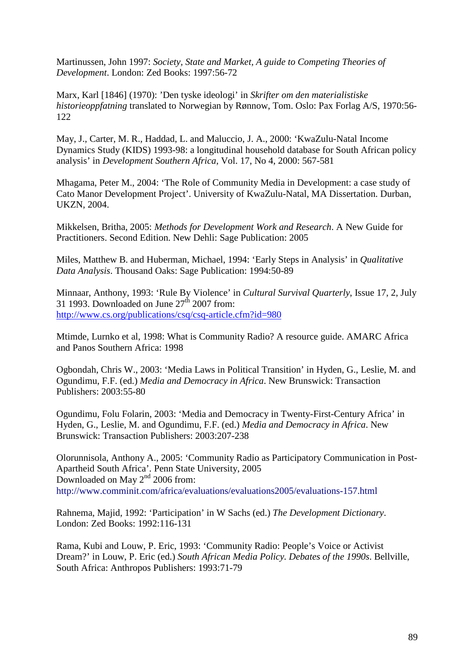Martinussen, John 1997: *Society, State and Market, A guide to Competing Theories of Development*. London: Zed Books: 1997:56-72

Marx, Karl [1846] (1970): 'Den tyske ideologi' in *Skrifter om den materialistiske historieoppfatning* translated to Norwegian by Rønnow, Tom. Oslo: Pax Forlag A/S, 1970:56- 122

May, J., Carter, M. R., Haddad, L. and Maluccio, J. A., 2000: 'KwaZulu-Natal Income Dynamics Study (KIDS) 1993-98: a longitudinal household database for South African policy analysis' in *Development Southern Africa*, Vol. 17, No 4, 2000: 567-581

Mhagama, Peter M., 2004: 'The Role of Community Media in Development: a case study of Cato Manor Development Project'. University of KwaZulu-Natal, MA Dissertation. Durban, UKZN, 2004.

Mikkelsen, Britha, 2005: *Methods for Development Work and Research*. A New Guide for Practitioners. Second Edition. New Dehli: Sage Publication: 2005

Miles, Matthew B. and Huberman, Michael, 1994: 'Early Steps in Analysis' in *Qualitative Data Analysis*. Thousand Oaks: Sage Publication: 1994:50-89

Minnaar, Anthony, 1993: 'Rule By Violence' in *Cultural Survival Quarterly*, Issue 17, 2, July 31 1993. Downloaded on June  $27<sup>th</sup>$  2007 from: http://www.cs.org/publications/csq/csq-article.cfm?id=980

Mtimde, Lurnko et al, 1998: What is Community Radio? A resource guide. AMARC Africa and Panos Southern Africa: 1998

Ogbondah, Chris W., 2003: 'Media Laws in Political Transition' in Hyden, G., Leslie, M. and Ogundimu, F.F. (ed.) *Media and Democracy in Africa*. New Brunswick: Transaction Publishers: 2003:55-80

Ogundimu, Folu Folarin, 2003: 'Media and Democracy in Twenty-First-Century Africa' in Hyden, G., Leslie, M. and Ogundimu, F.F. (ed.) *Media and Democracy in Africa*. New Brunswick: Transaction Publishers: 2003:207-238

Olorunnisola, Anthony A., 2005: 'Community Radio as Participatory Communication in Post-Apartheid South Africa'. Penn State University, 2005 Downloaded on May 2<sup>nd</sup> 2006 from: http://www.comminit.com/africa/evaluations/evaluations2005/evaluations-157.html

Rahnema, Majid, 1992: 'Participation' in W Sachs (ed.) *The Development Dictionary*. London: Zed Books: 1992:116-131

Rama, Kubi and Louw, P. Eric, 1993: 'Community Radio: People's Voice or Activist Dream?' in Louw, P. Eric (ed.) *South African Media Policy. Debates of the 1990s*. Bellville, South Africa: Anthropos Publishers: 1993:71-79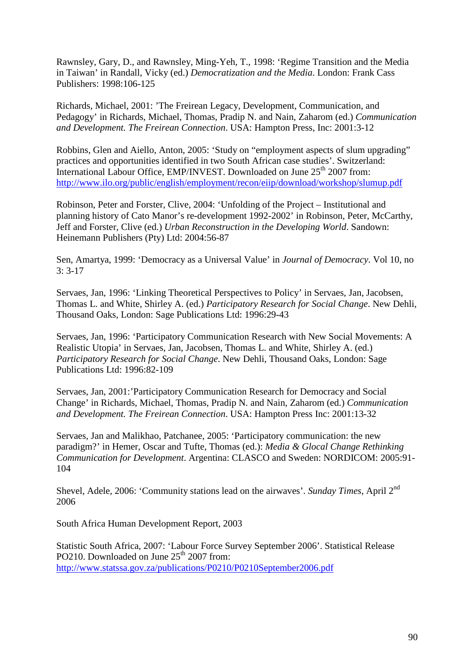Rawnsley, Gary, D., and Rawnsley, Ming-Yeh, T., 1998: 'Regime Transition and the Media in Taiwan' in Randall, Vicky (ed.) *Democratization and the Media*. London: Frank Cass Publishers: 1998:106-125

Richards, Michael, 2001: 'The Freirean Legacy, Development, Communication, and Pedagogy' in Richards, Michael, Thomas, Pradip N. and Nain, Zaharom (ed.) *Communication and Development. The Freirean Connection*. USA: Hampton Press, Inc: 2001:3-12

Robbins, Glen and Aiello, Anton, 2005: 'Study on "employment aspects of slum upgrading" practices and opportunities identified in two South African case studies'. Switzerland: International Labour Office, EMP/INVEST. Downloaded on June 25<sup>th</sup> 2007 from: http://www.ilo.org/public/english/employment/recon/eiip/download/workshop/slumup.pdf

Robinson, Peter and Forster, Clive, 2004: 'Unfolding of the Project – Institutional and planning history of Cato Manor's re-development 1992-2002' in Robinson, Peter, McCarthy, Jeff and Forster, Clive (ed.) *Urban Reconstruction in the Developing World*. Sandown: Heinemann Publishers (Pty) Ltd: 2004:56-87

Sen, Amartya, 1999: 'Democracy as a Universal Value' in *Journal of Democracy*. Vol 10, no 3: 3-17

Servaes, Jan, 1996: 'Linking Theoretical Perspectives to Policy' in Servaes, Jan, Jacobsen, Thomas L. and White, Shirley A. (ed.) *Participatory Research for Social Change*. New Dehli, Thousand Oaks, London: Sage Publications Ltd: 1996:29-43

Servaes, Jan, 1996: 'Participatory Communication Research with New Social Movements: A Realistic Utopia' in Servaes, Jan, Jacobsen, Thomas L. and White, Shirley A. (ed.) *Participatory Research for Social Change*. New Dehli, Thousand Oaks, London: Sage Publications Ltd: 1996:82-109

Servaes, Jan, 2001:'Participatory Communication Research for Democracy and Social Change' in Richards, Michael, Thomas, Pradip N. and Nain, Zaharom (ed.) *Communication and Development. The Freirean Connection*. USA: Hampton Press Inc: 2001:13-32

Servaes, Jan and Malikhao, Patchanee, 2005: 'Participatory communication: the new paradigm?' in Hemer, Oscar and Tufte, Thomas (ed.): *Media & Glocal Change Rethinking Communication for Development*. Argentina: CLASCO and Sweden: NORDICOM: 2005:91- 104

Shevel, Adele, 2006: 'Community stations lead on the airwaves'. *Sunday Times*, April 2nd 2006

South Africa Human Development Report, 2003

Statistic South Africa, 2007: 'Labour Force Survey September 2006'. Statistical Release PO210. Downloaded on June  $25<sup>th</sup>$  2007 from: http://www.statssa.gov.za/publications/P0210/P0210September2006.pdf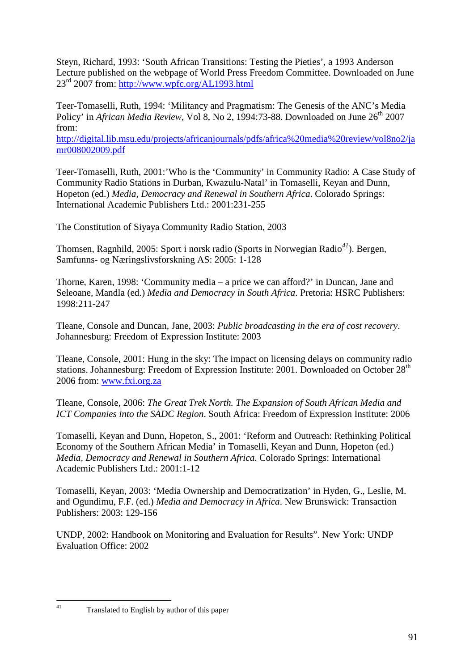Steyn, Richard, 1993: 'South African Transitions: Testing the Pieties', a 1993 Anderson Lecture published on the webpage of World Press Freedom Committee. Downloaded on June  $23^{\text{rd}}$  2007 from: http://www.wpfc.org/AL1993.html

Teer-Tomaselli, Ruth, 1994: 'Militancy and Pragmatism: The Genesis of the ANC's Media Policy' in *African Media Review*, Vol 8, No 2, 1994:73-88. Downloaded on June 26<sup>th</sup> 2007 from:

http://digital.lib.msu.edu/projects/africanjournals/pdfs/africa%20media%20review/vol8no2/ja mr008002009.pdf

Teer-Tomaselli, Ruth, 2001:'Who is the 'Community' in Community Radio: A Case Study of Community Radio Stations in Durban, Kwazulu-Natal' in Tomaselli, Keyan and Dunn, Hopeton (ed.) *Media, Democracy and Renewal in Southern Africa*. Colorado Springs: International Academic Publishers Ltd.: 2001:231-255

The Constitution of Siyaya Community Radio Station, 2003

Thomsen, Ragnhild, 2005: Sport i norsk radio (Sports in Norwegian Radio*<sup>41</sup>*). Bergen, Samfunns- og Næringslivsforskning AS: 2005: 1-128

Thorne, Karen, 1998: 'Community media – a price we can afford?' in Duncan, Jane and Seleoane, Mandla (ed.) *Media and Democracy in South Africa*. Pretoria: HSRC Publishers: 1998:211-247

Tleane, Console and Duncan, Jane, 2003: *Public broadcasting in the era of cost recovery*. Johannesburg: Freedom of Expression Institute: 2003

Tleane, Console, 2001: Hung in the sky: The impact on licensing delays on community radio stations. Johannesburg: Freedom of Expression Institute: 2001. Downloaded on October 28<sup>th</sup> 2006 from: www.fxi.org.za

Tleane, Console, 2006: *The Great Trek North. The Expansion of South African Media and ICT Companies into the SADC Region*. South Africa: Freedom of Expression Institute: 2006

Tomaselli, Keyan and Dunn, Hopeton, S., 2001: 'Reform and Outreach: Rethinking Political Economy of the Southern African Media' in Tomaselli, Keyan and Dunn, Hopeton (ed.) *Media, Democracy and Renewal in Southern Africa*. Colorado Springs: International Academic Publishers Ltd.: 2001:1-12

Tomaselli, Keyan, 2003: 'Media Ownership and Democratization' in Hyden, G., Leslie, M. and Ogundimu, F.F. (ed.) *Media and Democracy in Africa*. New Brunswick: Transaction Publishers: 2003: 129-156

UNDP, 2002: Handbook on Monitoring and Evaluation for Results". New York: UNDP Evaluation Office: 2002

 $41$ 

Translated to English by author of this paper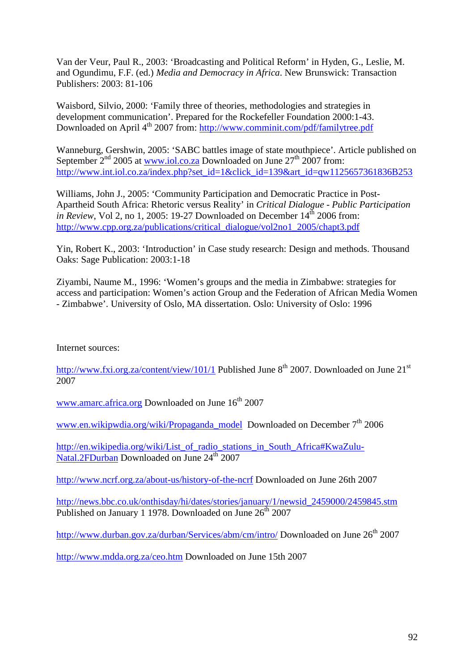Van der Veur, Paul R., 2003: 'Broadcasting and Political Reform' in Hyden, G., Leslie, M. and Ogundimu, F.F. (ed.) *Media and Democracy in Africa*. New Brunswick: Transaction Publishers: 2003: 81-106

Waisbord, Silvio, 2000: 'Family three of theories, methodologies and strategies in development communication'. Prepared for the Rockefeller Foundation 2000:1-43. Downloaded on April 4<sup>th</sup> 2007 from: http://www.comminit.com/pdf/familytree.pdf

Wanneburg, Gershwin, 2005: 'SABC battles image of state mouthpiece'. Article published on September  $2^{nd}$  2005 at www.iol.co.za Downloaded on June  $27^{th}$  2007 from: http://www.int.iol.co.za/index.php?set\_id=1&click\_id=139&art\_id=qw1125657361836B253

Williams, John J., 2005: 'Community Participation and Democratic Practice in Post-Apartheid South Africa: Rhetoric versus Reality' in *Critical Dialogue - Public Participation in Review*, Vol 2, no 1, 2005: 19-27 Downloaded on December  $14^{\text{th}}$  2006 from: http://www.cpp.org.za/publications/critical\_dialogue/vol2no1\_2005/chapt3.pdf

Yin, Robert K., 2003: 'Introduction' in Case study research: Design and methods. Thousand Oaks: Sage Publication: 2003:1-18

Ziyambi, Naume M., 1996: 'Women's groups and the media in Zimbabwe: strategies for access and participation: Women's action Group and the Federation of African Media Women - Zimbabwe'. University of Oslo, MA dissertation. Oslo: University of Oslo: 1996

Internet sources:

http://www.fxi.org.za/content/view/101/1 Published June  $8<sup>th</sup>$  2007. Downloaded on June 21<sup>st</sup> 2007

www.amarc.africa.org Downloaded on June  $16^{th}$  2007

www.en.wikipwdia.org/wiki/Propaganda\_model Downloaded on December 7<sup>th</sup> 2006

http://en.wikipedia.org/wiki/List of radio stations in South Africa#KwaZulu-Natal.2FDurban Downloaded on June 24<sup>th</sup> 2007

http://www.ncrf.org.za/about-us/history-of-the-ncrf Downloaded on June 26th 2007

http://news.bbc.co.uk/onthisday/hi/dates/stories/january/1/newsid\_2459000/2459845.stm Published on January 1 1978. Downloaded on June  $26<sup>th</sup>$  2007

http://www.durban.gov.za/durban/Services/abm/cm/intro/ Downloaded on June 26<sup>th</sup> 2007

http://www.mdda.org.za/ceo.htm Downloaded on June 15th 2007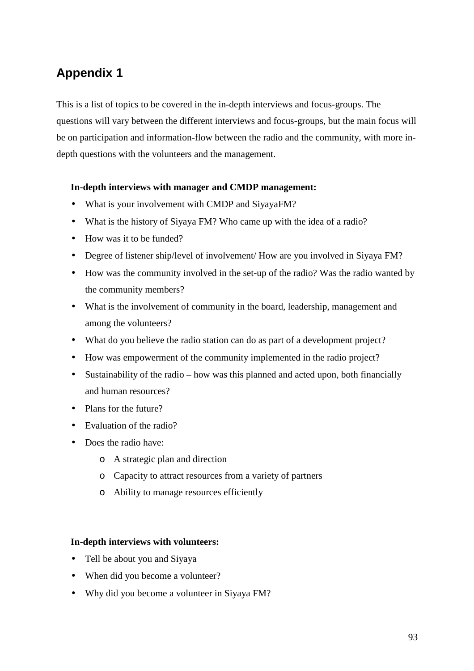# **Appendix 1**

This is a list of topics to be covered in the in-depth interviews and focus-groups. The questions will vary between the different interviews and focus-groups, but the main focus will be on participation and information-flow between the radio and the community, with more indepth questions with the volunteers and the management.

### **In-depth interviews with manager and CMDP management:**

- What is your involvement with CMDP and SiyayaFM?
- What is the history of Siyaya FM? Who came up with the idea of a radio?
- How was it to be funded?
- Degree of listener ship/level of involvement/ How are you involved in Siyaya FM?
- How was the community involved in the set-up of the radio? Was the radio wanted by the community members?
- What is the involvement of community in the board, leadership, management and among the volunteers?
- What do you believe the radio station can do as part of a development project?
- How was empowerment of the community implemented in the radio project?
- Sustainability of the radio how was this planned and acted upon, both financially and human resources?
- Plans for the future?
- Evaluation of the radio?
- Does the radio have:
	- o A strategic plan and direction
	- o Capacity to attract resources from a variety of partners
	- o Ability to manage resources efficiently

#### **In-depth interviews with volunteers:**

- Tell be about you and Siyaya
- When did you become a volunteer?
- Why did you become a volunteer in Siyaya FM?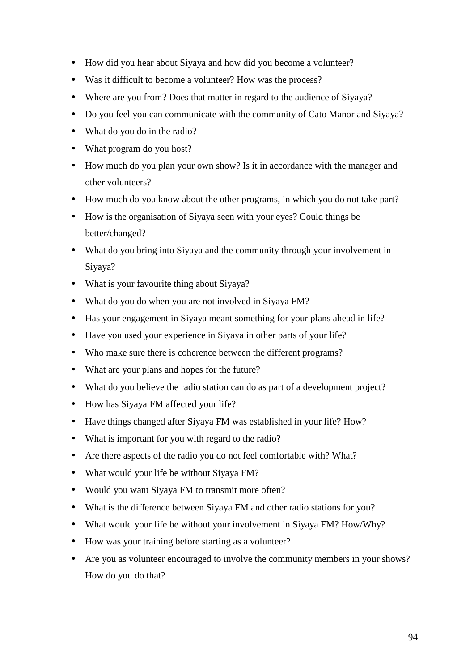- How did you hear about Siyaya and how did you become a volunteer?
- Was it difficult to become a volunteer? How was the process?
- Where are you from? Does that matter in regard to the audience of Siyaya?
- Do you feel you can communicate with the community of Cato Manor and Siyaya?
- What do you do in the radio?
- What program do you host?
- How much do you plan your own show? Is it in accordance with the manager and other volunteers?
- How much do you know about the other programs, in which you do not take part?
- How is the organisation of Siyaya seen with your eyes? Could things be better/changed?
- What do you bring into Siyaya and the community through your involvement in Siyaya?
- What is your favourite thing about Siyaya?
- What do you do when you are not involved in Siyaya FM?
- Has your engagement in Siyaya meant something for your plans ahead in life?
- Have you used your experience in Siyaya in other parts of your life?
- Who make sure there is coherence between the different programs?
- What are your plans and hopes for the future?
- What do you believe the radio station can do as part of a development project?
- How has Siyaya FM affected your life?
- Have things changed after Siyaya FM was established in your life? How?
- What is important for you with regard to the radio?
- Are there aspects of the radio you do not feel comfortable with? What?
- What would your life be without Siyaya FM?
- Would you want Siyaya FM to transmit more often?
- What is the difference between Siyaya FM and other radio stations for you?
- What would your life be without your involvement in Siyaya FM? How/Why?
- How was your training before starting as a volunteer?
- Are you as volunteer encouraged to involve the community members in your shows? How do you do that?